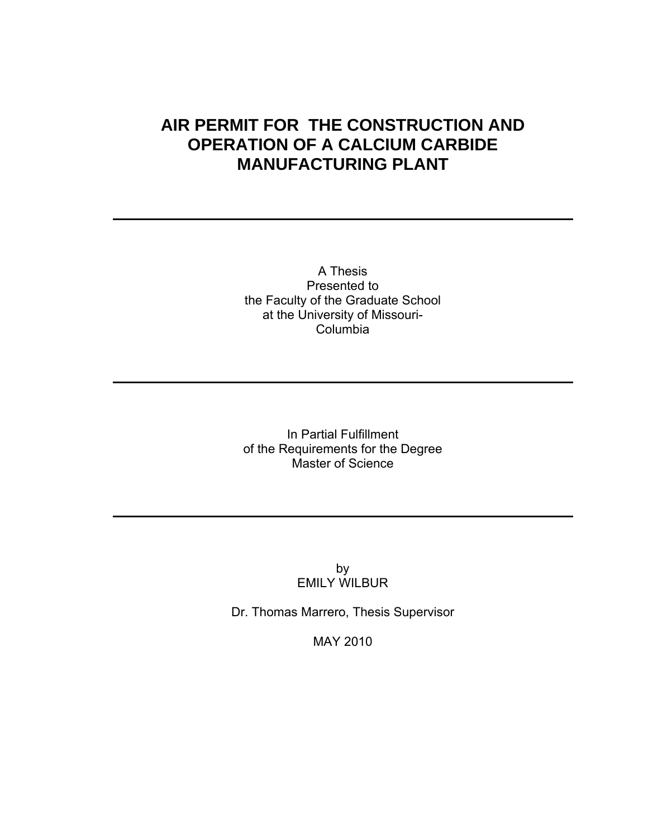# **AIR PERMIT FOR THE CONSTRUCTION AND OPERATION OF A CALCIUM CARBIDE MANUFACTURING PLANT**

A Thesis Presented to the Faculty of the Graduate School at the University of Missouri-Columbia

In Partial Fulfillment of the Requirements for the Degree Master of Science

> by EMILY WILBUR

Dr. Thomas Marrero, Thesis Supervisor

MAY 2010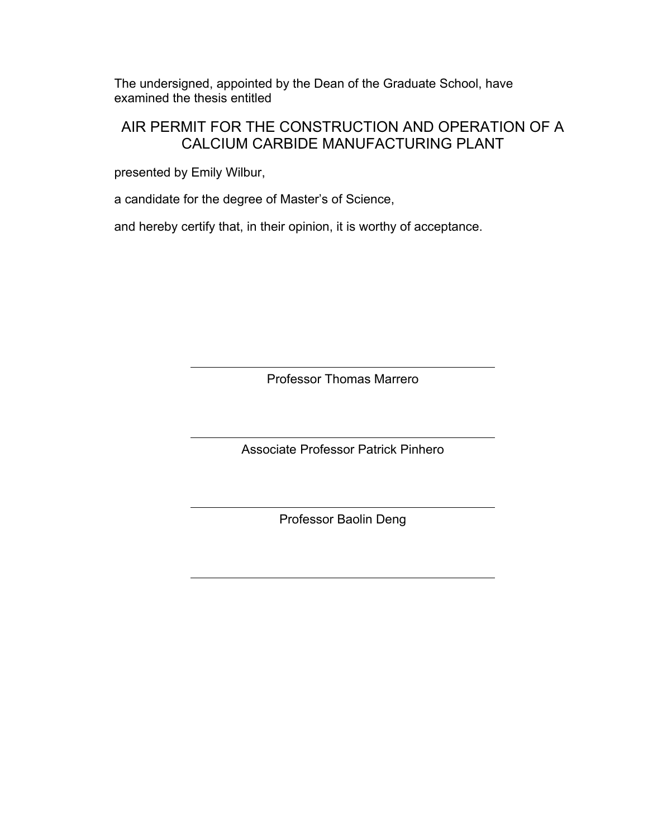The undersigned, appointed by the Dean of the Graduate School, have examined the thesis entitled

## AIR PERMIT FOR THE CONSTRUCTION AND OPERATION OF A CALCIUM CARBIDE MANUFACTURING PLANT

presented by Emily Wilbur,

a candidate for the degree of Master's of Science,

and hereby certify that, in their opinion, it is worthy of acceptance.

Professor Thomas Marrero

Associate Professor Patrick Pinhero

Professor Baolin Deng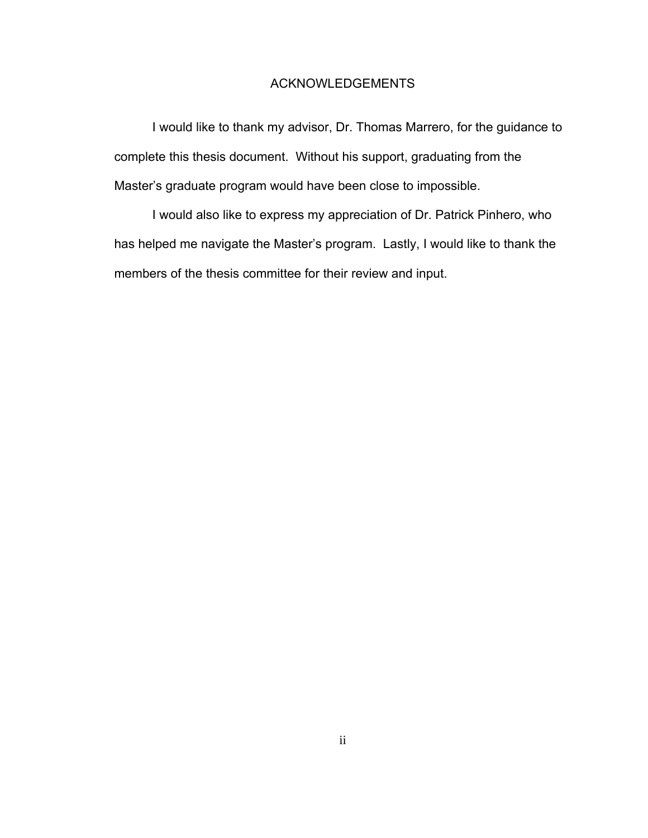## ACKNOWLEDGEMENTS

I would like to thank my advisor, Dr. Thomas Marrero, for the guidance to complete this thesis document. Without his support, graduating from the Master's graduate program would have been close to impossible.

I would also like to express my appreciation of Dr. Patrick Pinhero, who has helped me navigate the Master's program. Lastly, I would like to thank the members of the thesis committee for their review and input.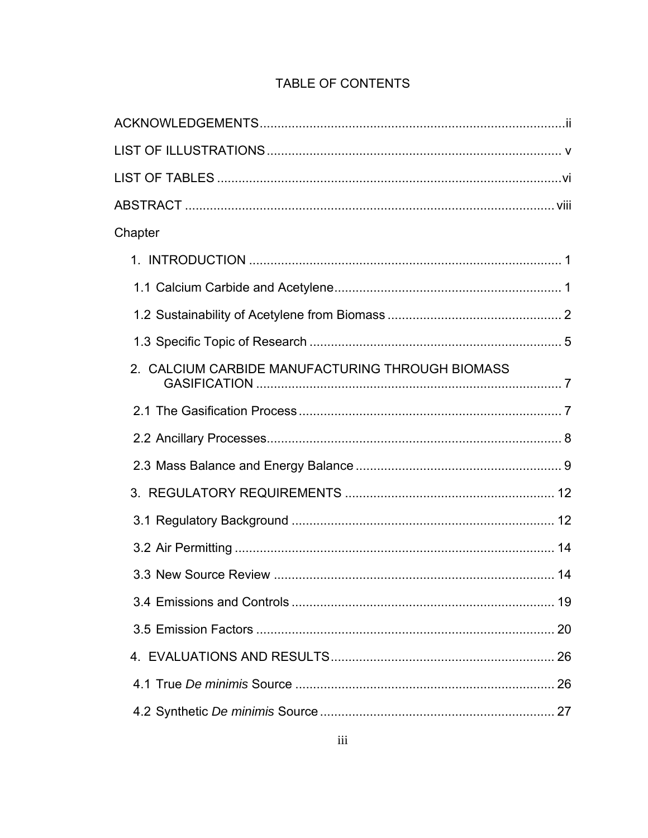| Chapter                                          |  |
|--------------------------------------------------|--|
|                                                  |  |
|                                                  |  |
|                                                  |  |
|                                                  |  |
| 2. CALCIUM CARBIDE MANUFACTURING THROUGH BIOMASS |  |
|                                                  |  |
|                                                  |  |
|                                                  |  |
|                                                  |  |
|                                                  |  |
|                                                  |  |
|                                                  |  |
|                                                  |  |
|                                                  |  |
|                                                  |  |
|                                                  |  |
|                                                  |  |

## TABLE OF CONTENTS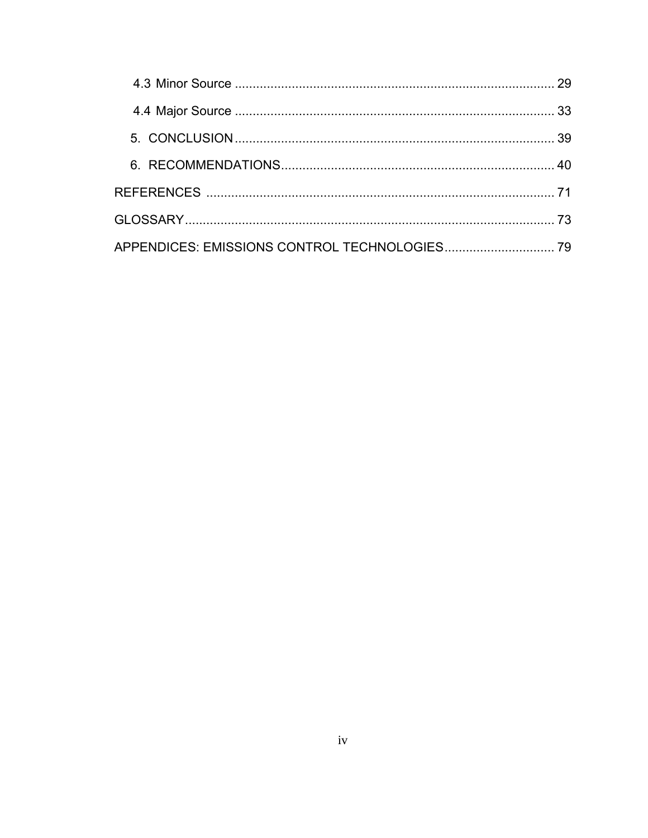|  | 29 |
|--|----|
|  |    |
|  |    |
|  |    |
|  |    |
|  |    |
|  |    |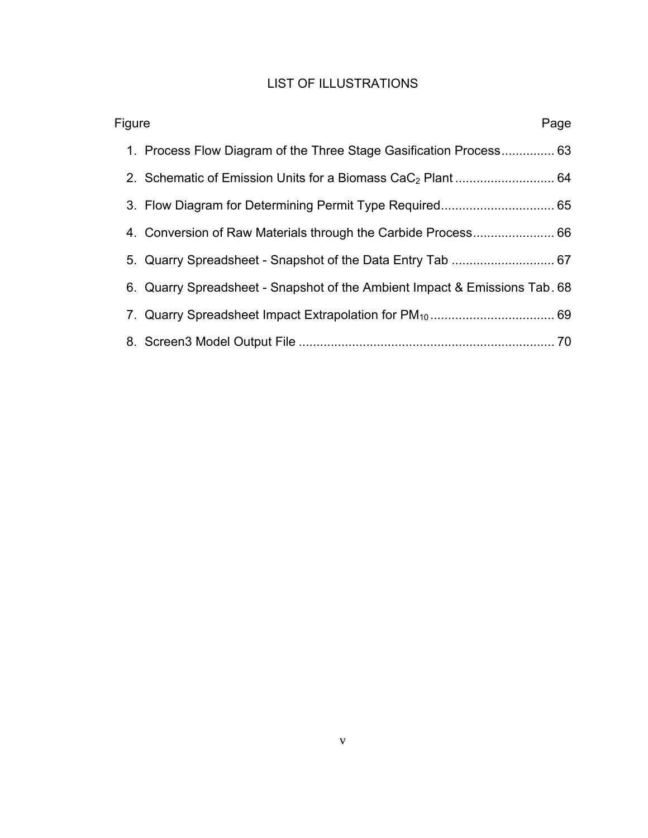## LIST OF ILLUSTRATIONS

| Figure<br>Page |                                                                            |  |
|----------------|----------------------------------------------------------------------------|--|
|                | 1. Process Flow Diagram of the Three Stage Gasification Process 63         |  |
|                |                                                                            |  |
|                |                                                                            |  |
|                |                                                                            |  |
|                |                                                                            |  |
|                | 6. Quarry Spreadsheet - Snapshot of the Ambient Impact & Emissions Tab. 68 |  |
|                |                                                                            |  |
|                |                                                                            |  |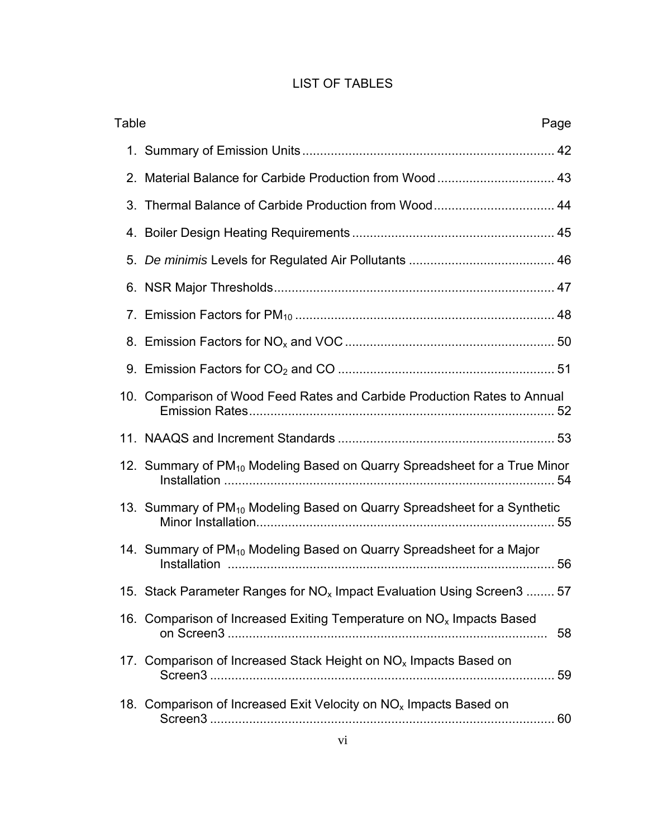## LIST OF TABLES

| Table<br>Page |                                                                                             |  |
|---------------|---------------------------------------------------------------------------------------------|--|
|               |                                                                                             |  |
|               |                                                                                             |  |
|               |                                                                                             |  |
|               |                                                                                             |  |
|               |                                                                                             |  |
|               |                                                                                             |  |
|               |                                                                                             |  |
|               |                                                                                             |  |
|               |                                                                                             |  |
|               | 10. Comparison of Wood Feed Rates and Carbide Production Rates to Annual                    |  |
|               |                                                                                             |  |
|               | 12. Summary of PM <sub>10</sub> Modeling Based on Quarry Spreadsheet for a True Minor<br>54 |  |
|               | 13. Summary of PM <sub>10</sub> Modeling Based on Quarry Spreadsheet for a Synthetic        |  |
|               | 14. Summary of PM <sub>10</sub> Modeling Based on Quarry Spreadsheet for a Major            |  |
|               | 15. Stack Parameter Ranges for NO <sub>x</sub> Impact Evaluation Using Screen3  57          |  |
|               | 16. Comparison of Increased Exiting Temperature on NO <sub>x</sub> Impacts Based<br>58      |  |
|               | 17. Comparison of Increased Stack Height on $NOx$ Impacts Based on                          |  |
|               | 18. Comparison of Increased Exit Velocity on NO <sub>x</sub> Impacts Based on               |  |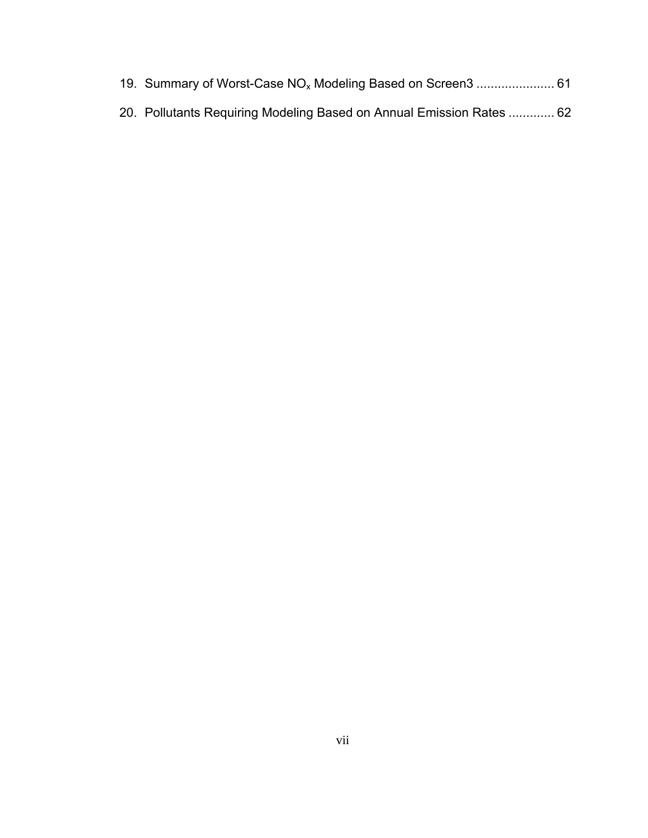- 19. Summary of Worst-Case NO<sub>x</sub> Modeling Based on Screen3 ....................... 61
- 20. Pollutants Requiring Modeling Based on Annual Emission Rates ............. 62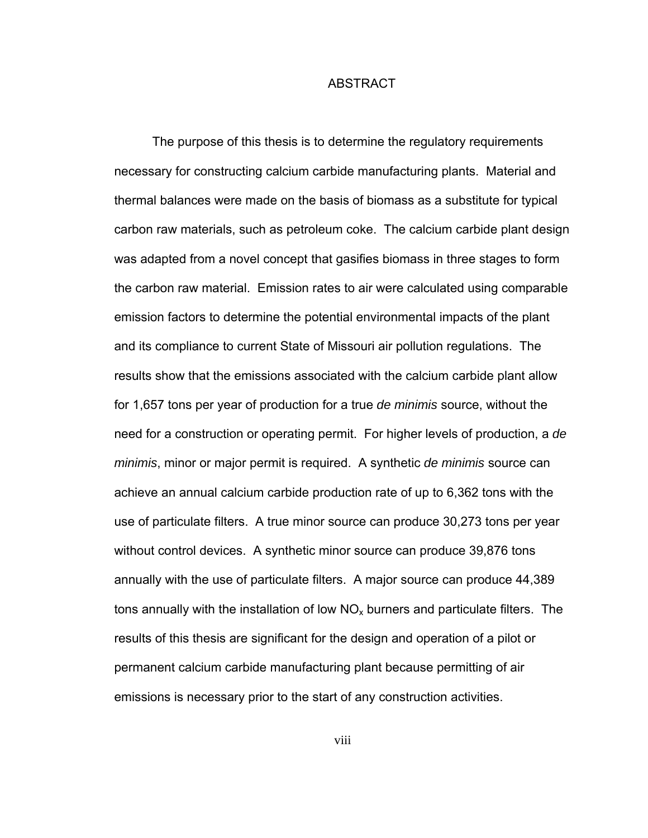#### ABSTRACT

The purpose of this thesis is to determine the regulatory requirements necessary for constructing calcium carbide manufacturing plants. Material and thermal balances were made on the basis of biomass as a substitute for typical carbon raw materials, such as petroleum coke. The calcium carbide plant design was adapted from a novel concept that gasifies biomass in three stages to form the carbon raw material. Emission rates to air were calculated using comparable emission factors to determine the potential environmental impacts of the plant and its compliance to current State of Missouri air pollution regulations. The results show that the emissions associated with the calcium carbide plant allow for 1,657 tons per year of production for a true *de minimis* source, without the need for a construction or operating permit. For higher levels of production, a *de minimis*, minor or major permit is required. A synthetic *de minimis* source can achieve an annual calcium carbide production rate of up to 6,362 tons with the use of particulate filters. A true minor source can produce 30,273 tons per year without control devices. A synthetic minor source can produce 39,876 tons annually with the use of particulate filters. A major source can produce 44,389 tons annually with the installation of low  $NO<sub>x</sub>$  burners and particulate filters. The results of this thesis are significant for the design and operation of a pilot or permanent calcium carbide manufacturing plant because permitting of air emissions is necessary prior to the start of any construction activities.

viii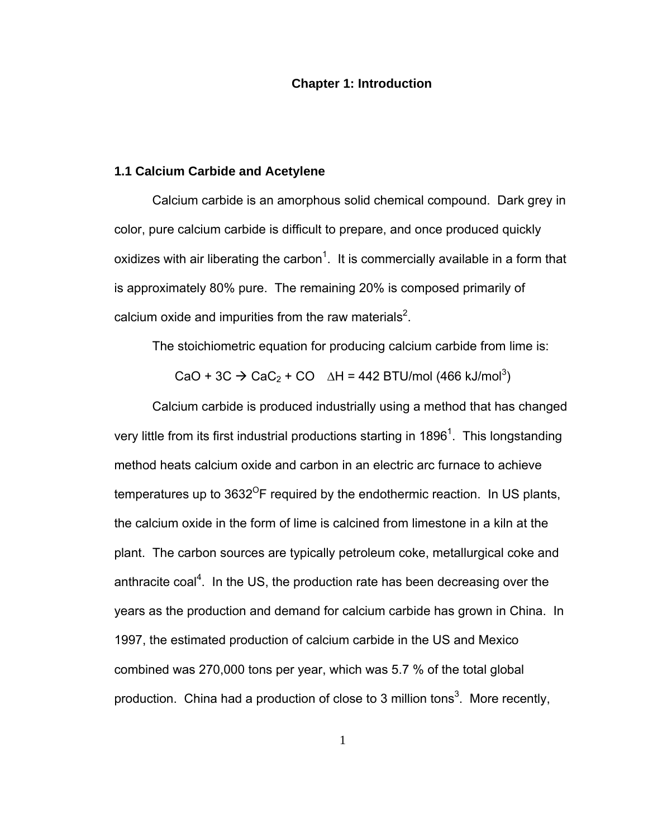#### **Chapter 1: Introduction**

#### **1.1 Calcium Carbide and Acetylene**

Calcium carbide is an amorphous solid chemical compound. Dark grey in color, pure calcium carbide is difficult to prepare, and once produced quickly oxidizes with air liberating the carbon<sup>1</sup>. It is commercially available in a form that is approximately 80% pure. The remaining 20% is composed primarily of calcium oxide and impurities from the raw materials<sup>2</sup>.

The stoichiometric equation for producing calcium carbide from lime is:

CaO + 3C  $\rightarrow$  CaC<sub>2</sub> + CO  $\Delta H = 442$  BTU/mol (466 kJ/mol<sup>3</sup>)

Calcium carbide is produced industrially using a method that has changed very little from its first industrial productions starting in 1896<sup>1</sup>. This longstanding method heats calcium oxide and carbon in an electric arc furnace to achieve temperatures up to  $3632^{\circ}$ F required by the endothermic reaction. In US plants, the calcium oxide in the form of lime is calcined from limestone in a kiln at the plant. The carbon sources are typically petroleum coke, metallurgical coke and anthracite coal<sup>4</sup>. In the US, the production rate has been decreasing over the years as the production and demand for calcium carbide has grown in China. In 1997, the estimated production of calcium carbide in the US and Mexico combined was 270,000 tons per year, which was 5.7 % of the total global production. China had a production of close to 3 million tons<sup>3</sup>. More recently,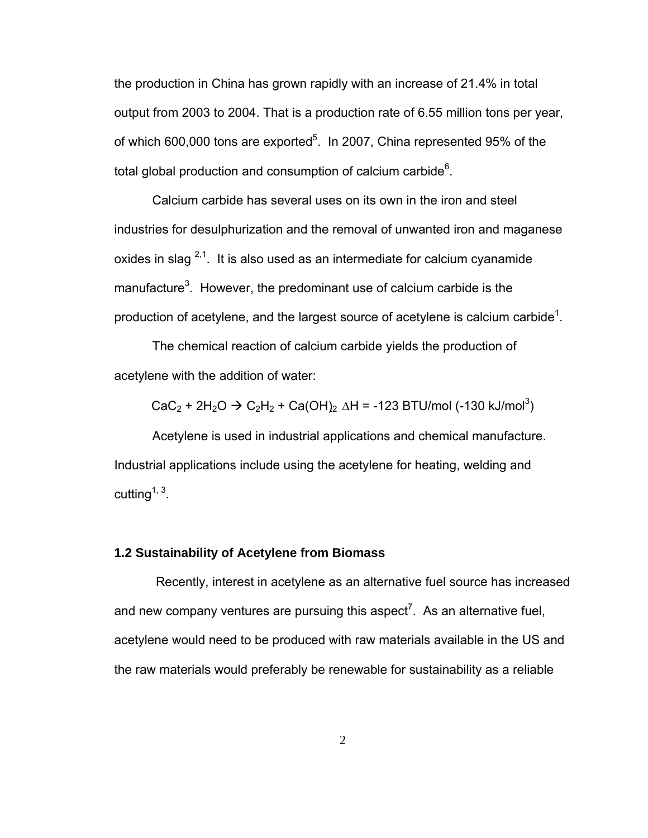the production in China has grown rapidly with an increase of 21.4% in total output from 2003 to 2004. That is a production rate of 6.55 million tons per year, of which 600,000 tons are exported<sup>5</sup>. In 2007, China represented 95% of the total global production and consumption of calcium carbide $6$ .

Calcium carbide has several uses on its own in the iron and steel industries for desulphurization and the removal of unwanted iron and maganese oxides in slag  $2,1$ . It is also used as an intermediate for calcium cyanamide manufacture<sup>3</sup>. However, the predominant use of calcium carbide is the production of acetylene, and the largest source of acetylene is calcium carbide<sup>1</sup>.

The chemical reaction of calcium carbide yields the production of acetylene with the addition of water:

 $CaC_2 + 2H_2O \rightarrow C_2H_2 + Ca(OH)_2 \Delta H = -123 BTU/mol (-130 kJ/mol^3)$ 

Acetylene is used in industrial applications and chemical manufacture. Industrial applications include using the acetylene for heating, welding and cutting<sup> $1, 3$ </sup>.

## **1.2 Sustainability of Acetylene from Biomass**

 Recently, interest in acetylene as an alternative fuel source has increased and new company ventures are pursuing this aspect<sup>7</sup>. As an alternative fuel, acetylene would need to be produced with raw materials available in the US and the raw materials would preferably be renewable for sustainability as a reliable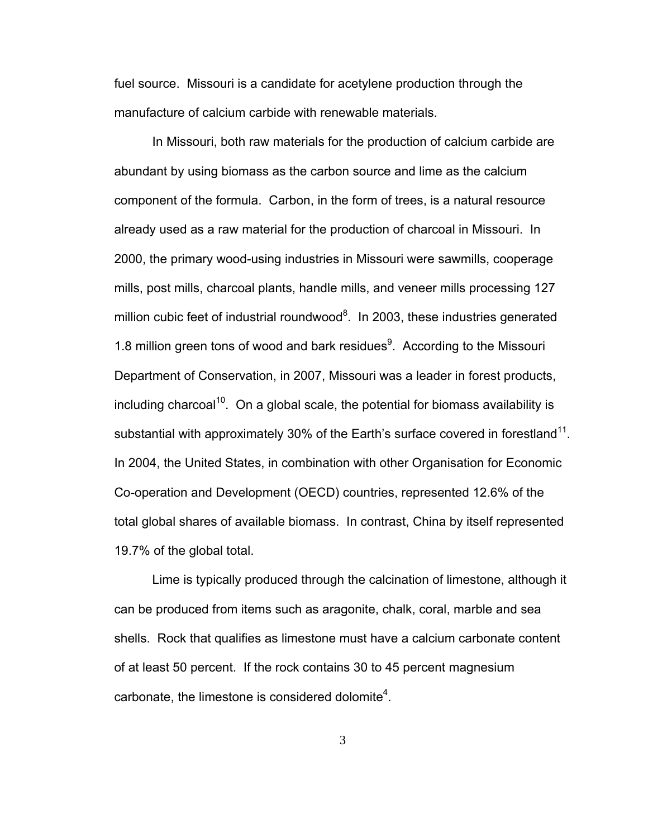fuel source. Missouri is a candidate for acetylene production through the manufacture of calcium carbide with renewable materials.

In Missouri, both raw materials for the production of calcium carbide are abundant by using biomass as the carbon source and lime as the calcium component of the formula. Carbon, in the form of trees, is a natural resource already used as a raw material for the production of charcoal in Missouri. In 2000, the primary wood-using industries in Missouri were sawmills, cooperage mills, post mills, charcoal plants, handle mills, and veneer mills processing 127 million cubic feet of industrial roundwood<sup>8</sup>. In 2003, these industries generated 1.8 million green tons of wood and bark residues $9$ . According to the Missouri Department of Conservation, in 2007, Missouri was a leader in forest products, including charcoal<sup>10</sup>. On a global scale, the potential for biomass availability is substantial with approximately 30% of the Earth's surface covered in forestland<sup>11</sup>. In 2004, the United States, in combination with other Organisation for Economic Co-operation and Development (OECD) countries, represented 12.6% of the total global shares of available biomass. In contrast, China by itself represented 19.7% of the global total.

Lime is typically produced through the calcination of limestone, although it can be produced from items such as aragonite, chalk, coral, marble and sea shells. Rock that qualifies as limestone must have a calcium carbonate content of at least 50 percent. If the rock contains 30 to 45 percent magnesium carbonate, the limestone is considered dolomite<sup>4</sup>.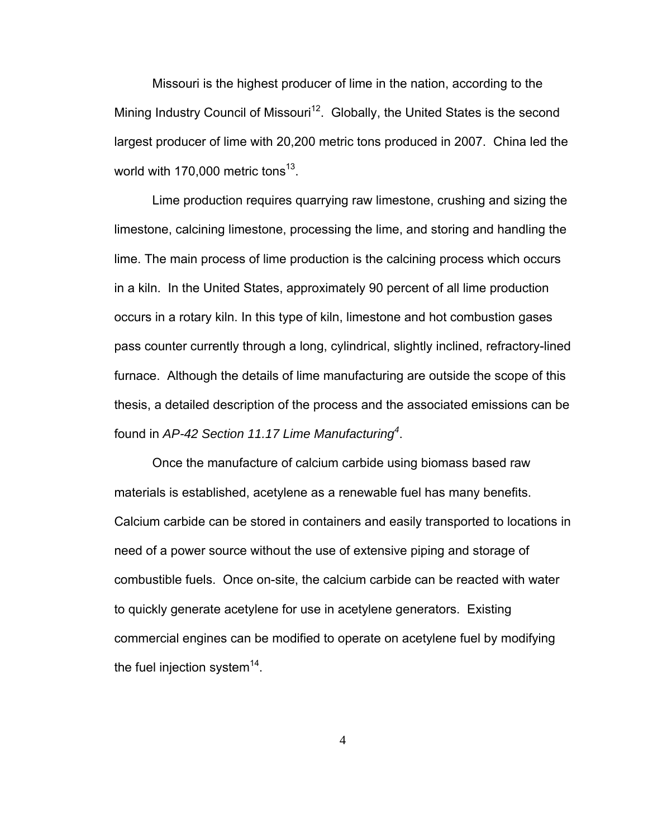Missouri is the highest producer of lime in the nation, according to the Mining Industry Council of Missouri<sup>12</sup>. Globally, the United States is the second largest producer of lime with 20,200 metric tons produced in 2007. China led the world with 170,000 metric tons<sup>13</sup>.

Lime production requires quarrying raw limestone, crushing and sizing the limestone, calcining limestone, processing the lime, and storing and handling the lime. The main process of lime production is the calcining process which occurs in a kiln. In the United States, approximately 90 percent of all lime production occurs in a rotary kiln. In this type of kiln, limestone and hot combustion gases pass counter currently through a long, cylindrical, slightly inclined, refractory-lined furnace. Although the details of lime manufacturing are outside the scope of this thesis, a detailed description of the process and the associated emissions can be found in *AP-42 Section 11.17 Lime Manufacturing<sup>4</sup>* .

Once the manufacture of calcium carbide using biomass based raw materials is established, acetylene as a renewable fuel has many benefits. Calcium carbide can be stored in containers and easily transported to locations in need of a power source without the use of extensive piping and storage of combustible fuels. Once on-site, the calcium carbide can be reacted with water to quickly generate acetylene for use in acetylene generators. Existing commercial engines can be modified to operate on acetylene fuel by modifying the fuel injection system $14$ .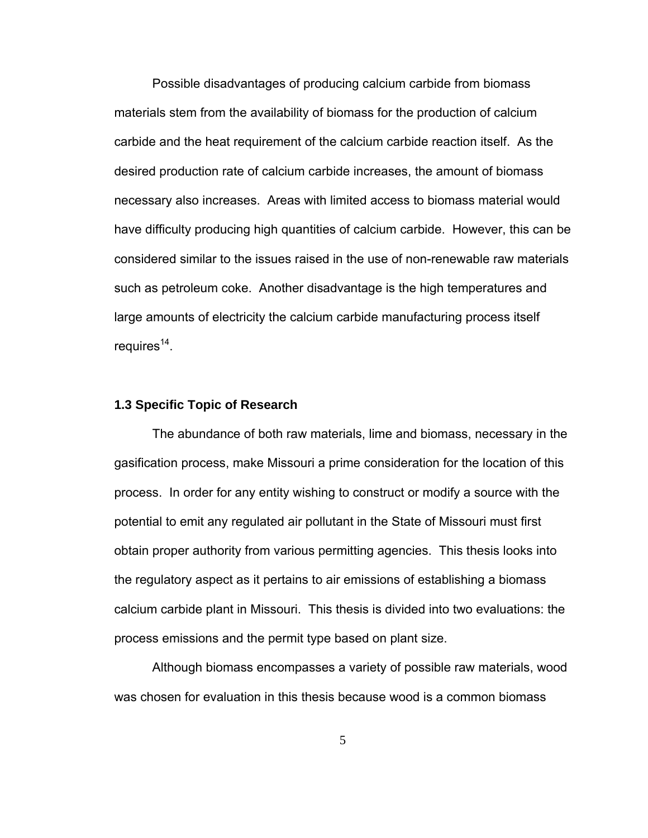Possible disadvantages of producing calcium carbide from biomass materials stem from the availability of biomass for the production of calcium carbide and the heat requirement of the calcium carbide reaction itself. As the desired production rate of calcium carbide increases, the amount of biomass necessary also increases. Areas with limited access to biomass material would have difficulty producing high quantities of calcium carbide. However, this can be considered similar to the issues raised in the use of non-renewable raw materials such as petroleum coke. Another disadvantage is the high temperatures and large amounts of electricity the calcium carbide manufacturing process itself requires $14$ .

#### **1.3 Specific Topic of Research**

The abundance of both raw materials, lime and biomass, necessary in the gasification process, make Missouri a prime consideration for the location of this process. In order for any entity wishing to construct or modify a source with the potential to emit any regulated air pollutant in the State of Missouri must first obtain proper authority from various permitting agencies. This thesis looks into the regulatory aspect as it pertains to air emissions of establishing a biomass calcium carbide plant in Missouri. This thesis is divided into two evaluations: the process emissions and the permit type based on plant size.

Although biomass encompasses a variety of possible raw materials, wood was chosen for evaluation in this thesis because wood is a common biomass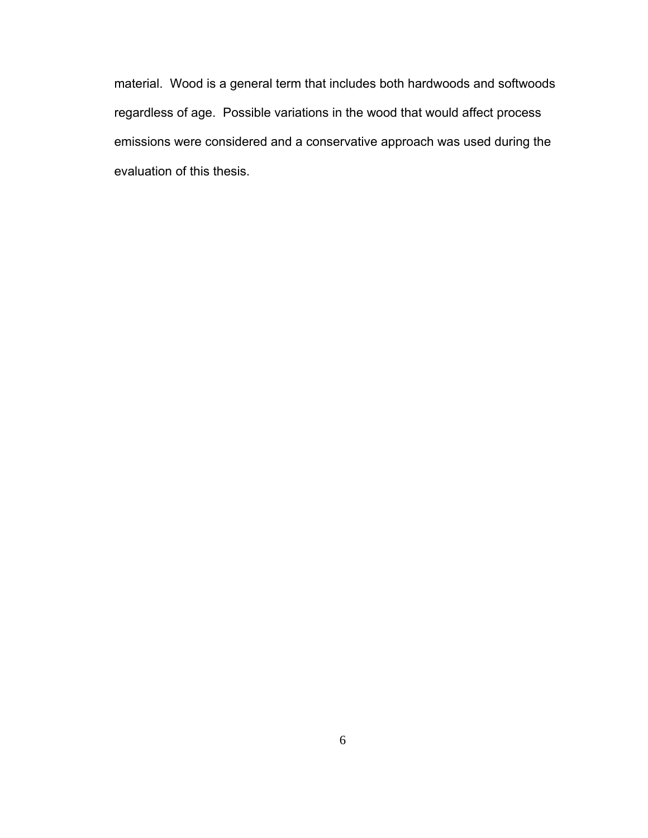material. Wood is a general term that includes both hardwoods and softwoods regardless of age. Possible variations in the wood that would affect process emissions were considered and a conservative approach was used during the evaluation of this thesis.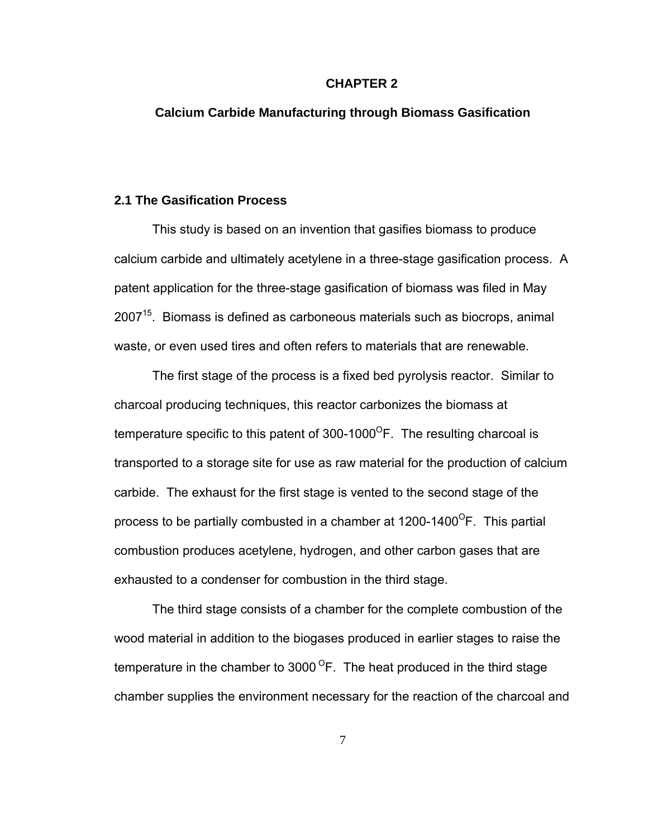#### **CHAPTER 2**

### **Calcium Carbide Manufacturing through Biomass Gasification**

### **2.1 The Gasification Process**

This study is based on an invention that gasifies biomass to produce calcium carbide and ultimately acetylene in a three-stage gasification process. A patent application for the three-stage gasification of biomass was filed in May  $2007<sup>15</sup>$ . Biomass is defined as carboneous materials such as biocrops, animal waste, or even used tires and often refers to materials that are renewable.

The first stage of the process is a fixed bed pyrolysis reactor. Similar to charcoal producing techniques, this reactor carbonizes the biomass at temperature specific to this patent of  $300-1000^{\circ}$ F. The resulting charcoal is transported to a storage site for use as raw material for the production of calcium carbide. The exhaust for the first stage is vented to the second stage of the process to be partially combusted in a chamber at  $1200-1400^{\circ}$ F. This partial combustion produces acetylene, hydrogen, and other carbon gases that are exhausted to a condenser for combustion in the third stage.

The third stage consists of a chamber for the complete combustion of the wood material in addition to the biogases produced in earlier stages to raise the temperature in the chamber to  $3000^{\circ}$ F. The heat produced in the third stage chamber supplies the environment necessary for the reaction of the charcoal and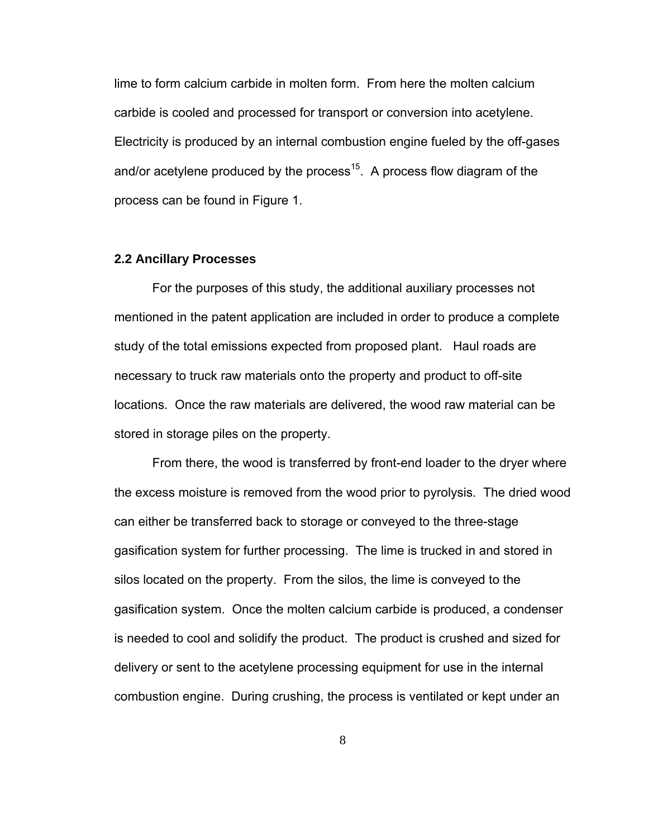lime to form calcium carbide in molten form. From here the molten calcium carbide is cooled and processed for transport or conversion into acetylene. Electricity is produced by an internal combustion engine fueled by the off-gases and/or acetylene produced by the process<sup>15</sup>. A process flow diagram of the process can be found in Figure 1.

#### **2.2 Ancillary Processes**

For the purposes of this study, the additional auxiliary processes not mentioned in the patent application are included in order to produce a complete study of the total emissions expected from proposed plant. Haul roads are necessary to truck raw materials onto the property and product to off-site locations. Once the raw materials are delivered, the wood raw material can be stored in storage piles on the property.

From there, the wood is transferred by front-end loader to the dryer where the excess moisture is removed from the wood prior to pyrolysis. The dried wood can either be transferred back to storage or conveyed to the three-stage gasification system for further processing. The lime is trucked in and stored in silos located on the property. From the silos, the lime is conveyed to the gasification system. Once the molten calcium carbide is produced, a condenser is needed to cool and solidify the product. The product is crushed and sized for delivery or sent to the acetylene processing equipment for use in the internal combustion engine. During crushing, the process is ventilated or kept under an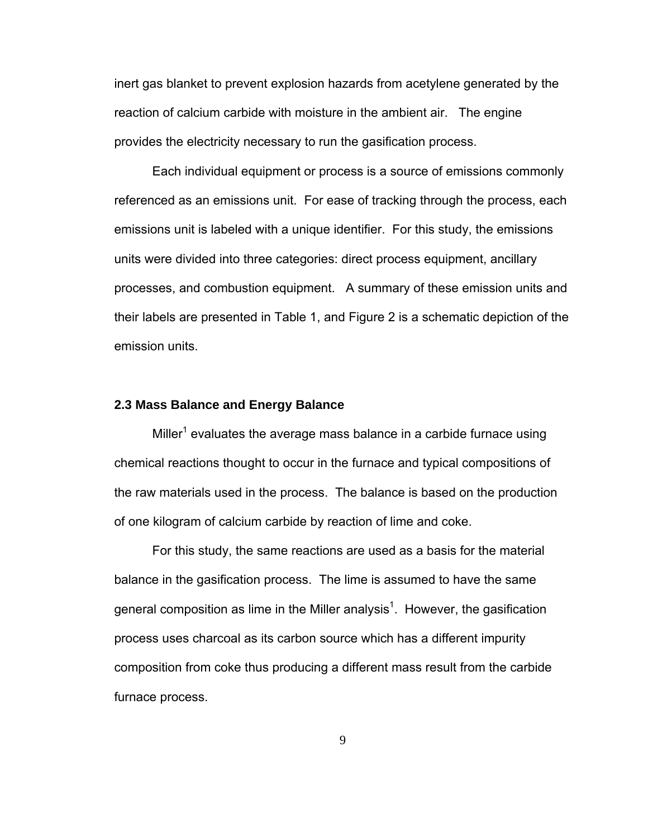inert gas blanket to prevent explosion hazards from acetylene generated by the reaction of calcium carbide with moisture in the ambient air. The engine provides the electricity necessary to run the gasification process.

Each individual equipment or process is a source of emissions commonly referenced as an emissions unit. For ease of tracking through the process, each emissions unit is labeled with a unique identifier. For this study, the emissions units were divided into three categories: direct process equipment, ancillary processes, and combustion equipment. A summary of these emission units and their labels are presented in Table 1, and Figure 2 is a schematic depiction of the emission units.

#### **2.3 Mass Balance and Energy Balance**

Miller<sup>1</sup> evaluates the average mass balance in a carbide furnace using chemical reactions thought to occur in the furnace and typical compositions of the raw materials used in the process. The balance is based on the production of one kilogram of calcium carbide by reaction of lime and coke.

For this study, the same reactions are used as a basis for the material balance in the gasification process. The lime is assumed to have the same general composition as lime in the Miller analysis<sup>1</sup>. However, the gasification process uses charcoal as its carbon source which has a different impurity composition from coke thus producing a different mass result from the carbide furnace process.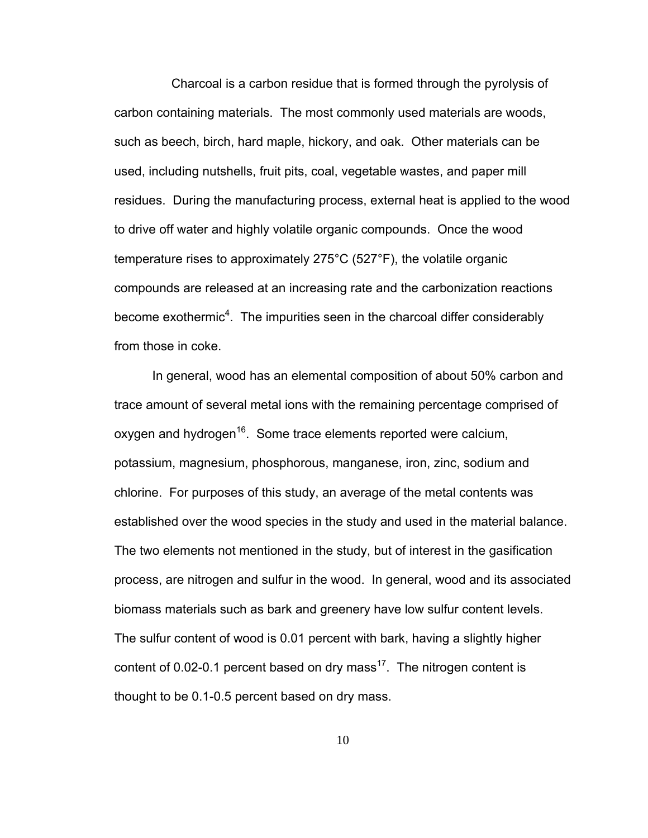Charcoal is a carbon residue that is formed through the pyrolysis of carbon containing materials. The most commonly used materials are woods, such as beech, birch, hard maple, hickory, and oak. Other materials can be used, including nutshells, fruit pits, coal, vegetable wastes, and paper mill residues. During the manufacturing process, external heat is applied to the wood to drive off water and highly volatile organic compounds. Once the wood temperature rises to approximately 275°C (527°F), the volatile organic compounds are released at an increasing rate and the carbonization reactions become exothermic<sup>4</sup>. The impurities seen in the charcoal differ considerably from those in coke.

In general, wood has an elemental composition of about 50% carbon and trace amount of several metal ions with the remaining percentage comprised of oxygen and hydrogen<sup>16</sup>. Some trace elements reported were calcium, potassium, magnesium, phosphorous, manganese, iron, zinc, sodium and chlorine. For purposes of this study, an average of the metal contents was established over the wood species in the study and used in the material balance. The two elements not mentioned in the study, but of interest in the gasification process, are nitrogen and sulfur in the wood. In general, wood and its associated biomass materials such as bark and greenery have low sulfur content levels. The sulfur content of wood is 0.01 percent with bark, having a slightly higher content of 0.02-0.1 percent based on dry mass<sup>17</sup>. The nitrogen content is thought to be 0.1-0.5 percent based on dry mass.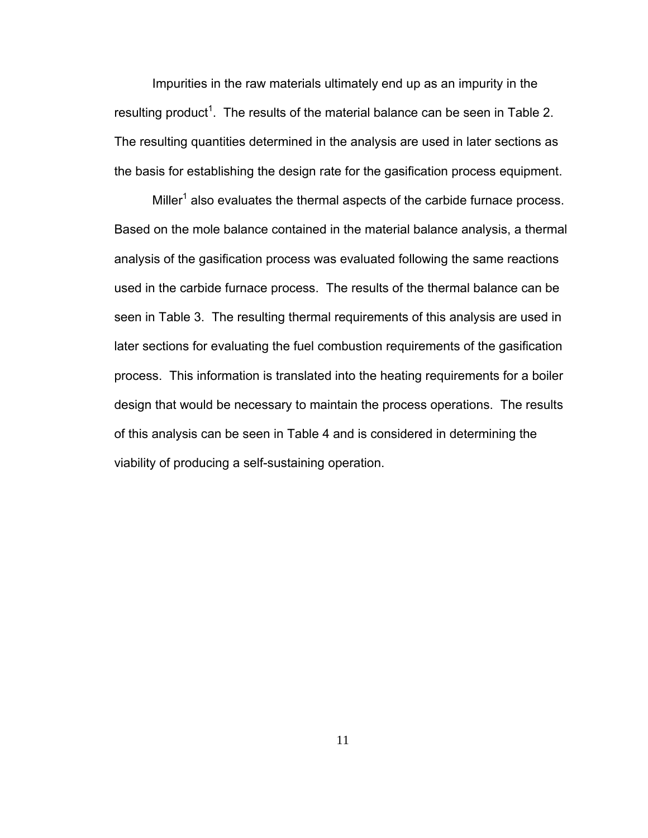Impurities in the raw materials ultimately end up as an impurity in the resulting product<sup>1</sup>. The results of the material balance can be seen in Table 2. The resulting quantities determined in the analysis are used in later sections as the basis for establishing the design rate for the gasification process equipment.

Miller<sup>1</sup> also evaluates the thermal aspects of the carbide furnace process. Based on the mole balance contained in the material balance analysis, a thermal analysis of the gasification process was evaluated following the same reactions used in the carbide furnace process. The results of the thermal balance can be seen in Table 3. The resulting thermal requirements of this analysis are used in later sections for evaluating the fuel combustion requirements of the gasification process. This information is translated into the heating requirements for a boiler design that would be necessary to maintain the process operations. The results of this analysis can be seen in Table 4 and is considered in determining the viability of producing a self-sustaining operation.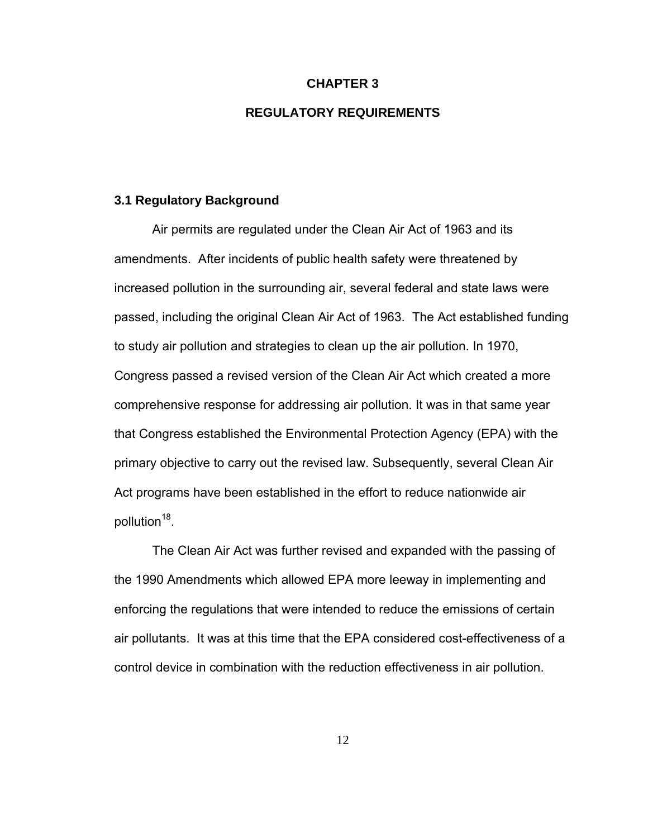### **CHAPTER 3**

## **REGULATORY REQUIREMENTS**

#### **3.1 Regulatory Background**

Air permits are regulated under the Clean Air Act of 1963 and its amendments. After incidents of public health safety were threatened by increased pollution in the surrounding air, several federal and state laws were passed, including the original Clean Air Act of 1963. The Act established funding to study air pollution and strategies to clean up the air pollution. In 1970, Congress passed a revised version of the Clean Air Act which created a more comprehensive response for addressing air pollution. It was in that same year that Congress established the Environmental Protection Agency (EPA) with the primary objective to carry out the revised law. Subsequently, several Clean Air Act programs have been established in the effort to reduce nationwide air pollution<sup>18</sup>.

The Clean Air Act was further revised and expanded with the passing of the 1990 Amendments which allowed EPA more leeway in implementing and enforcing the regulations that were intended to reduce the emissions of certain air pollutants. It was at this time that the EPA considered cost-effectiveness of a control device in combination with the reduction effectiveness in air pollution.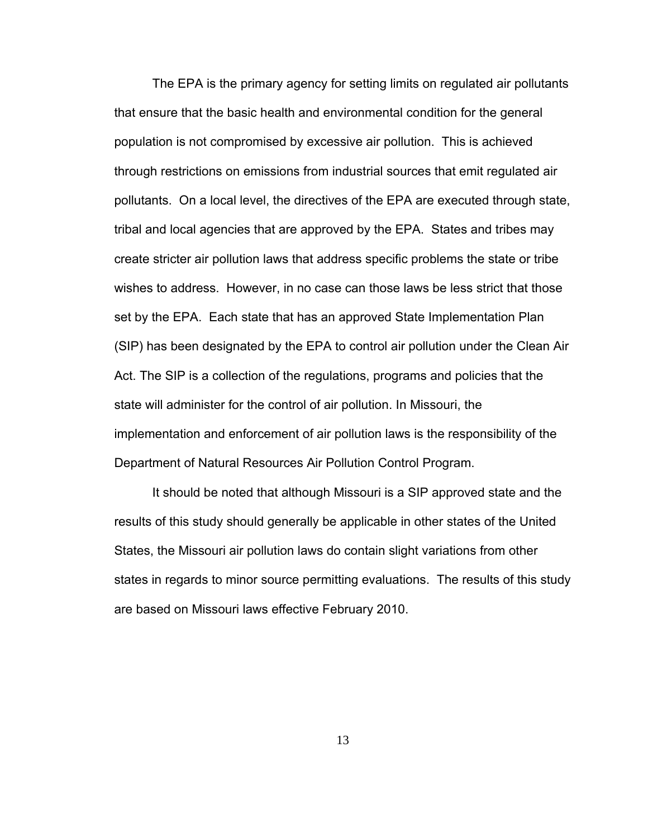The EPA is the primary agency for setting limits on regulated air pollutants that ensure that the basic health and environmental condition for the general population is not compromised by excessive air pollution. This is achieved through restrictions on emissions from industrial sources that emit regulated air pollutants. On a local level, the directives of the EPA are executed through state, tribal and local agencies that are approved by the EPA. States and tribes may create stricter air pollution laws that address specific problems the state or tribe wishes to address. However, in no case can those laws be less strict that those set by the EPA. Each state that has an approved State Implementation Plan (SIP) has been designated by the EPA to control air pollution under the Clean Air Act. The SIP is a collection of the regulations, programs and policies that the state will administer for the control of air pollution. In Missouri, the implementation and enforcement of air pollution laws is the responsibility of the Department of Natural Resources Air Pollution Control Program.

It should be noted that although Missouri is a SIP approved state and the results of this study should generally be applicable in other states of the United States, the Missouri air pollution laws do contain slight variations from other states in regards to minor source permitting evaluations. The results of this study are based on Missouri laws effective February 2010.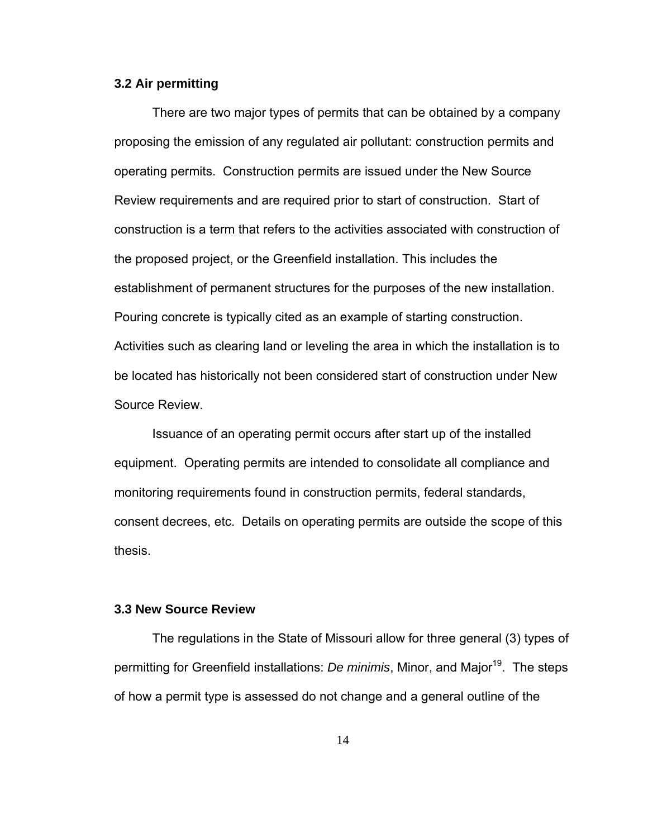#### **3.2 Air permitting**

There are two major types of permits that can be obtained by a company proposing the emission of any regulated air pollutant: construction permits and operating permits. Construction permits are issued under the New Source Review requirements and are required prior to start of construction. Start of construction is a term that refers to the activities associated with construction of the proposed project, or the Greenfield installation. This includes the establishment of permanent structures for the purposes of the new installation. Pouring concrete is typically cited as an example of starting construction. Activities such as clearing land or leveling the area in which the installation is to be located has historically not been considered start of construction under New Source Review.

Issuance of an operating permit occurs after start up of the installed equipment. Operating permits are intended to consolidate all compliance and monitoring requirements found in construction permits, federal standards, consent decrees, etc. Details on operating permits are outside the scope of this thesis.

### **3.3 New Source Review**

The regulations in the State of Missouri allow for three general (3) types of permitting for Greenfield installations: *De minimis*, Minor, and Major<sup>19</sup>. The steps of how a permit type is assessed do not change and a general outline of the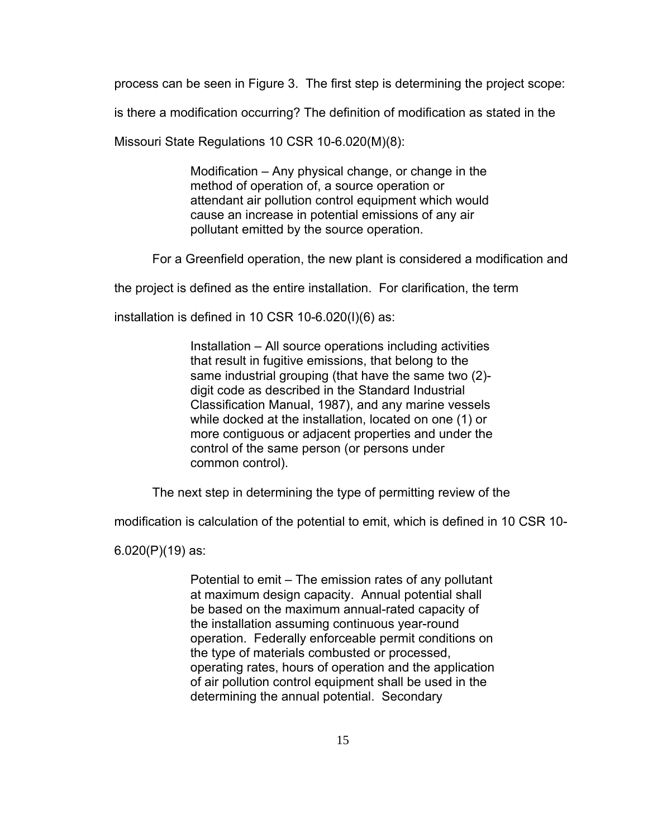process can be seen in Figure 3. The first step is determining the project scope:

is there a modification occurring? The definition of modification as stated in the

Missouri State Regulations 10 CSR 10-6.020(M)(8):

Modification – Any physical change, or change in the method of operation of, a source operation or attendant air pollution control equipment which would cause an increase in potential emissions of any air pollutant emitted by the source operation.

For a Greenfield operation, the new plant is considered a modification and

the project is defined as the entire installation. For clarification, the term

installation is defined in 10 CSR 10-6.020(I)(6) as:

Installation – All source operations including activities that result in fugitive emissions, that belong to the same industrial grouping (that have the same two (2) digit code as described in the Standard Industrial Classification Manual, 1987), and any marine vessels while docked at the installation, located on one (1) or more contiguous or adjacent properties and under the control of the same person (or persons under common control).

The next step in determining the type of permitting review of the

modification is calculation of the potential to emit, which is defined in 10 CSR 10-

6.020(P)(19) as:

Potential to emit – The emission rates of any pollutant at maximum design capacity. Annual potential shall be based on the maximum annual-rated capacity of the installation assuming continuous year-round operation. Federally enforceable permit conditions on the type of materials combusted or processed, operating rates, hours of operation and the application of air pollution control equipment shall be used in the determining the annual potential. Secondary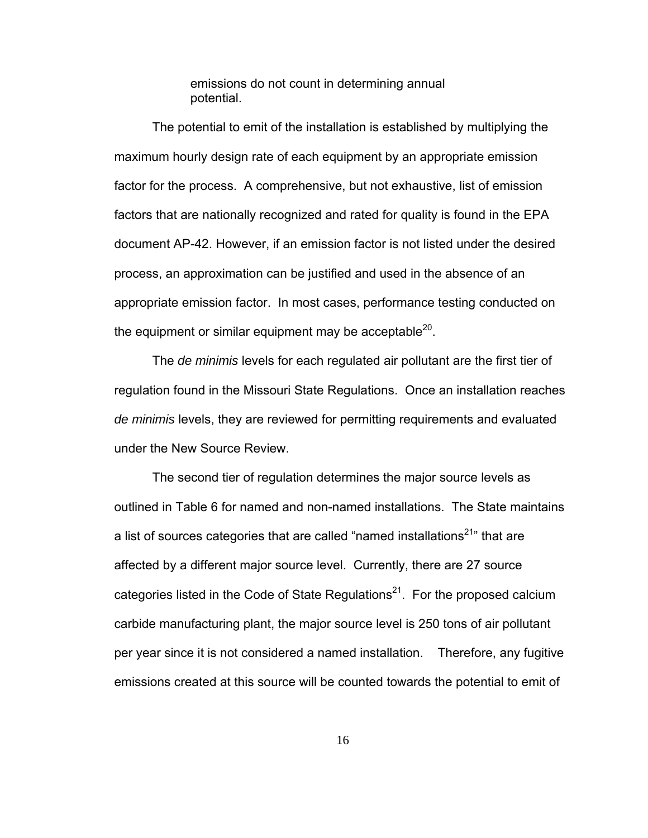emissions do not count in determining annual potential.

The potential to emit of the installation is established by multiplying the maximum hourly design rate of each equipment by an appropriate emission factor for the process. A comprehensive, but not exhaustive, list of emission factors that are nationally recognized and rated for quality is found in the EPA document AP-42. However, if an emission factor is not listed under the desired process, an approximation can be justified and used in the absence of an appropriate emission factor. In most cases, performance testing conducted on the equipment or similar equipment may be acceptable $^{20}$ .

The *de minimis* levels for each regulated air pollutant are the first tier of regulation found in the Missouri State Regulations. Once an installation reaches *de minimis* levels, they are reviewed for permitting requirements and evaluated under the New Source Review.

The second tier of regulation determines the major source levels as outlined in Table 6 for named and non-named installations. The State maintains a list of sources categories that are called "named installations<sup>21</sup>" that are affected by a different major source level. Currently, there are 27 source categories listed in the Code of State Regulations<sup>21</sup>. For the proposed calcium carbide manufacturing plant, the major source level is 250 tons of air pollutant per year since it is not considered a named installation. Therefore, any fugitive emissions created at this source will be counted towards the potential to emit of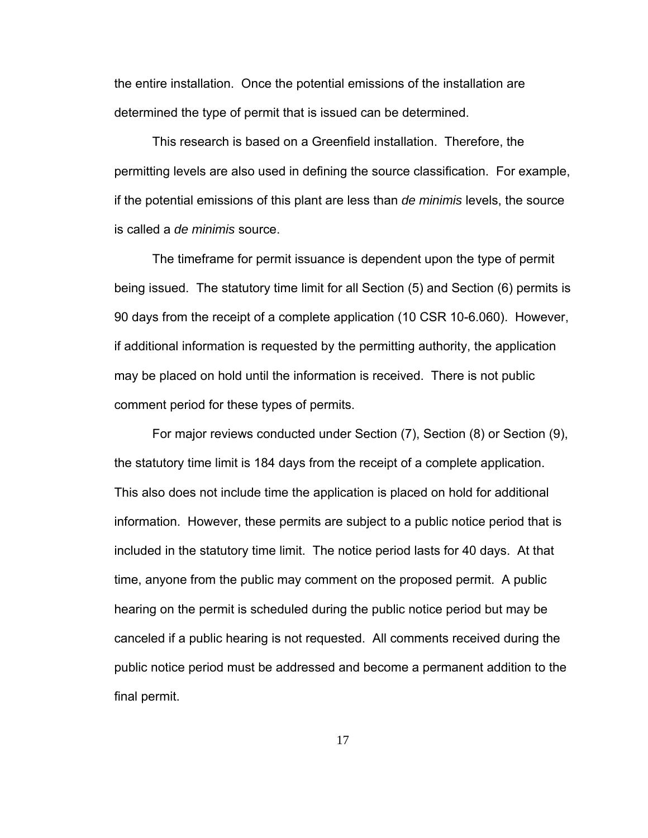the entire installation. Once the potential emissions of the installation are determined the type of permit that is issued can be determined.

This research is based on a Greenfield installation. Therefore, the permitting levels are also used in defining the source classification. For example, if the potential emissions of this plant are less than *de minimis* levels, the source is called a *de minimis* source.

 The timeframe for permit issuance is dependent upon the type of permit being issued. The statutory time limit for all Section (5) and Section (6) permits is 90 days from the receipt of a complete application (10 CSR 10-6.060). However, if additional information is requested by the permitting authority, the application may be placed on hold until the information is received. There is not public comment period for these types of permits.

For major reviews conducted under Section (7), Section (8) or Section (9), the statutory time limit is 184 days from the receipt of a complete application. This also does not include time the application is placed on hold for additional information. However, these permits are subject to a public notice period that is included in the statutory time limit. The notice period lasts for 40 days. At that time, anyone from the public may comment on the proposed permit. A public hearing on the permit is scheduled during the public notice period but may be canceled if a public hearing is not requested. All comments received during the public notice period must be addressed and become a permanent addition to the final permit.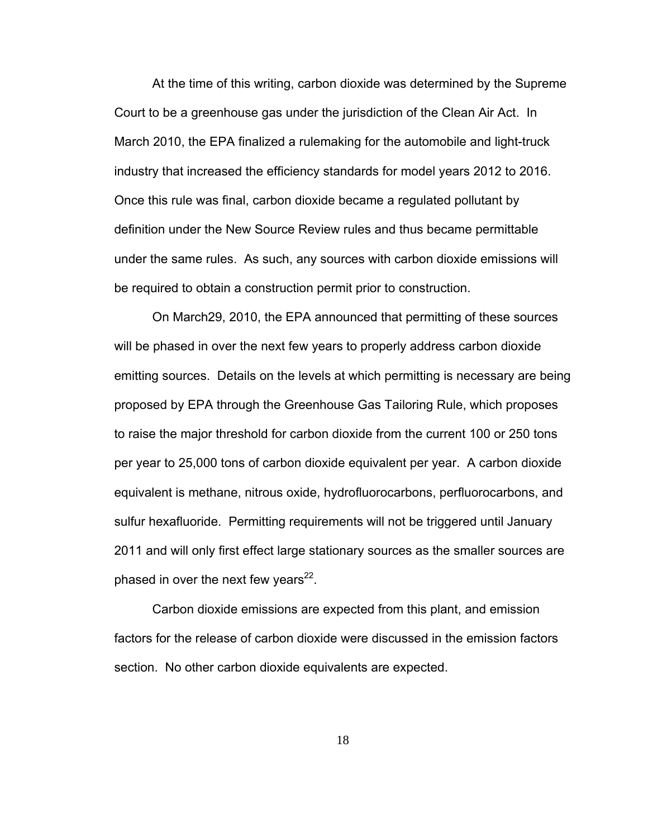At the time of this writing, carbon dioxide was determined by the Supreme Court to be a greenhouse gas under the jurisdiction of the Clean Air Act. In March 2010, the EPA finalized a rulemaking for the automobile and light-truck industry that increased the efficiency standards for model years 2012 to 2016. Once this rule was final, carbon dioxide became a regulated pollutant by definition under the New Source Review rules and thus became permittable under the same rules. As such, any sources with carbon dioxide emissions will be required to obtain a construction permit prior to construction.

On March29, 2010, the EPA announced that permitting of these sources will be phased in over the next few years to properly address carbon dioxide emitting sources. Details on the levels at which permitting is necessary are being proposed by EPA through the Greenhouse Gas Tailoring Rule, which proposes to raise the major threshold for carbon dioxide from the current 100 or 250 tons per year to 25,000 tons of carbon dioxide equivalent per year. A carbon dioxide equivalent is methane, nitrous oxide, hydrofluorocarbons, perfluorocarbons, and sulfur hexafluoride. Permitting requirements will not be triggered until January 2011 and will only first effect large stationary sources as the smaller sources are phased in over the next few years $^{22}$ .

Carbon dioxide emissions are expected from this plant, and emission factors for the release of carbon dioxide were discussed in the emission factors section. No other carbon dioxide equivalents are expected.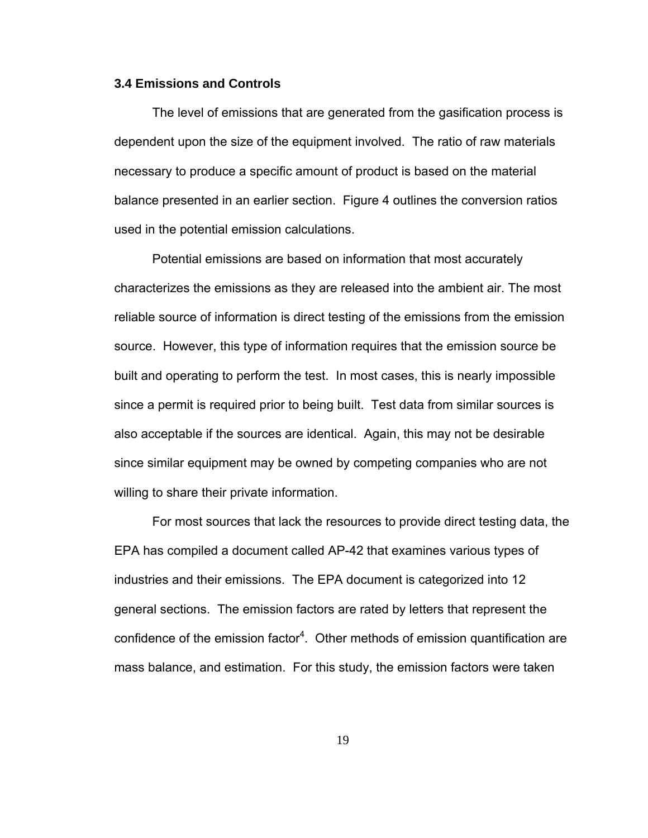#### **3.4 Emissions and Controls**

The level of emissions that are generated from the gasification process is dependent upon the size of the equipment involved. The ratio of raw materials necessary to produce a specific amount of product is based on the material balance presented in an earlier section. Figure 4 outlines the conversion ratios used in the potential emission calculations.

Potential emissions are based on information that most accurately characterizes the emissions as they are released into the ambient air. The most reliable source of information is direct testing of the emissions from the emission source. However, this type of information requires that the emission source be built and operating to perform the test. In most cases, this is nearly impossible since a permit is required prior to being built. Test data from similar sources is also acceptable if the sources are identical. Again, this may not be desirable since similar equipment may be owned by competing companies who are not willing to share their private information.

For most sources that lack the resources to provide direct testing data, the EPA has compiled a document called AP-42 that examines various types of industries and their emissions. The EPA document is categorized into 12 general sections. The emission factors are rated by letters that represent the confidence of the emission factor<sup>4</sup>. Other methods of emission quantification are mass balance, and estimation. For this study, the emission factors were taken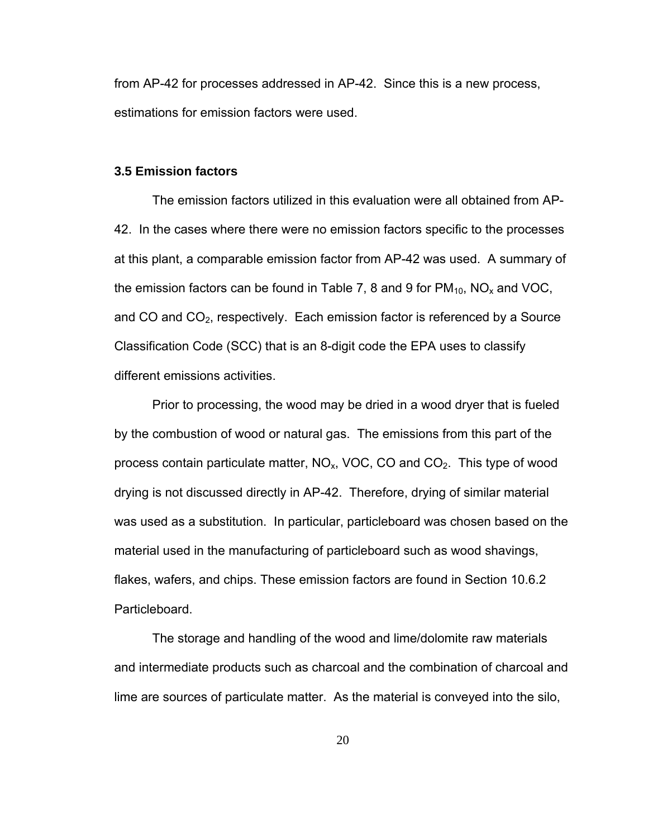from AP-42 for processes addressed in AP-42. Since this is a new process, estimations for emission factors were used.

#### **3.5 Emission factors**

The emission factors utilized in this evaluation were all obtained from AP-42. In the cases where there were no emission factors specific to the processes at this plant, a comparable emission factor from AP-42 was used. A summary of the emission factors can be found in Table 7, 8 and 9 for  $PM_{10}$ , NO<sub>x</sub> and VOC, and CO and  $CO<sub>2</sub>$ , respectively. Each emission factor is referenced by a Source Classification Code (SCC) that is an 8-digit code the EPA uses to classify different emissions activities.

Prior to processing, the wood may be dried in a wood dryer that is fueled by the combustion of wood or natural gas. The emissions from this part of the process contain particulate matter,  $NO<sub>x</sub>$ , VOC, CO and  $CO<sub>2</sub>$ . This type of wood drying is not discussed directly in AP-42. Therefore, drying of similar material was used as a substitution. In particular, particleboard was chosen based on the material used in the manufacturing of particleboard such as wood shavings, flakes, wafers, and chips. These emission factors are found in Section 10.6.2 Particleboard.

The storage and handling of the wood and lime/dolomite raw materials and intermediate products such as charcoal and the combination of charcoal and lime are sources of particulate matter. As the material is conveyed into the silo,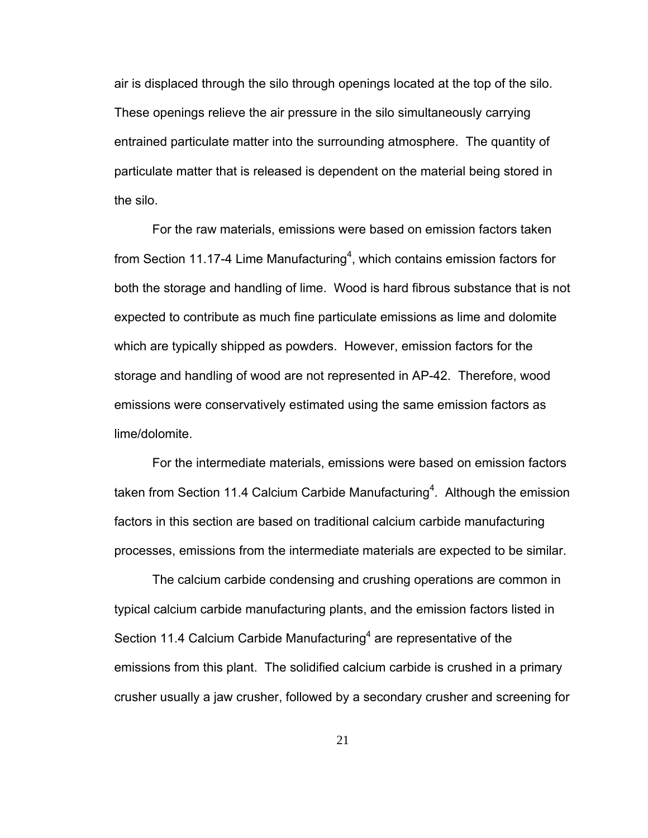air is displaced through the silo through openings located at the top of the silo. These openings relieve the air pressure in the silo simultaneously carrying entrained particulate matter into the surrounding atmosphere. The quantity of particulate matter that is released is dependent on the material being stored in the silo.

For the raw materials, emissions were based on emission factors taken from Section 11.17-4 Lime Manufacturing<sup>4</sup>, which contains emission factors for both the storage and handling of lime. Wood is hard fibrous substance that is not expected to contribute as much fine particulate emissions as lime and dolomite which are typically shipped as powders. However, emission factors for the storage and handling of wood are not represented in AP-42. Therefore, wood emissions were conservatively estimated using the same emission factors as lime/dolomite.

For the intermediate materials, emissions were based on emission factors taken from Section 11.4 Calcium Carbide Manufacturing<sup>4</sup>. Although the emission factors in this section are based on traditional calcium carbide manufacturing processes, emissions from the intermediate materials are expected to be similar.

The calcium carbide condensing and crushing operations are common in typical calcium carbide manufacturing plants, and the emission factors listed in Section 11.4 Calcium Carbide Manufacturing<sup>4</sup> are representative of the emissions from this plant. The solidified calcium carbide is crushed in a primary crusher usually a jaw crusher, followed by a secondary crusher and screening for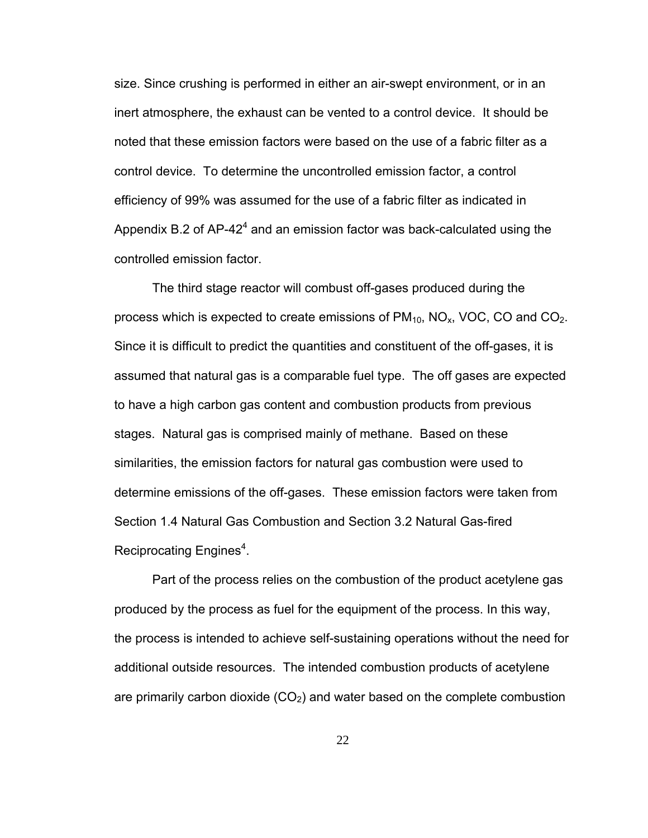size. Since crushing is performed in either an air-swept environment, or in an inert atmosphere, the exhaust can be vented to a control device. It should be noted that these emission factors were based on the use of a fabric filter as a control device. To determine the uncontrolled emission factor, a control efficiency of 99% was assumed for the use of a fabric filter as indicated in Appendix B.2 of AP-42<sup>4</sup> and an emission factor was back-calculated using the controlled emission factor.

The third stage reactor will combust off-gases produced during the process which is expected to create emissions of  $PM_{10}$ , NO<sub>x</sub>, VOC, CO and CO<sub>2</sub>. Since it is difficult to predict the quantities and constituent of the off-gases, it is assumed that natural gas is a comparable fuel type. The off gases are expected to have a high carbon gas content and combustion products from previous stages. Natural gas is comprised mainly of methane. Based on these similarities, the emission factors for natural gas combustion were used to determine emissions of the off-gases. These emission factors were taken from Section 1.4 Natural Gas Combustion and Section 3.2 Natural Gas-fired Reciprocating Engines<sup>4</sup>.

Part of the process relies on the combustion of the product acetylene gas produced by the process as fuel for the equipment of the process. In this way, the process is intended to achieve self-sustaining operations without the need for additional outside resources. The intended combustion products of acetylene are primarily carbon dioxide  $(CO<sub>2</sub>)$  and water based on the complete combustion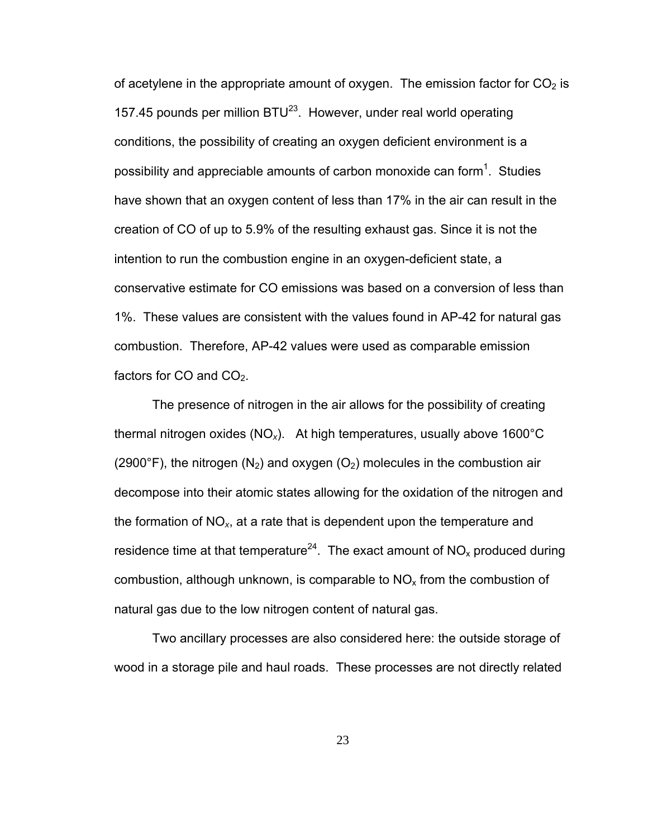of acetylene in the appropriate amount of oxygen. The emission factor for  $CO<sub>2</sub>$  is 157.45 pounds per million  $BTU^{23}$ . However, under real world operating conditions, the possibility of creating an oxygen deficient environment is a possibility and appreciable amounts of carbon monoxide can form<sup>1</sup>. Studies have shown that an oxygen content of less than 17% in the air can result in the creation of CO of up to 5.9% of the resulting exhaust gas. Since it is not the intention to run the combustion engine in an oxygen-deficient state, a conservative estimate for CO emissions was based on a conversion of less than 1%. These values are consistent with the values found in AP-42 for natural gas combustion. Therefore, AP-42 values were used as comparable emission factors for CO and  $CO<sub>2</sub>$ .

The presence of nitrogen in the air allows for the possibility of creating thermal nitrogen oxides (NO*x*). At high temperatures, usually above 1600°C (2900°F), the nitrogen (N<sub>2</sub>) and oxygen (O<sub>2</sub>) molecules in the combustion air decompose into their atomic states allowing for the oxidation of the nitrogen and the formation of NO*x*, at a rate that is dependent upon the temperature and residence time at that temperature<sup>24</sup>. The exact amount of  $NO_x$  produced during combustion, although unknown, is comparable to  $NO<sub>x</sub>$  from the combustion of natural gas due to the low nitrogen content of natural gas.

Two ancillary processes are also considered here: the outside storage of wood in a storage pile and haul roads. These processes are not directly related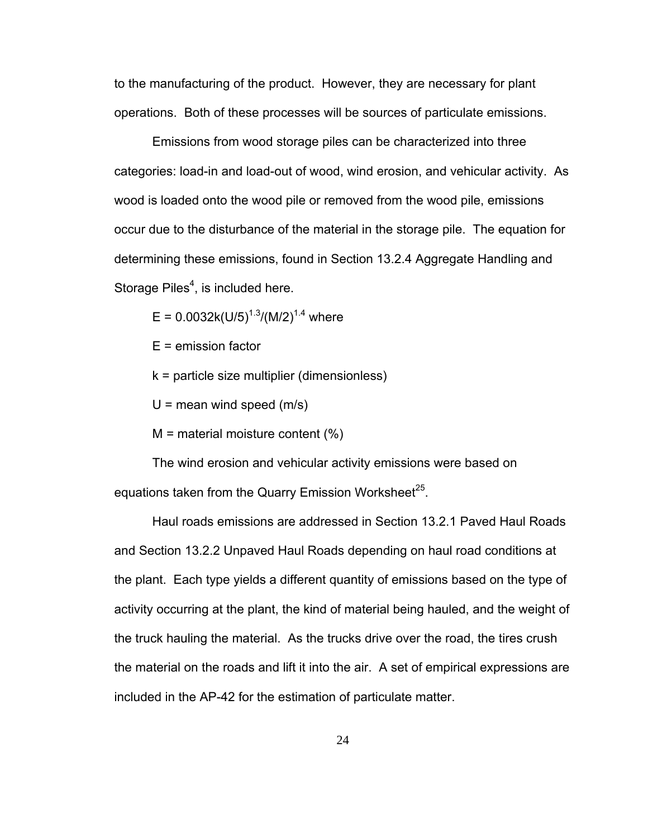to the manufacturing of the product. However, they are necessary for plant operations. Both of these processes will be sources of particulate emissions.

Emissions from wood storage piles can be characterized into three categories: load-in and load-out of wood, wind erosion, and vehicular activity. As wood is loaded onto the wood pile or removed from the wood pile, emissions occur due to the disturbance of the material in the storage pile. The equation for determining these emissions, found in Section 13.2.4 Aggregate Handling and Storage Piles<sup>4</sup>, is included here.

 $E = 0.0032k(U/5)^{1.3} / (M/2)^{1.4}$  where

- E = emission factor
- k = particle size multiplier (dimensionless)
- $U =$  mean wind speed (m/s)
- $M$  = material moisture content  $(\%)$

The wind erosion and vehicular activity emissions were based on equations taken from the Quarry Emission Worksheet<sup>25</sup>.

Haul roads emissions are addressed in Section 13.2.1 Paved Haul Roads and Section 13.2.2 Unpaved Haul Roads depending on haul road conditions at the plant. Each type yields a different quantity of emissions based on the type of activity occurring at the plant, the kind of material being hauled, and the weight of the truck hauling the material. As the trucks drive over the road, the tires crush the material on the roads and lift it into the air. A set of empirical expressions are included in the AP-42 for the estimation of particulate matter.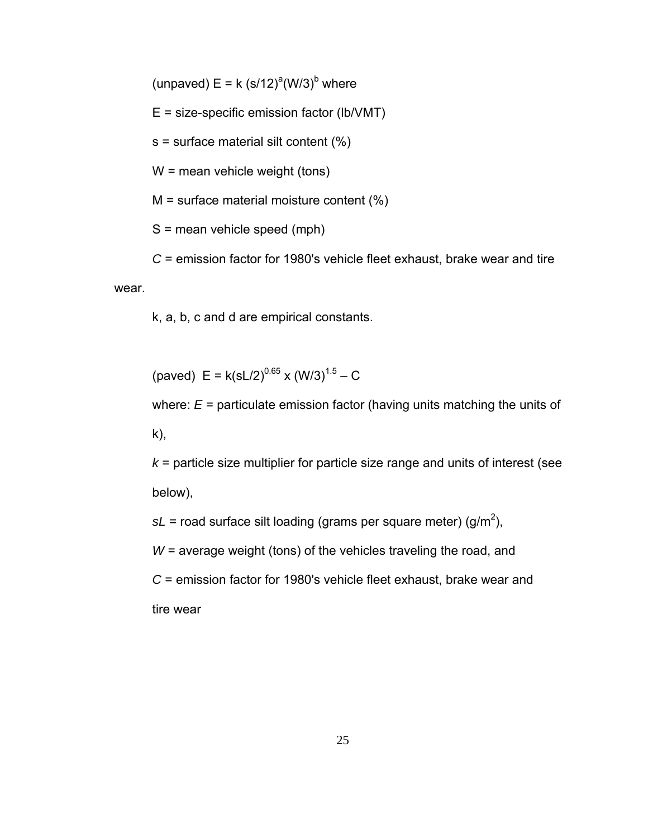(unpaved)  $E = k (s/12)^{a} (W/3)^{b}$  where

E = size-specific emission factor (lb/VMT)

s = surface material silt content (%)

W = mean vehicle weight (tons)

M = surface material moisture content (%)

S = mean vehicle speed (mph)

*C* = emission factor for 1980's vehicle fleet exhaust, brake wear and tire wear

k, a, b, c and d are empirical constants.

(paved)  $E = k(sL/2)^{0.65} \times (W/3)^{1.5} - C$ 

where: *E* = particulate emission factor (having units matching the units of k),

*k* = particle size multiplier for particle size range and units of interest (see below),

 $sL$  = road surface silt loading (grams per square meter) (g/m<sup>2</sup>),

*W* = average weight (tons) of the vehicles traveling the road, and

*C* = emission factor for 1980's vehicle fleet exhaust, brake wear and tire wear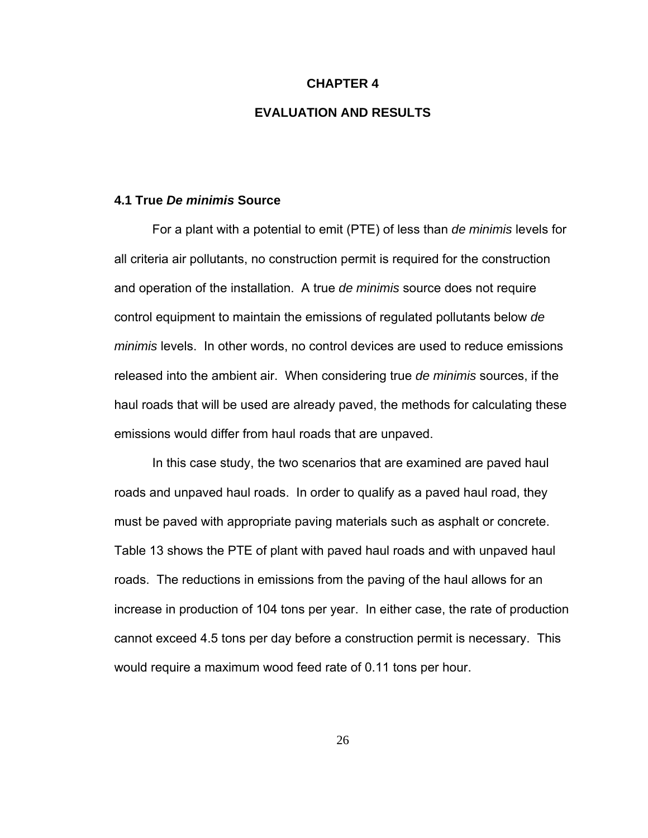#### **CHAPTER 4**

## **EVALUATION AND RESULTS**

#### **4.1 True** *De minimis* **Source**

For a plant with a potential to emit (PTE) of less than *de minimis* levels for all criteria air pollutants, no construction permit is required for the construction and operation of the installation. A true *de minimis* source does not require control equipment to maintain the emissions of regulated pollutants below *de minimis* levels. In other words, no control devices are used to reduce emissions released into the ambient air. When considering true *de minimis* sources, if the haul roads that will be used are already paved, the methods for calculating these emissions would differ from haul roads that are unpaved.

In this case study, the two scenarios that are examined are paved haul roads and unpaved haul roads. In order to qualify as a paved haul road, they must be paved with appropriate paving materials such as asphalt or concrete. Table 13 shows the PTE of plant with paved haul roads and with unpaved haul roads. The reductions in emissions from the paving of the haul allows for an increase in production of 104 tons per year. In either case, the rate of production cannot exceed 4.5 tons per day before a construction permit is necessary. This would require a maximum wood feed rate of 0.11 tons per hour.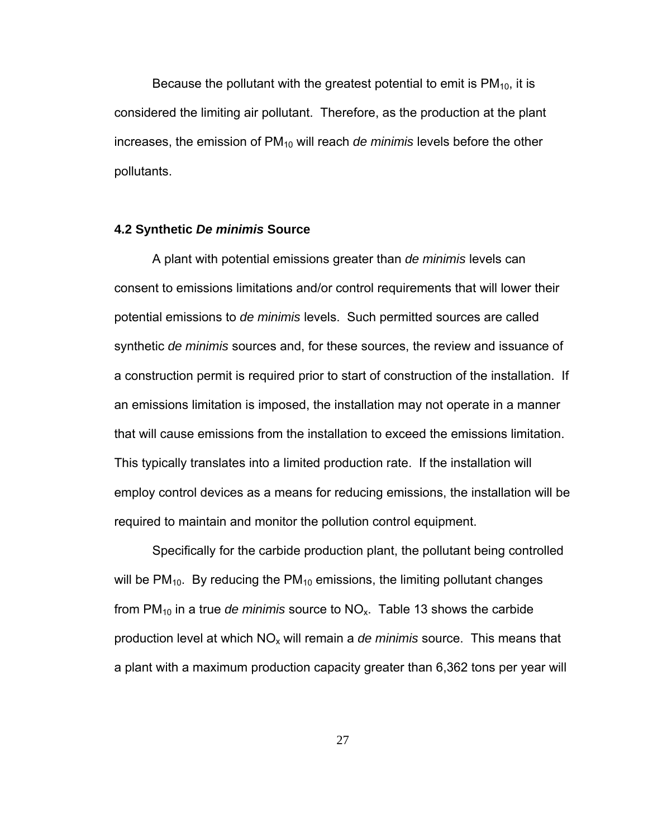Because the pollutant with the greatest potential to emit is  $PM<sub>10</sub>$ , it is considered the limiting air pollutant. Therefore, as the production at the plant increases, the emission of PM<sub>10</sub> will reach *de minimis* levels before the other pollutants.

#### **4.2 Synthetic** *De minimis* **Source**

A plant with potential emissions greater than *de minimis* levels can consent to emissions limitations and/or control requirements that will lower their potential emissions to *de minimis* levels. Such permitted sources are called synthetic *de minimis* sources and, for these sources, the review and issuance of a construction permit is required prior to start of construction of the installation. If an emissions limitation is imposed, the installation may not operate in a manner that will cause emissions from the installation to exceed the emissions limitation. This typically translates into a limited production rate. If the installation will employ control devices as a means for reducing emissions, the installation will be required to maintain and monitor the pollution control equipment.

Specifically for the carbide production plant, the pollutant being controlled will be  $PM_{10}$ . By reducing the  $PM_{10}$  emissions, the limiting pollutant changes from PM10 in a true *de minimis* source to NOx. Table 13 shows the carbide production level at which NO<sub>x</sub> will remain a *de minimis* source. This means that a plant with a maximum production capacity greater than 6,362 tons per year will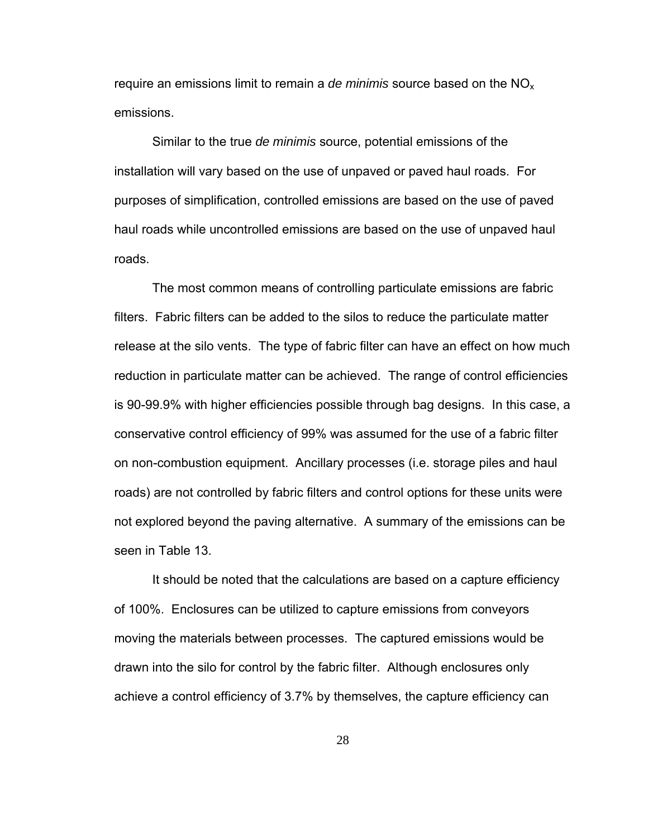require an emissions limit to remain a *de minimis* source based on the NOx emissions.

Similar to the true *de minimis* source, potential emissions of the installation will vary based on the use of unpaved or paved haul roads. For purposes of simplification, controlled emissions are based on the use of paved haul roads while uncontrolled emissions are based on the use of unpaved haul roads.

The most common means of controlling particulate emissions are fabric filters. Fabric filters can be added to the silos to reduce the particulate matter release at the silo vents. The type of fabric filter can have an effect on how much reduction in particulate matter can be achieved. The range of control efficiencies is 90-99.9% with higher efficiencies possible through bag designs. In this case, a conservative control efficiency of 99% was assumed for the use of a fabric filter on non-combustion equipment. Ancillary processes (i.e. storage piles and haul roads) are not controlled by fabric filters and control options for these units were not explored beyond the paving alternative. A summary of the emissions can be seen in Table 13.

It should be noted that the calculations are based on a capture efficiency of 100%. Enclosures can be utilized to capture emissions from conveyors moving the materials between processes. The captured emissions would be drawn into the silo for control by the fabric filter. Although enclosures only achieve a control efficiency of 3.7% by themselves, the capture efficiency can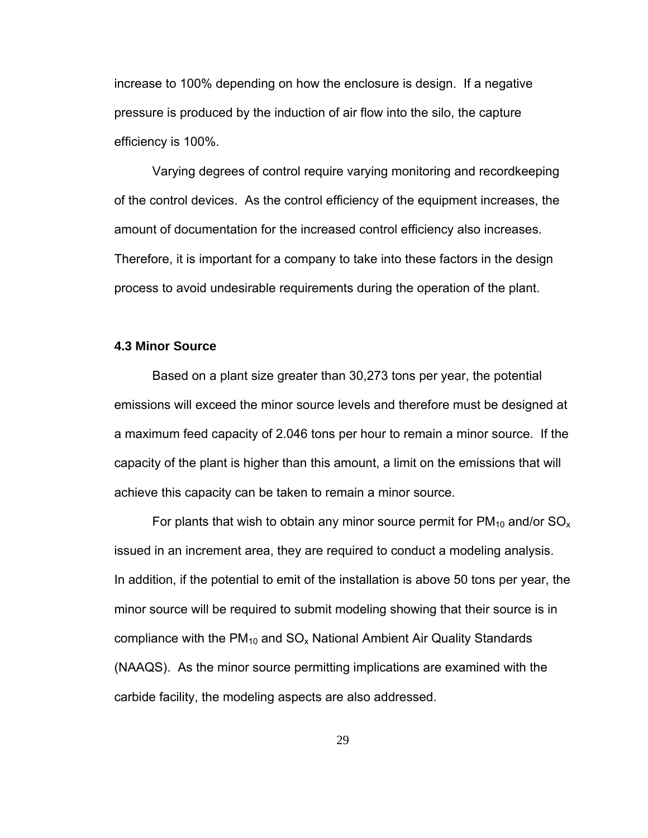increase to 100% depending on how the enclosure is design. If a negative pressure is produced by the induction of air flow into the silo, the capture efficiency is 100%.

Varying degrees of control require varying monitoring and recordkeeping of the control devices. As the control efficiency of the equipment increases, the amount of documentation for the increased control efficiency also increases. Therefore, it is important for a company to take into these factors in the design process to avoid undesirable requirements during the operation of the plant.

#### **4.3 Minor Source**

Based on a plant size greater than 30,273 tons per year, the potential emissions will exceed the minor source levels and therefore must be designed at a maximum feed capacity of 2.046 tons per hour to remain a minor source. If the capacity of the plant is higher than this amount, a limit on the emissions that will achieve this capacity can be taken to remain a minor source.

For plants that wish to obtain any minor source permit for  $PM_{10}$  and/or  $SO_{x}$ issued in an increment area, they are required to conduct a modeling analysis. In addition, if the potential to emit of the installation is above 50 tons per year, the minor source will be required to submit modeling showing that their source is in compliance with the  $PM_{10}$  and  $SO_x$  National Ambient Air Quality Standards (NAAQS). As the minor source permitting implications are examined with the carbide facility, the modeling aspects are also addressed.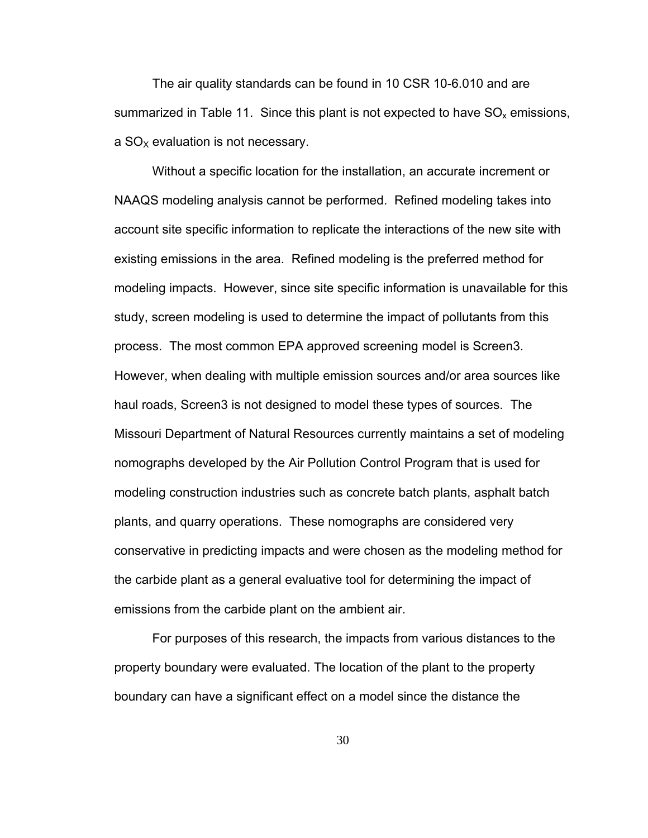The air quality standards can be found in 10 CSR 10-6.010 and are summarized in Table 11. Since this plant is not expected to have  $SO_x$  emissions, a  $SO<sub>x</sub>$  evaluation is not necessary.

Without a specific location for the installation, an accurate increment or NAAQS modeling analysis cannot be performed. Refined modeling takes into account site specific information to replicate the interactions of the new site with existing emissions in the area. Refined modeling is the preferred method for modeling impacts. However, since site specific information is unavailable for this study, screen modeling is used to determine the impact of pollutants from this process. The most common EPA approved screening model is Screen3. However, when dealing with multiple emission sources and/or area sources like haul roads, Screen3 is not designed to model these types of sources. The Missouri Department of Natural Resources currently maintains a set of modeling nomographs developed by the Air Pollution Control Program that is used for modeling construction industries such as concrete batch plants, asphalt batch plants, and quarry operations. These nomographs are considered very conservative in predicting impacts and were chosen as the modeling method for the carbide plant as a general evaluative tool for determining the impact of emissions from the carbide plant on the ambient air.

For purposes of this research, the impacts from various distances to the property boundary were evaluated. The location of the plant to the property boundary can have a significant effect on a model since the distance the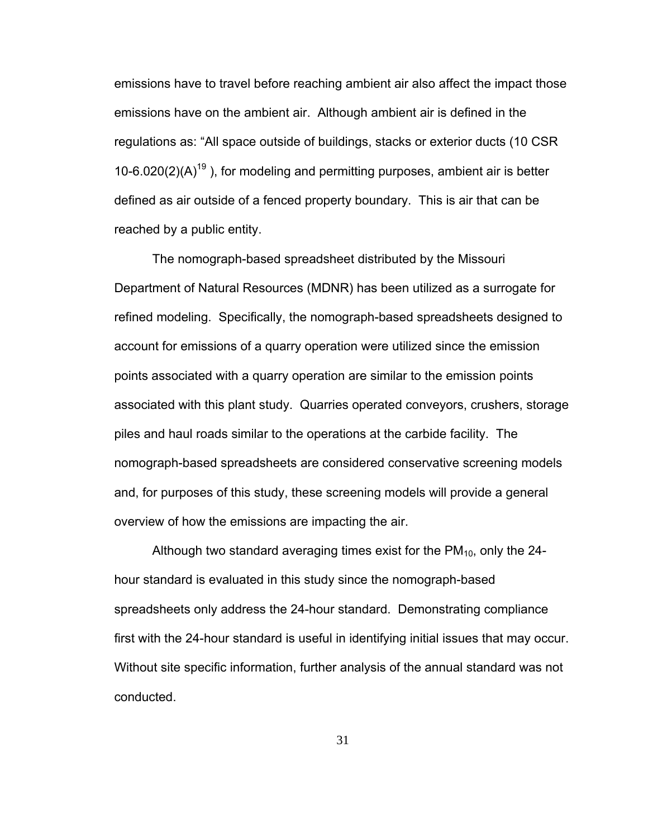emissions have to travel before reaching ambient air also affect the impact those emissions have on the ambient air. Although ambient air is defined in the regulations as: "All space outside of buildings, stacks or exterior ducts (10 CSR 10-6.020(2)(A)<sup>19</sup>), for modeling and permitting purposes, ambient air is better defined as air outside of a fenced property boundary. This is air that can be reached by a public entity.

The nomograph-based spreadsheet distributed by the Missouri Department of Natural Resources (MDNR) has been utilized as a surrogate for refined modeling. Specifically, the nomograph-based spreadsheets designed to account for emissions of a quarry operation were utilized since the emission points associated with a quarry operation are similar to the emission points associated with this plant study. Quarries operated conveyors, crushers, storage piles and haul roads similar to the operations at the carbide facility. The nomograph-based spreadsheets are considered conservative screening models and, for purposes of this study, these screening models will provide a general overview of how the emissions are impacting the air.

Although two standard averaging times exist for the  $PM_{10}$ , only the 24hour standard is evaluated in this study since the nomograph-based spreadsheets only address the 24-hour standard. Demonstrating compliance first with the 24-hour standard is useful in identifying initial issues that may occur. Without site specific information, further analysis of the annual standard was not conducted.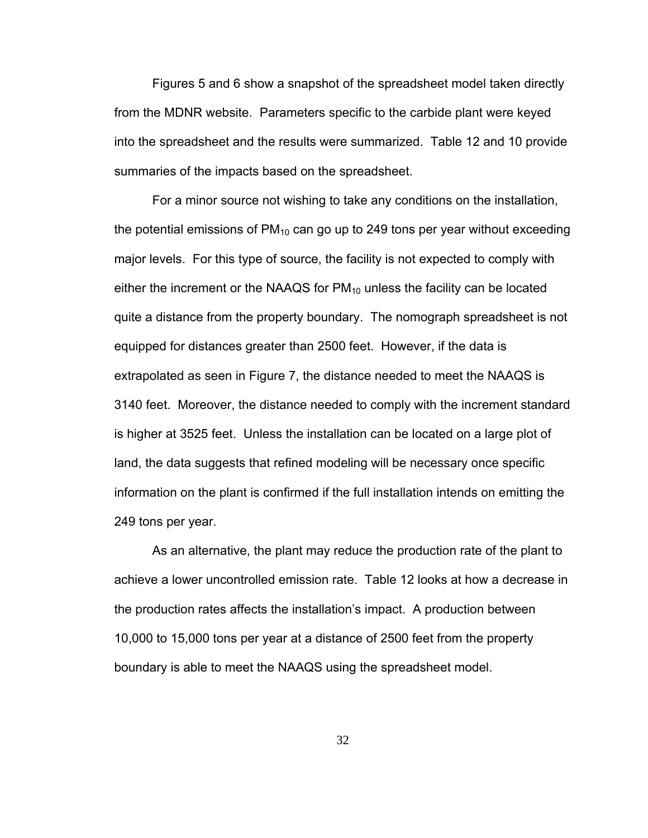Figures 5 and 6 show a snapshot of the spreadsheet model taken directly from the MDNR website. Parameters specific to the carbide plant were keyed into the spreadsheet and the results were summarized. Table 12 and 10 provide summaries of the impacts based on the spreadsheet.

For a minor source not wishing to take any conditions on the installation, the potential emissions of  $PM_{10}$  can go up to 249 tons per year without exceeding major levels. For this type of source, the facility is not expected to comply with either the increment or the NAAQS for  $PM_{10}$  unless the facility can be located quite a distance from the property boundary. The nomograph spreadsheet is not equipped for distances greater than 2500 feet. However, if the data is extrapolated as seen in Figure 7, the distance needed to meet the NAAQS is 3140 feet. Moreover, the distance needed to comply with the increment standard is higher at 3525 feet. Unless the installation can be located on a large plot of land, the data suggests that refined modeling will be necessary once specific information on the plant is confirmed if the full installation intends on emitting the 249 tons per year.

As an alternative, the plant may reduce the production rate of the plant to achieve a lower uncontrolled emission rate. Table 12 looks at how a decrease in the production rates affects the installation's impact. A production between 10,000 to 15,000 tons per year at a distance of 2500 feet from the property boundary is able to meet the NAAQS using the spreadsheet model.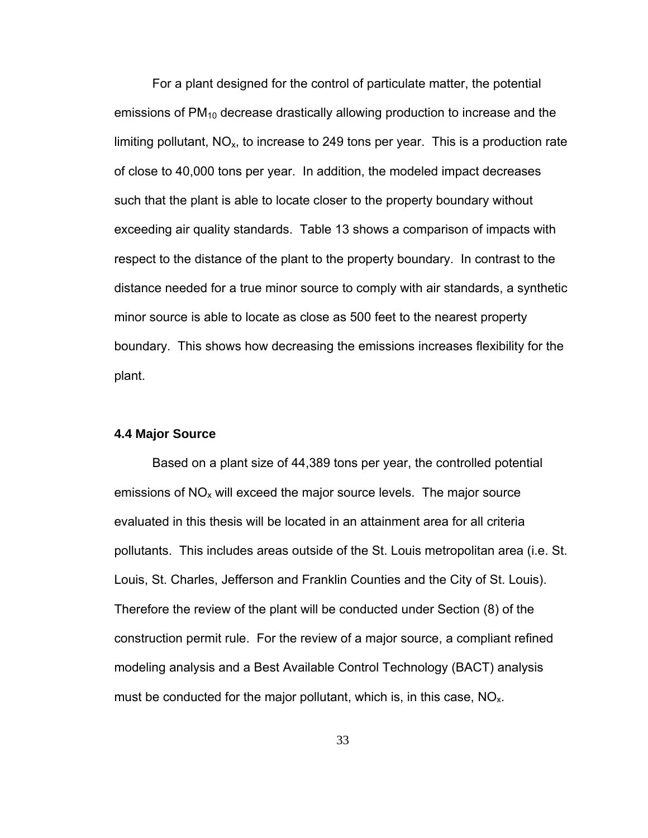For a plant designed for the control of particulate matter, the potential emissions of  $PM_{10}$  decrease drastically allowing production to increase and the limiting pollutant,  $NO<sub>x</sub>$ , to increase to 249 tons per year. This is a production rate of close to 40,000 tons per year. In addition, the modeled impact decreases such that the plant is able to locate closer to the property boundary without exceeding air quality standards. Table 13 shows a comparison of impacts with respect to the distance of the plant to the property boundary. In contrast to the distance needed for a true minor source to comply with air standards, a synthetic minor source is able to locate as close as 500 feet to the nearest property boundary. This shows how decreasing the emissions increases flexibility for the plant.

### **4.4 Major Source**

Based on a plant size of 44,389 tons per year, the controlled potential emissions of  $NO<sub>x</sub>$  will exceed the major source levels. The major source evaluated in this thesis will be located in an attainment area for all criteria pollutants. This includes areas outside of the St. Louis metropolitan area (i.e. St. Louis, St. Charles, Jefferson and Franklin Counties and the City of St. Louis). Therefore the review of the plant will be conducted under Section (8) of the construction permit rule. For the review of a major source, a compliant refined modeling analysis and a Best Available Control Technology (BACT) analysis must be conducted for the major pollutant, which is, in this case,  $NO<sub>x</sub>$ .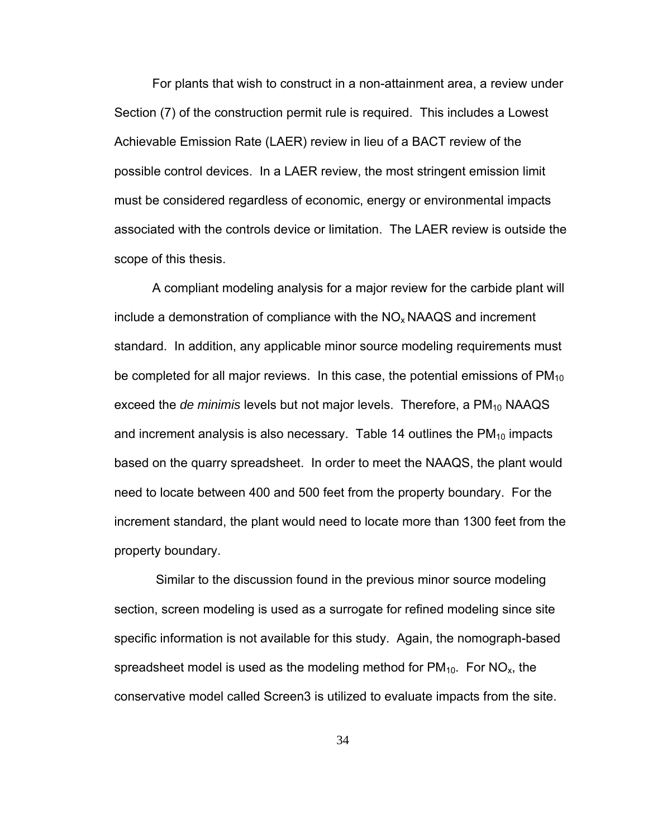For plants that wish to construct in a non-attainment area, a review under Section (7) of the construction permit rule is required. This includes a Lowest Achievable Emission Rate (LAER) review in lieu of a BACT review of the possible control devices. In a LAER review, the most stringent emission limit must be considered regardless of economic, energy or environmental impacts associated with the controls device or limitation. The LAER review is outside the scope of this thesis.

A compliant modeling analysis for a major review for the carbide plant will include a demonstration of compliance with the  $NO<sub>x</sub>$  NAAQS and increment standard. In addition, any applicable minor source modeling requirements must be completed for all major reviews. In this case, the potential emissions of  $PM_{10}$ exceed the *de minimis* levels but not major levels. Therefore, a PM<sub>10</sub> NAAQS and increment analysis is also necessary. Table 14 outlines the  $PM_{10}$  impacts based on the quarry spreadsheet. In order to meet the NAAQS, the plant would need to locate between 400 and 500 feet from the property boundary. For the increment standard, the plant would need to locate more than 1300 feet from the property boundary.

 Similar to the discussion found in the previous minor source modeling section, screen modeling is used as a surrogate for refined modeling since site specific information is not available for this study. Again, the nomograph-based spreadsheet model is used as the modeling method for  $PM_{10}$ . For  $NO_{x}$ , the conservative model called Screen3 is utilized to evaluate impacts from the site.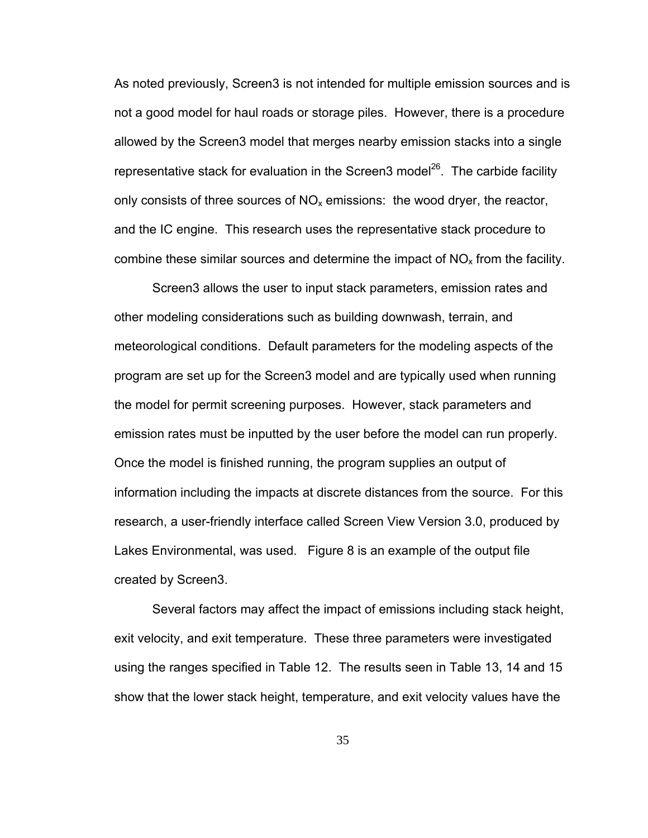As noted previously, Screen3 is not intended for multiple emission sources and is not a good model for haul roads or storage piles. However, there is a procedure allowed by the Screen3 model that merges nearby emission stacks into a single representative stack for evaluation in the Screen3 model<sup>26</sup>. The carbide facility only consists of three sources of  $NO<sub>x</sub>$  emissions: the wood dryer, the reactor, and the IC engine. This research uses the representative stack procedure to combine these similar sources and determine the impact of  $NO<sub>x</sub>$  from the facility.

Screen3 allows the user to input stack parameters, emission rates and other modeling considerations such as building downwash, terrain, and meteorological conditions. Default parameters for the modeling aspects of the program are set up for the Screen3 model and are typically used when running the model for permit screening purposes. However, stack parameters and emission rates must be inputted by the user before the model can run properly. Once the model is finished running, the program supplies an output of information including the impacts at discrete distances from the source. For this research, a user-friendly interface called Screen View Version 3.0, produced by Lakes Environmental, was used. Figure 8 is an example of the output file created by Screen3.

Several factors may affect the impact of emissions including stack height, exit velocity, and exit temperature. These three parameters were investigated using the ranges specified in Table 12. The results seen in Table 13, 14 and 15 show that the lower stack height, temperature, and exit velocity values have the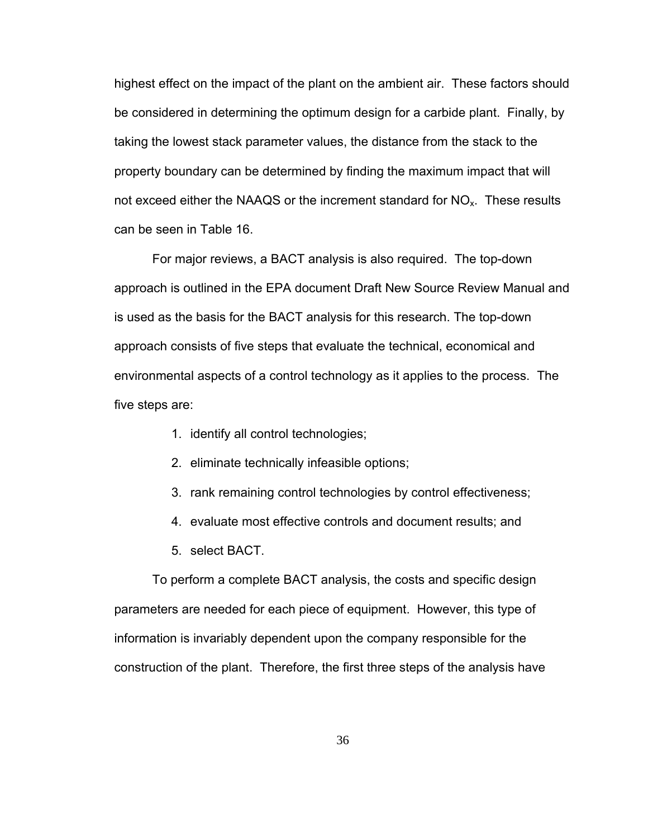highest effect on the impact of the plant on the ambient air. These factors should be considered in determining the optimum design for a carbide plant. Finally, by taking the lowest stack parameter values, the distance from the stack to the property boundary can be determined by finding the maximum impact that will not exceed either the NAAQS or the increment standard for  $NO_{x}$ . These results can be seen in Table 16.

For major reviews, a BACT analysis is also required. The top-down approach is outlined in the EPA document Draft New Source Review Manual and is used as the basis for the BACT analysis for this research. The top-down approach consists of five steps that evaluate the technical, economical and environmental aspects of a control technology as it applies to the process. The five steps are:

- 1. identify all control technologies;
- 2. eliminate technically infeasible options;
- 3. rank remaining control technologies by control effectiveness;
- 4. evaluate most effective controls and document results; and
- 5. select BACT.

To perform a complete BACT analysis, the costs and specific design parameters are needed for each piece of equipment. However, this type of information is invariably dependent upon the company responsible for the construction of the plant. Therefore, the first three steps of the analysis have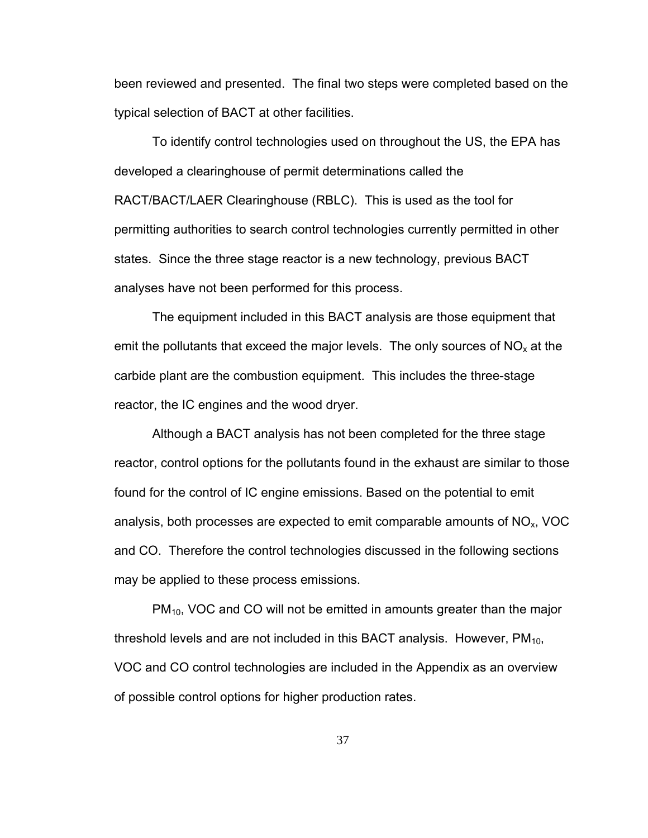been reviewed and presented. The final two steps were completed based on the typical selection of BACT at other facilities.

To identify control technologies used on throughout the US, the EPA has developed a clearinghouse of permit determinations called the RACT/BACT/LAER Clearinghouse (RBLC). This is used as the tool for permitting authorities to search control technologies currently permitted in other states. Since the three stage reactor is a new technology, previous BACT analyses have not been performed for this process.

The equipment included in this BACT analysis are those equipment that emit the pollutants that exceed the major levels. The only sources of  $NO<sub>x</sub>$  at the carbide plant are the combustion equipment. This includes the three-stage reactor, the IC engines and the wood dryer.

 Although a BACT analysis has not been completed for the three stage reactor, control options for the pollutants found in the exhaust are similar to those found for the control of IC engine emissions. Based on the potential to emit analysis, both processes are expected to emit comparable amounts of  $NO<sub>x</sub>$ , VOC and CO. Therefore the control technologies discussed in the following sections may be applied to these process emissions.

 $PM<sub>10</sub>$ , VOC and CO will not be emitted in amounts greater than the major threshold levels and are not included in this BACT analysis. However,  $PM_{10}$ , VOC and CO control technologies are included in the Appendix as an overview of possible control options for higher production rates.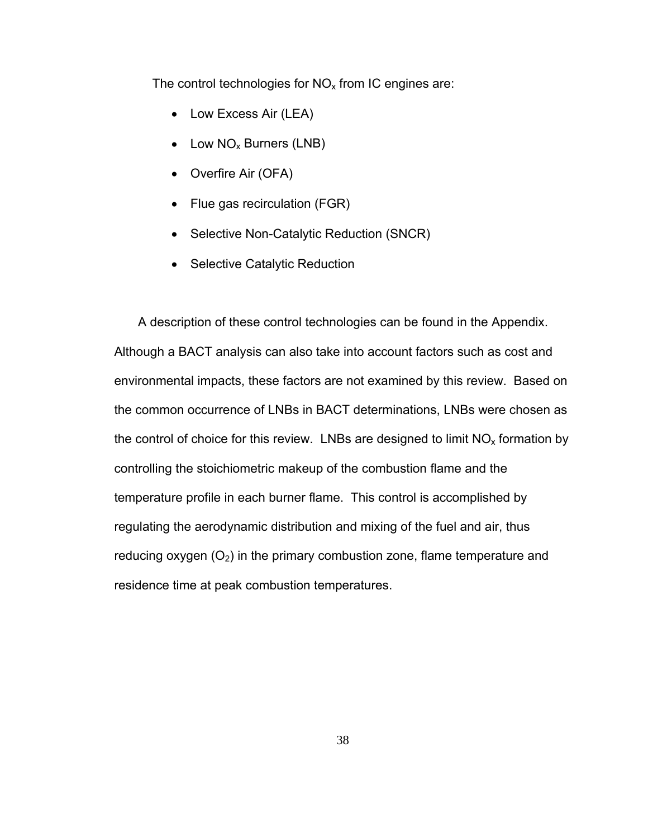The control technologies for  $NO<sub>x</sub>$  from IC engines are:

- Low Excess Air (LEA)
- Low  $NO_x$  Burners (LNB)
- Overfire Air (OFA)
- Flue gas recirculation (FGR)
- Selective Non-Catalytic Reduction (SNCR)
- Selective Catalytic Reduction

 A description of these control technologies can be found in the Appendix. Although a BACT analysis can also take into account factors such as cost and environmental impacts, these factors are not examined by this review. Based on the common occurrence of LNBs in BACT determinations, LNBs were chosen as the control of choice for this review. LNBs are designed to limit  $NO<sub>x</sub>$  formation by controlling the stoichiometric makeup of the combustion flame and the temperature profile in each burner flame. This control is accomplished by regulating the aerodynamic distribution and mixing of the fuel and air, thus reducing oxygen  $(O_2)$  in the primary combustion zone, flame temperature and residence time at peak combustion temperatures.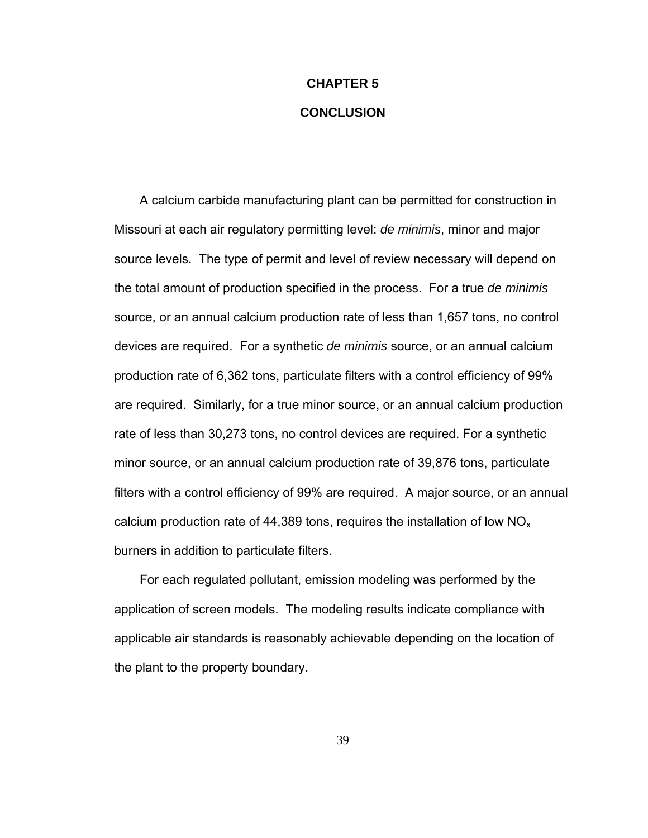# **CHAPTER 5 CONCLUSION**

 A calcium carbide manufacturing plant can be permitted for construction in Missouri at each air regulatory permitting level: *de minimis*, minor and major source levels. The type of permit and level of review necessary will depend on the total amount of production specified in the process. For a true *de minimis* source, or an annual calcium production rate of less than 1,657 tons, no control devices are required. For a synthetic *de minimis* source, or an annual calcium production rate of 6,362 tons, particulate filters with a control efficiency of 99% are required. Similarly, for a true minor source, or an annual calcium production rate of less than 30,273 tons, no control devices are required. For a synthetic minor source, or an annual calcium production rate of 39,876 tons, particulate filters with a control efficiency of 99% are required. A major source, or an annual calcium production rate of 44,389 tons, requires the installation of low  $NO<sub>x</sub>$ burners in addition to particulate filters.

 For each regulated pollutant, emission modeling was performed by the application of screen models. The modeling results indicate compliance with applicable air standards is reasonably achievable depending on the location of the plant to the property boundary.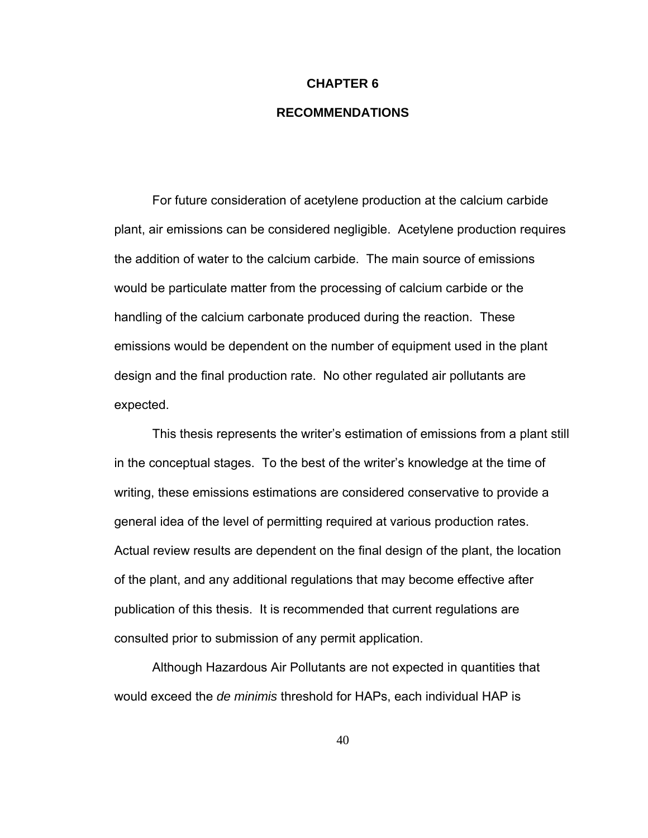### **CHAPTER 6**

## **RECOMMENDATIONS**

 For future consideration of acetylene production at the calcium carbide plant, air emissions can be considered negligible. Acetylene production requires the addition of water to the calcium carbide. The main source of emissions would be particulate matter from the processing of calcium carbide or the handling of the calcium carbonate produced during the reaction. These emissions would be dependent on the number of equipment used in the plant design and the final production rate. No other regulated air pollutants are expected.

This thesis represents the writer's estimation of emissions from a plant still in the conceptual stages. To the best of the writer's knowledge at the time of writing, these emissions estimations are considered conservative to provide a general idea of the level of permitting required at various production rates. Actual review results are dependent on the final design of the plant, the location of the plant, and any additional regulations that may become effective after publication of this thesis. It is recommended that current regulations are consulted prior to submission of any permit application.

Although Hazardous Air Pollutants are not expected in quantities that would exceed the *de minimis* threshold for HAPs, each individual HAP is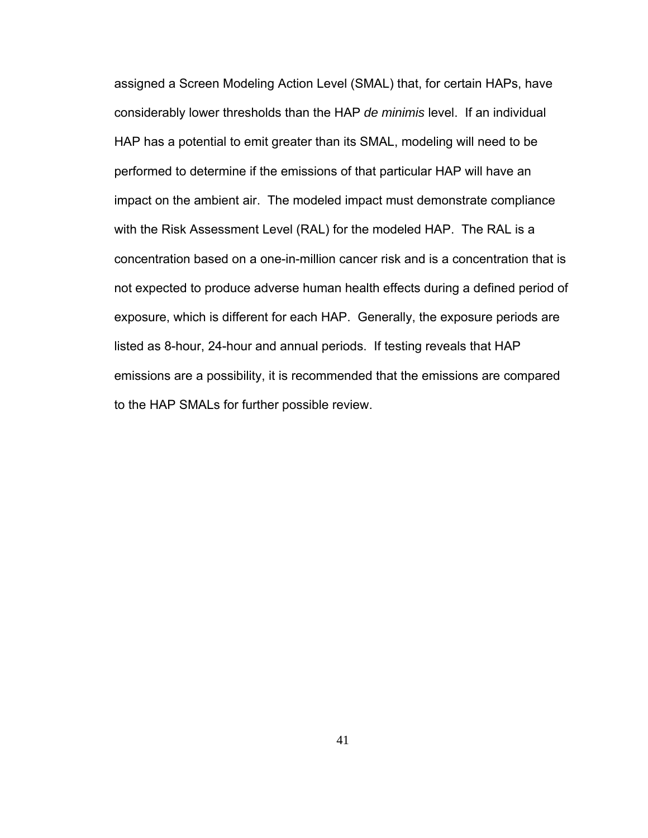assigned a Screen Modeling Action Level (SMAL) that, for certain HAPs, have considerably lower thresholds than the HAP *de minimis* level. If an individual HAP has a potential to emit greater than its SMAL, modeling will need to be performed to determine if the emissions of that particular HAP will have an impact on the ambient air. The modeled impact must demonstrate compliance with the Risk Assessment Level (RAL) for the modeled HAP. The RAL is a concentration based on a one-in-million cancer risk and is a concentration that is not expected to produce adverse human health effects during a defined period of exposure, which is different for each HAP. Generally, the exposure periods are listed as 8-hour, 24-hour and annual periods. If testing reveals that HAP emissions are a possibility, it is recommended that the emissions are compared to the HAP SMALs for further possible review.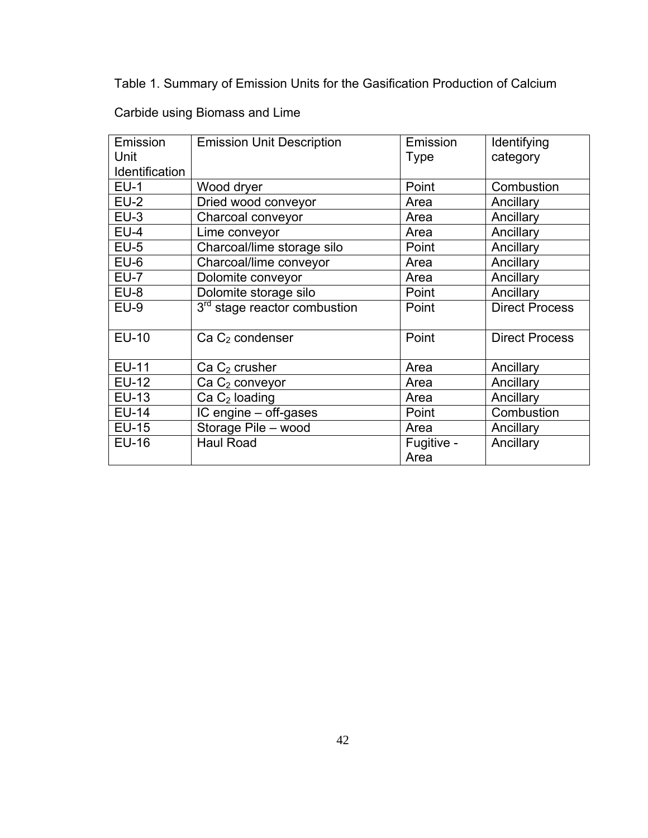Table 1. Summary of Emission Units for the Gasification Production of Calcium

| Emission       | <b>Emission Unit Description</b>         | Emission           | Identifying           |
|----------------|------------------------------------------|--------------------|-----------------------|
| Unit           |                                          | <b>Type</b>        | category              |
| Identification |                                          |                    |                       |
| $EU-1$         | Wood dryer                               | Point              | Combustion            |
| $EU-2$         | Dried wood conveyor                      | Area               | Ancillary             |
| $EU-3$         | Charcoal conveyor                        | Area               | Ancillary             |
| $EU-4$         | Lime conveyor                            | Area               | Ancillary             |
| $EU-5$         | Charcoal/lime storage silo               | Point              | Ancillary             |
| $EU-6$         | Charcoal/lime conveyor                   | Area               | Ancillary             |
| $EU-7$         | Dolomite conveyor                        | Area               | Ancillary             |
| $EU-8$         | Dolomite storage silo                    | Point              | Ancillary             |
| $EU-9$         | 3 <sup>rd</sup> stage reactor combustion | Point              | <b>Direct Process</b> |
| <b>EU-10</b>   | Ca C <sub>2</sub> condenser              | Point              | <b>Direct Process</b> |
| <b>EU-11</b>   | $Ca C2$ crusher                          | Area               | Ancillary             |
| <b>EU-12</b>   | $Ca C2$ conveyor                         | Area               | Ancillary             |
| <b>EU-13</b>   | $Ca C2$ loading                          | Area               | Ancillary             |
| <b>EU-14</b>   | IC engine - off-gases                    | Point              | Combustion            |
| <b>EU-15</b>   | Storage Pile - wood                      | Area               | Ancillary             |
| <b>EU-16</b>   | <b>Haul Road</b>                         | Fugitive -<br>Area | Ancillary             |

Carbide using Biomass and Lime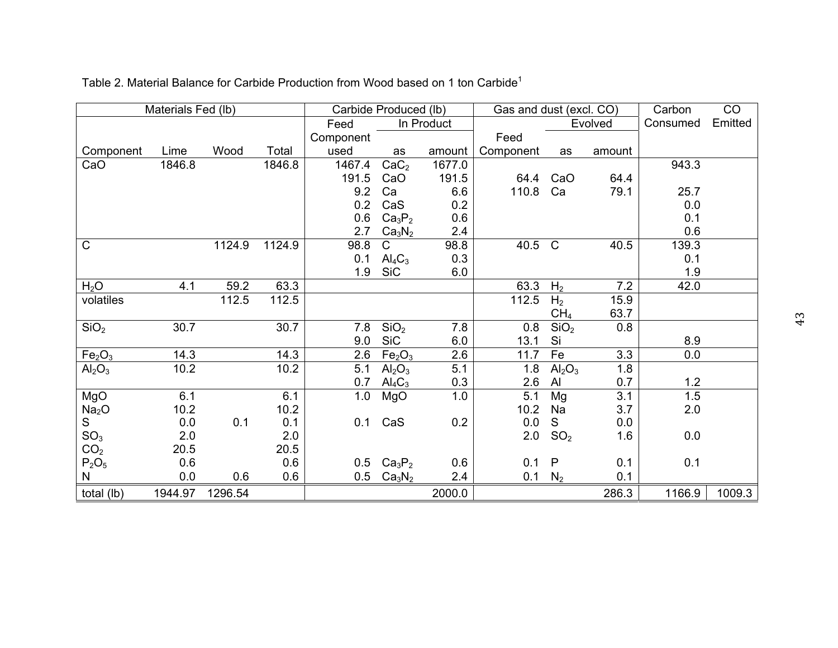|                                | Materials Fed (lb) |         |        | Carbide Produced (lb) |                                |                  | Gas and dust (excl. CO) |                                |         | Carbon   | CO      |
|--------------------------------|--------------------|---------|--------|-----------------------|--------------------------------|------------------|-------------------------|--------------------------------|---------|----------|---------|
|                                |                    |         |        | Feed                  |                                | In Product       |                         |                                | Evolved | Consumed | Emitted |
|                                |                    |         |        | Component             |                                |                  | Feed                    |                                |         |          |         |
| Component                      | Lime               | Wood    | Total  | used                  | as                             | amount           | Component               | as                             | amount  |          |         |
| CaO                            | 1846.8             |         | 1846.8 | 1467.4                | CaC <sub>2</sub>               | 1677.0           |                         |                                |         | 943.3    |         |
|                                |                    |         |        | 191.5                 | CaO                            | 191.5            | 64.4                    | CaO                            | 64.4    |          |         |
|                                |                    |         |        | 9.2                   | Ca                             | 6.6              | 110.8                   | Ca                             | 79.1    | 25.7     |         |
|                                |                    |         |        | 0.2                   | CaS                            | 0.2              |                         |                                |         | 0.0      |         |
|                                |                    |         |        | 0.6                   | Ca <sub>3</sub> P <sub>2</sub> | 0.6              |                         |                                |         | 0.1      |         |
|                                |                    |         |        | 2.7                   | Ca <sub>3</sub> N <sub>2</sub> | 2.4              |                         |                                |         | 0.6      |         |
| $\mathsf{C}$                   |                    | 1124.9  | 1124.9 | 98.8                  | $\mathsf{C}$                   | 98.8             | 40.5                    | $\mathsf{C}$                   | 40.5    | 139.3    |         |
|                                |                    |         |        | 0.1                   | $\text{Al}_4\text{C}_3$        | 0.3              |                         |                                |         | 0.1      |         |
|                                |                    |         |        | 1.9                   | <b>SiC</b>                     | 6.0              |                         |                                |         | 1.9      |         |
| H <sub>2</sub> O               | 4.1                | 59.2    | 63.3   |                       |                                |                  | 63.3                    | H <sub>2</sub>                 | 7.2     | 42.0     |         |
| volatiles                      |                    | 112.5   | 112.5  |                       |                                |                  | 112.5                   | H <sub>2</sub>                 | 15.9    |          |         |
|                                |                    |         |        |                       |                                |                  |                         | CH <sub>4</sub>                | 63.7    |          |         |
| SiO <sub>2</sub>               | 30.7               |         | 30.7   | 7.8                   | SiO <sub>2</sub>               | 7.8              | 0.8                     | SiO <sub>2</sub>               | 0.8     |          |         |
|                                |                    |         |        | 9.0                   | <b>SiC</b>                     | 6.0              | 13.1                    | Si                             |         | 8.9      |         |
| Fe <sub>2</sub> O <sub>3</sub> | 14.3               |         | 14.3   | 2.6                   | Fe <sub>2</sub> O <sub>3</sub> | 2.6              | 11.7                    | Fe                             | 3.3     | 0.0      |         |
| Al <sub>2</sub> O <sub>3</sub> | 10.2               |         | 10.2   | 5.1                   | Al <sub>2</sub> O <sub>3</sub> | $\overline{5.1}$ | 1.8                     | Al <sub>2</sub> O <sub>3</sub> | 1.8     |          |         |
|                                |                    |         |        | 0.7                   | $\text{Al}_4\text{C}_3$        | 0.3              | 2.6                     | AI                             | 0.7     | 1.2      |         |
| MgO                            | 6.1                |         | 6.1    | 1.0                   | MgO                            | 1.0              | 5.1                     | Mg                             | 3.1     | 1.5      |         |
| Na <sub>2</sub> O              | 10.2               |         | 10.2   |                       |                                |                  | 10.2                    | Na                             | 3.7     | 2.0      |         |
| S                              | 0.0                | 0.1     | 0.1    | 0.1                   | CaS                            | 0.2              | 0.0                     | S                              | 0.0     |          |         |
| SO <sub>3</sub>                | 2.0                |         | 2.0    |                       |                                |                  | 2.0                     | SO <sub>2</sub>                | 1.6     | 0.0      |         |
| CO <sub>2</sub>                | 20.5               |         | 20.5   |                       |                                |                  |                         |                                |         |          |         |
| $P_2O_5$                       | 0.6                |         | 0.6    | 0.5                   | Ca <sub>3</sub> P <sub>2</sub> | 0.6              | 0.1                     | $\mathsf{P}$                   | 0.1     | 0.1      |         |
| N                              | 0.0                | 0.6     | 0.6    | 0.5                   | Ca <sub>3</sub> N <sub>2</sub> | 2.4              | 0.1                     | $N_2$                          | 0.1     |          |         |
| total (lb)                     | 1944.97            | 1296.54 |        |                       |                                | 2000.0           |                         |                                | 286.3   | 1166.9   | 1009.3  |

Table 2. Material Balance for Carbide Production from Wood based on 1 ton Carbide<sup>1</sup>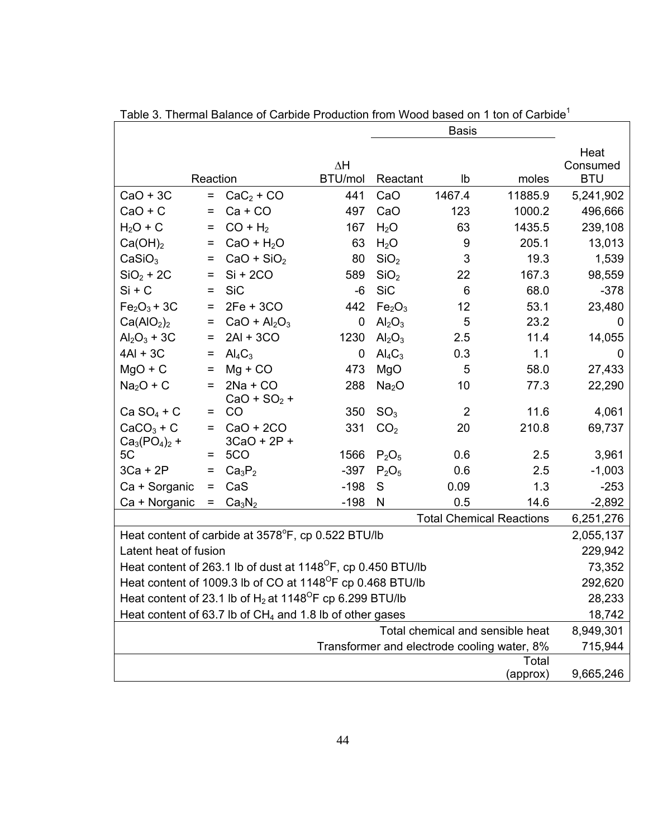| <b>Basis</b>                       |          |                                                                          |                |                                |                |                                             |            |  |
|------------------------------------|----------|--------------------------------------------------------------------------|----------------|--------------------------------|----------------|---------------------------------------------|------------|--|
|                                    |          |                                                                          |                |                                |                |                                             | Heat       |  |
|                                    |          |                                                                          | ΔΗ             |                                |                |                                             | Consumed   |  |
|                                    | Reaction |                                                                          | <b>BTU/mol</b> | Reactant                       | lb             | moles                                       | <b>BTU</b> |  |
| $CaO + 3C$                         | $=$      | $CaC2 + CO$                                                              | 441            | CaO                            | 1467.4         | 11885.9                                     | 5,241,902  |  |
| $CaO + C$                          | =        | $Ca + CO$                                                                | 497            | CaO                            | 123            | 1000.2                                      | 496,666    |  |
| $H2O + C$                          | $=$      | $CO + H2$                                                                | 167            | $H_2O$                         | 63             | 1435.5                                      | 239,108    |  |
| Ca(OH) <sub>2</sub>                | $=$      | $CaO + H2O$                                                              | 63             | H <sub>2</sub> O               | 9              | 205.1                                       | 13,013     |  |
| CaSiO <sub>3</sub>                 | $=$      | $CaO + SiO2$                                                             | 80             | SiO <sub>2</sub>               | 3              | 19.3                                        | 1,539      |  |
| $SiO2 + 2C$                        | =        | $Si + 2CO$                                                               | 589            | SiO <sub>2</sub>               | 22             | 167.3                                       | 98,559     |  |
| $Si + C$                           | $=$      | <b>SiC</b>                                                               | -6             | <b>SiC</b>                     | 6              | 68.0                                        | $-378$     |  |
| $Fe2O3 + 3C$                       | $=$      | $2Fe + 3CO$                                                              | 442            | Fe <sub>2</sub> O <sub>3</sub> | 12             | 53.1                                        | 23,480     |  |
| Ca(AIO <sub>2</sub> ) <sub>2</sub> | =        | $CaO + Al2O3$                                                            | 0              | Al <sub>2</sub> O <sub>3</sub> | 5              | 23.2                                        | 0          |  |
| $Al_2O_3 + 3C$                     | =        | $2AI + 3CO$                                                              | 1230           | Al <sub>2</sub> O <sub>3</sub> | 2.5            | 11.4                                        | 14,055     |  |
| $4AI + 3C$                         | $=$      | $\mathsf{Al}_4\mathsf{C}_3$                                              | 0              | $\text{Al}_4\text{C}_3$        | 0.3            | 1.1                                         | 0          |  |
| $MgO + C$                          | $=$      | $Mg + CO$                                                                | 473            | MgO                            | 5              | 58.0                                        | 27,433     |  |
| $Na2O + C$                         | $=$      | $2Na + CO$                                                               | 288            | Na <sub>2</sub> O              | 10             | 77.3                                        | 22,290     |  |
| $Ca SO4 + C$                       | =        | $CaO + SO2 +$<br>CO                                                      | 350            | SO <sub>3</sub>                | $\overline{2}$ | 11.6                                        | 4,061      |  |
| $CaCO3 + C$                        | $=$      | $CaO + 2CO$                                                              | 331            | CO <sub>2</sub>                | 20             | 210.8                                       | 69,737     |  |
| $Ca_3(PO_4)_2 +$                   |          | $3CaO + 2P +$                                                            |                |                                |                |                                             |            |  |
| 5C                                 | =        | 5CO                                                                      | 1566           | $P_2O_5$                       | 0.6            | 2.5                                         | 3,961      |  |
| $3Ca + 2P$                         | =        | Ca <sub>3</sub> P <sub>2</sub>                                           | $-397$         | $P_2O_5$                       | 0.6            | 2.5                                         | $-1,003$   |  |
| Ca + Sorganic                      | =        | CaS                                                                      | $-198$         | S                              | 0.09           | 1.3                                         | $-253$     |  |
| Ca + Norganic                      | =        | Ca <sub>3</sub> N <sub>2</sub>                                           | $-198$         | N                              | 0.5            | 14.6                                        | $-2,892$   |  |
|                                    |          |                                                                          |                |                                |                | <b>Total Chemical Reactions</b>             | 6,251,276  |  |
|                                    |          | Heat content of carbide at 3578°F, cp 0.522 BTU/lb                       |                |                                |                |                                             | 2,055,137  |  |
| Latent heat of fusion              |          |                                                                          |                |                                |                |                                             | 229,942    |  |
|                                    |          | Heat content of 263.1 lb of dust at 1148 <sup>o</sup> F, cp 0.450 BTU/lb |                |                                |                |                                             | 73,352     |  |
|                                    |          | Heat content of 1009.3 lb of CO at 1148 <sup>°</sup> F cp 0.468 BTU/lb   |                |                                |                |                                             | 292,620    |  |
|                                    |          | Heat content of 23.1 lb of $H_2$ at 1148 <sup>o</sup> F cp 6.299 BTU/lb  |                |                                |                |                                             | 28,233     |  |
|                                    |          | Heat content of 63.7 lb of $CH4$ and 1.8 lb of other gases               |                |                                |                |                                             | 18,742     |  |
|                                    |          |                                                                          |                |                                |                | Total chemical and sensible heat            | 8,949,301  |  |
|                                    |          |                                                                          |                |                                |                | Transformer and electrode cooling water, 8% | 715,944    |  |
|                                    |          |                                                                          |                |                                |                | Total                                       |            |  |
| 9,665,246<br>(approx)              |          |                                                                          |                |                                |                |                                             |            |  |

Table 3. Thermal Balance of Carbide Production from Wood based on 1 ton of Carbide<sup>1</sup>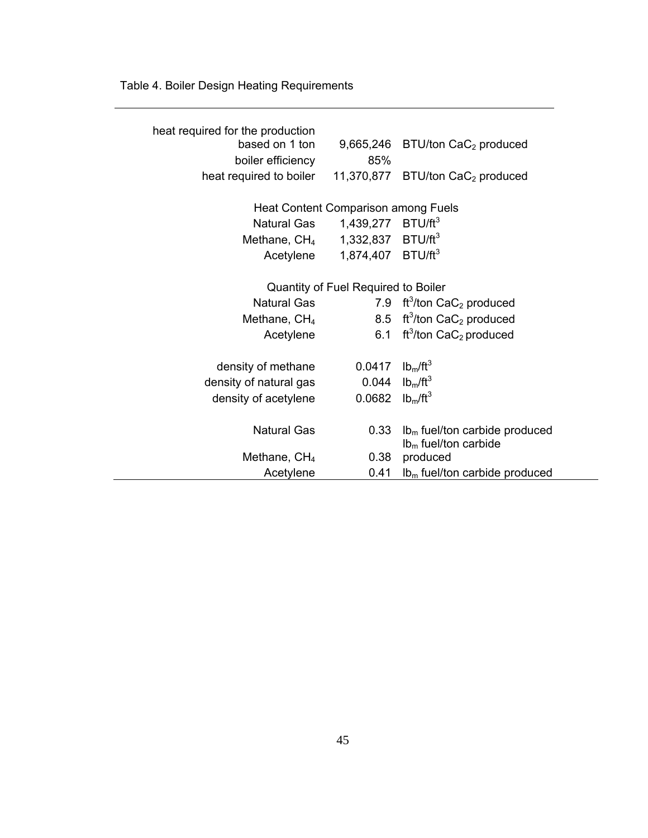Table 4. Boiler Design Heating Requirements

| heat required for the production              |                                     |                                                    |
|-----------------------------------------------|-------------------------------------|----------------------------------------------------|
| based on 1 ton                                |                                     | $9,665,246$ BTU/ton CaC <sub>2</sub> produced      |
| boiler efficiency                             | 85%                                 |                                                    |
| heat required to boiler                       |                                     | 11,370,877 BTU/ton CaC <sub>2</sub> produced       |
|                                               |                                     |                                                    |
|                                               | Heat Content Comparison among Fuels |                                                    |
| Natural Gas                                   | 1,439,277 BTU/ft <sup>3</sup>       |                                                    |
| Methane, $CH_4$ 1,332,837 BTU/ft <sup>3</sup> |                                     |                                                    |
| Acetylene                                     | 1,874,407 BTU/ft <sup>3</sup>       |                                                    |
|                                               |                                     |                                                    |
|                                               | Quantity of Fuel Required to Boiler |                                                    |
| Natural Gas                                   |                                     | 7.9 ft <sup>3</sup> /ton $CaC2$ produced           |
| Methane, $CH4$                                |                                     | 8.5 ft <sup>3</sup> /ton CaC <sub>2</sub> produced |
| Acetylene                                     |                                     | 6.1 ft <sup>3</sup> /ton CaC <sub>2</sub> produced |
|                                               |                                     |                                                    |
| density of methane                            | 0.0417 $lb_m/ft^3$                  |                                                    |
| density of natural gas                        | 0.044                               | lb <sub>m</sub> /ft <sup>3</sup>                   |
| density of acetylene                          | 0.0682 $lb_m/ft^3$                  |                                                    |
|                                               |                                     |                                                    |
| <b>Natural Gas</b>                            | 0.33                                | $lbm$ fuel/ton carbide produced                    |
|                                               |                                     | $lbm$ fuel/ton carbide                             |
| Methane, $CH4$                                | 0.38                                | produced                                           |
| Acetylene                                     | 0.41                                | $lbm$ fuel/ton carbide produced                    |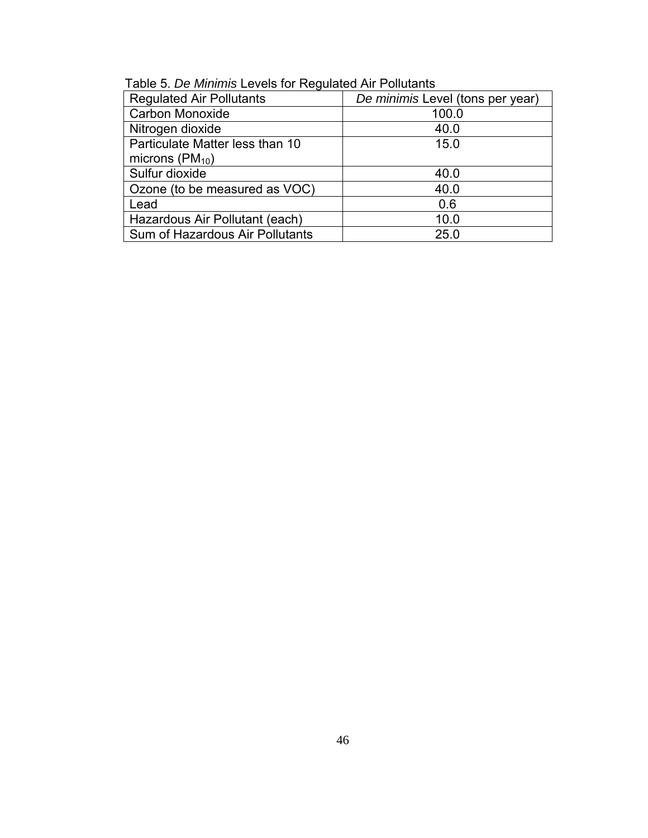| <b>Regulated Air Pollutants</b> | De minimis Level (tons per year) |
|---------------------------------|----------------------------------|
| <b>Carbon Monoxide</b>          | 100.0                            |
| Nitrogen dioxide                | 40.0                             |
| Particulate Matter less than 10 | 15.0                             |
| microns $(PM_{10})$             |                                  |
| Sulfur dioxide                  | 40.0                             |
| Ozone (to be measured as VOC)   | 40.0                             |
| Lead                            | 0.6                              |
| Hazardous Air Pollutant (each)  | 10.0                             |
| Sum of Hazardous Air Pollutants | 25.0                             |

Table 5. *De Minimis* Levels for Regulated Air Pollutants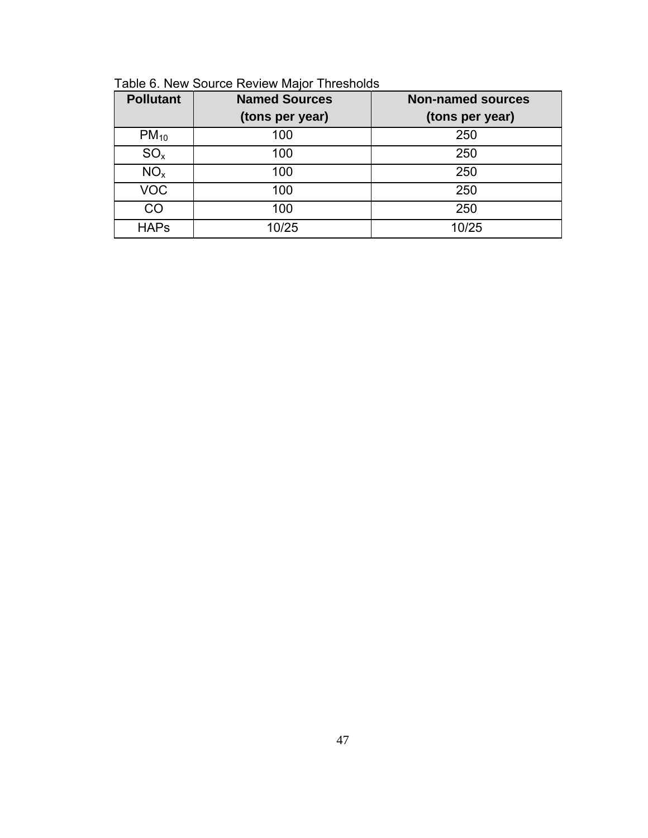| Table 6. New Source Review Major Thresholds |
|---------------------------------------------|
|---------------------------------------------|

| <b>Pollutant</b> | <b>Named Sources</b> | <b>Non-named sources</b> |
|------------------|----------------------|--------------------------|
|                  | (tons per year)      | (tons per year)          |
| $PM_{10}$        | 100                  | 250                      |
| $SO_{x}$         | 100                  | 250                      |
| NO <sub>x</sub>  | 100                  | 250                      |
| <b>VOC</b>       | 100                  | 250                      |
| CO               | 100                  | 250                      |
| <b>HAPs</b>      | 10/25                | 10/25                    |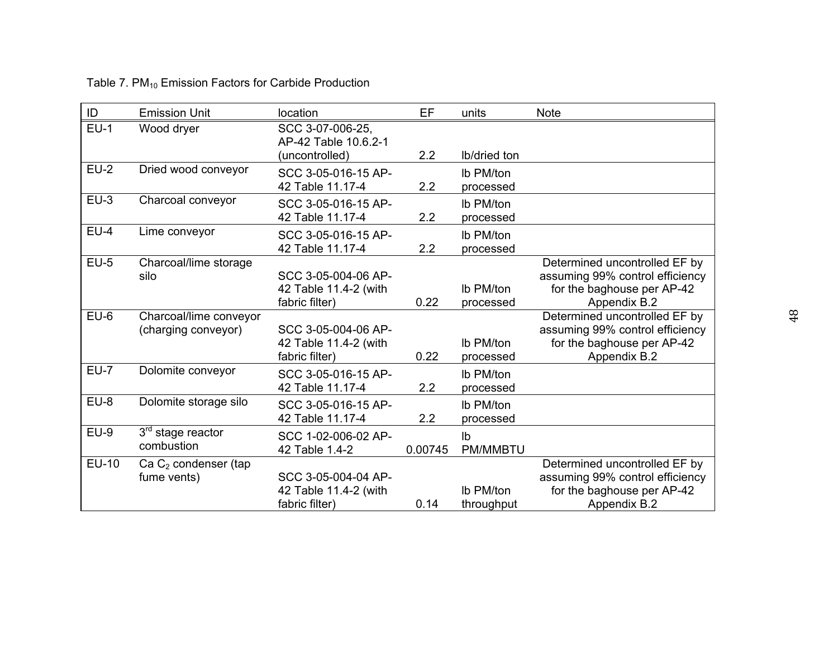# Table 7. PM<sub>10</sub> Emission Factors for Carbide Production

| ID           | <b>Emission Unit</b>                          | location                                                       | EF      | units                   | <b>Note</b>                                                                                                    |
|--------------|-----------------------------------------------|----------------------------------------------------------------|---------|-------------------------|----------------------------------------------------------------------------------------------------------------|
| $EU-1$       | Wood dryer                                    | SCC 3-07-006-25,<br>AP-42 Table 10.6.2-1<br>(uncontrolled)     | 2.2     | Ib/dried ton            |                                                                                                                |
| $EU-2$       | Dried wood conveyor                           | SCC 3-05-016-15 AP-<br>42 Table 11.17-4                        | 2.2     | Ib PM/ton<br>processed  |                                                                                                                |
| $EU-3$       | Charcoal conveyor                             | SCC 3-05-016-15 AP-<br>42 Table 11.17-4                        | 2.2     | Ib PM/ton<br>processed  |                                                                                                                |
| $EU-4$       | Lime conveyor                                 | SCC 3-05-016-15 AP-<br>42 Table 11.17-4                        | 2.2     | Ib PM/ton<br>processed  |                                                                                                                |
| $EU-5$       | Charcoal/lime storage<br>silo                 | SCC 3-05-004-06 AP-<br>42 Table 11.4-2 (with<br>fabric filter) | 0.22    | Ib PM/ton<br>processed  | Determined uncontrolled EF by<br>assuming 99% control efficiency<br>for the baghouse per AP-42<br>Appendix B.2 |
| $EU-6$       | Charcoal/lime conveyor<br>(charging conveyor) | SCC 3-05-004-06 AP-<br>42 Table 11.4-2 (with<br>fabric filter) | 0.22    | Ib PM/ton<br>processed  | Determined uncontrolled EF by<br>assuming 99% control efficiency<br>for the baghouse per AP-42<br>Appendix B.2 |
| $EU-7$       | Dolomite conveyor                             | SCC 3-05-016-15 AP-<br>42 Table 11.17-4                        | 2.2     | Ib PM/ton<br>processed  |                                                                                                                |
| $EU-8$       | Dolomite storage silo                         | SCC 3-05-016-15 AP-<br>42 Table 11.17-4                        | 2.2     | Ib PM/ton<br>processed  |                                                                                                                |
| $EU-9$       | $3rd$ stage reactor<br>combustion             | SCC 1-02-006-02 AP-<br>42 Table 1.4-2                          | 0.00745 | Ib<br><b>PM/MMBTU</b>   |                                                                                                                |
| <b>EU-10</b> | Ca $C_2$ condenser (tap<br>fume vents)        | SCC 3-05-004-04 AP-<br>42 Table 11.4-2 (with<br>fabric filter) | 0.14    | Ib PM/ton<br>throughput | Determined uncontrolled EF by<br>assuming 99% control efficiency<br>for the baghouse per AP-42<br>Appendix B.2 |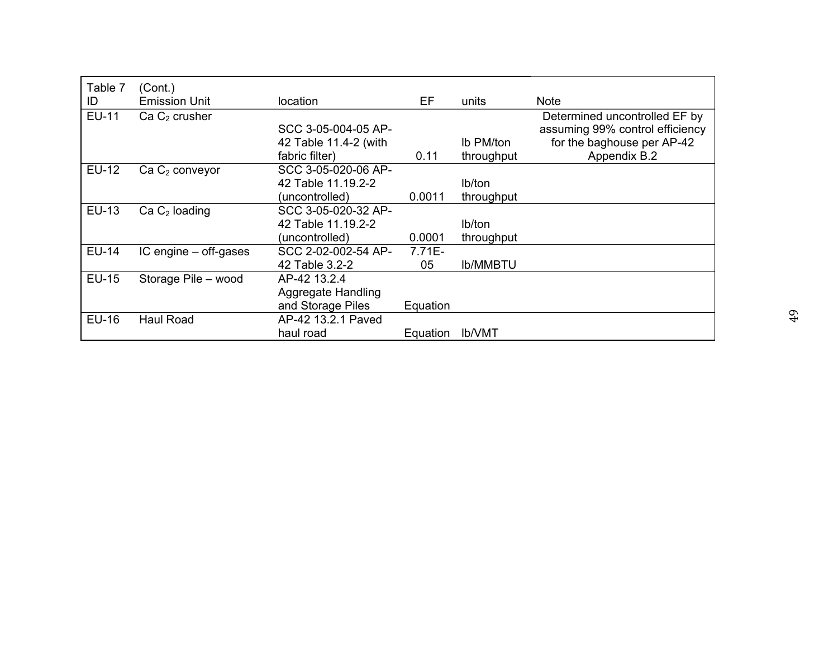| Table 7<br>ID | (Cont.)<br><b>Emission Unit</b> | location              | EF        | units           | <b>Note</b>                     |
|---------------|---------------------------------|-----------------------|-----------|-----------------|---------------------------------|
| <b>EU-11</b>  | Ca C <sub>2</sub> crusher       |                       |           |                 | Determined uncontrolled EF by   |
|               |                                 | SCC 3-05-004-05 AP-   |           |                 | assuming 99% control efficiency |
|               |                                 | 42 Table 11.4-2 (with |           | Ib PM/ton       | for the baghouse per AP-42      |
|               |                                 | fabric filter)        | 0.11      | throughput      | Appendix B.2                    |
| EU-12         | $Ca C2$ conveyor                | SCC 3-05-020-06 AP-   |           |                 |                                 |
|               |                                 | 42 Table 11.19.2-2    |           | lb/ton          |                                 |
|               |                                 | (uncontrolled)        | 0.0011    | throughput      |                                 |
| EU-13         | $Ca C2$ loading                 | SCC 3-05-020-32 AP-   |           |                 |                                 |
|               |                                 | 42 Table 11.19.2-2    |           | lb/ton          |                                 |
|               |                                 | (uncontrolled)        | 0.0001    | throughput      |                                 |
| <b>EU-14</b>  | $IC$ engine $-$ off-gases       | SCC 2-02-002-54 AP-   | $7.71E -$ |                 |                                 |
|               |                                 | 42 Table 3.2-2        | 05        | <b>Ib/MMBTU</b> |                                 |
| <b>EU-15</b>  | Storage Pile - wood             | AP-42 13.2.4          |           |                 |                                 |
|               |                                 | Aggregate Handling    |           |                 |                                 |
|               |                                 | and Storage Piles     | Equation  |                 |                                 |
| <b>EU-16</b>  | Haul Road                       | AP-42 13.2.1 Paved    |           |                 |                                 |
|               |                                 | haul road             | Equation  | <b>Ib/VMT</b>   |                                 |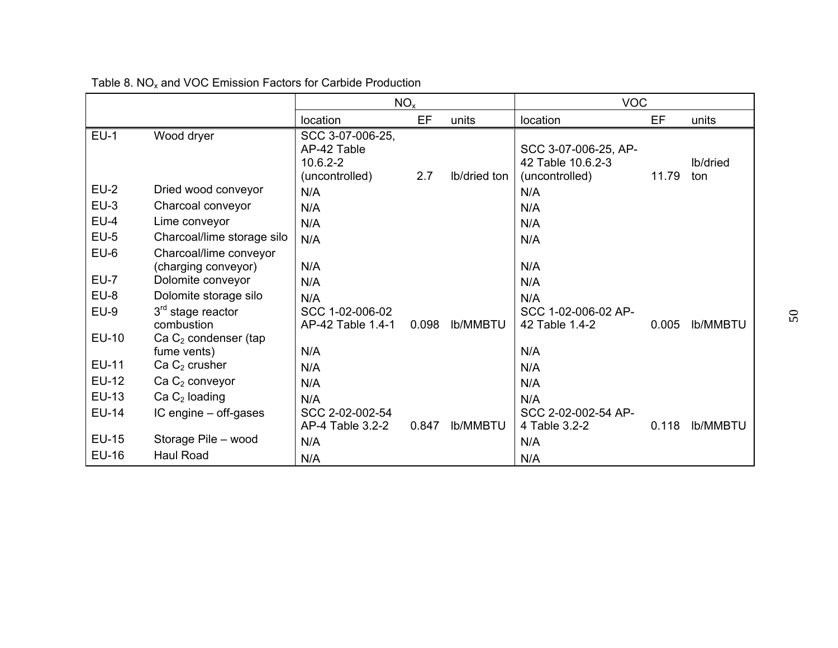|              |                                               | NO <sub>x</sub>                                                   |       |                 | <b>VOC</b>                                                  |       |                        |  |
|--------------|-----------------------------------------------|-------------------------------------------------------------------|-------|-----------------|-------------------------------------------------------------|-------|------------------------|--|
|              |                                               | location                                                          | EF    | units           | location                                                    | EF    | units                  |  |
| $EU-1$       | Wood dryer                                    | SCC 3-07-006-25,<br>AP-42 Table<br>$10.6.2 - 2$<br>(uncontrolled) | 2.7   | Ib/dried ton    | SCC 3-07-006-25, AP-<br>42 Table 10.6.2-3<br>(uncontrolled) | 11.79 | <b>Ib/dried</b><br>ton |  |
| $EU-2$       | Dried wood conveyor                           | N/A                                                               |       |                 | N/A                                                         |       |                        |  |
| $EU-3$       | Charcoal conveyor                             | N/A                                                               |       |                 | N/A                                                         |       |                        |  |
| $EU-4$       | Lime conveyor                                 | N/A                                                               |       |                 | N/A                                                         |       |                        |  |
| $EU-5$       | Charcoal/lime storage silo                    | N/A                                                               |       |                 | N/A                                                         |       |                        |  |
| $EU-6$       | Charcoal/lime conveyor<br>(charging conveyor) | N/A                                                               |       |                 | N/A                                                         |       |                        |  |
| $EU-7$       | Dolomite conveyor                             | N/A                                                               |       |                 | N/A                                                         |       |                        |  |
| $EU-8$       | Dolomite storage silo                         | N/A                                                               |       |                 | N/A                                                         |       |                        |  |
| $EU-9$       | $3rd$ stage reactor<br>combustion             | SCC 1-02-006-02<br>AP-42 Table 1.4-1                              | 0.098 | <b>Ib/MMBTU</b> | SCC 1-02-006-02 AP-<br>42 Table 1.4-2                       | 0.005 | <b>Ib/MMBTU</b>        |  |
| <b>EU-10</b> | Ca $C_2$ condenser (tap<br>fume vents)        | N/A                                                               |       |                 | N/A                                                         |       |                        |  |
| <b>EU-11</b> | Ca $C_2$ crusher                              | N/A                                                               |       |                 | N/A                                                         |       |                        |  |
| <b>EU-12</b> | $Ca C2$ conveyor                              | N/A                                                               |       |                 | N/A                                                         |       |                        |  |
| <b>EU-13</b> | $Ca C2$ loading                               | N/A                                                               |       |                 | N/A                                                         |       |                        |  |
| <b>EU-14</b> | IC engine – off-gases                         | SCC 2-02-002-54<br>AP-4 Table 3.2-2                               | 0.847 | <b>Ib/MMBTU</b> | SCC 2-02-002-54 AP-<br>4 Table 3.2-2                        | 0.118 | <b>Ib/MMBTU</b>        |  |
| <b>EU-15</b> | Storage Pile - wood                           | N/A                                                               |       |                 | N/A                                                         |       |                        |  |
| <b>EU-16</b> | <b>Haul Road</b>                              | N/A                                                               |       |                 | N/A                                                         |       |                        |  |

Table 8.  $NO<sub>x</sub>$  and VOC Emission Factors for Carbide Production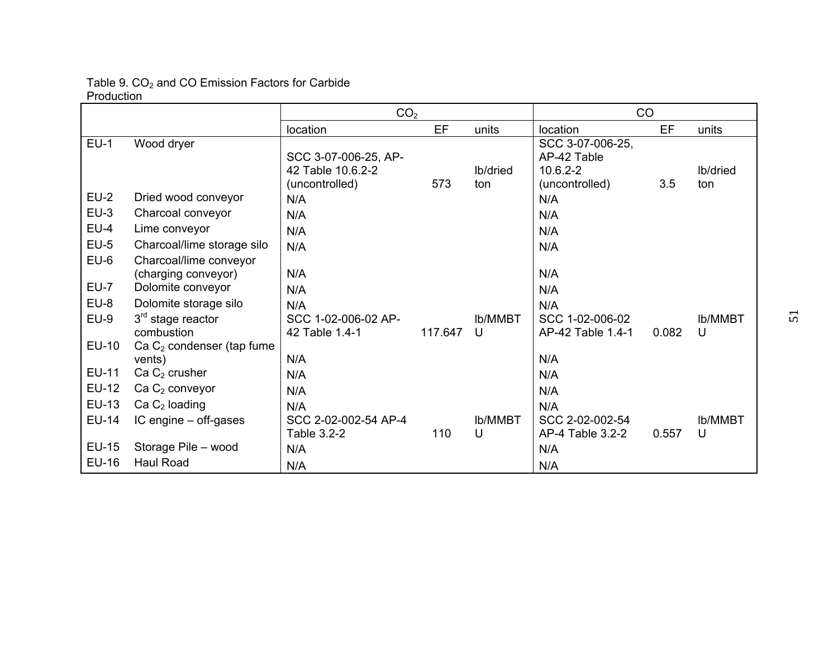#### Table 9.  $CO<sub>2</sub>$  and CO Emission Factors for Carbide Production

|              |                                               | CO <sub>2</sub>                                             |         |                        | CO                                                                |       |                     |
|--------------|-----------------------------------------------|-------------------------------------------------------------|---------|------------------------|-------------------------------------------------------------------|-------|---------------------|
|              |                                               | location                                                    | EF      | units                  | location                                                          | EF    | units               |
| $EU-1$       | Wood dryer                                    | SCC 3-07-006-25, AP-<br>42 Table 10.6.2-2<br>(uncontrolled) | 573     | <b>Ib/dried</b><br>ton | SCC 3-07-006-25,<br>AP-42 Table<br>$10.6.2 - 2$<br>(uncontrolled) | 3.5   | lb/dried<br>ton     |
| $EU-2$       | Dried wood conveyor                           | N/A                                                         |         |                        | N/A                                                               |       |                     |
| $EU-3$       | Charcoal conveyor                             | N/A                                                         |         |                        | N/A                                                               |       |                     |
| $EU-4$       | Lime conveyor                                 | N/A                                                         |         |                        | N/A                                                               |       |                     |
| $EU-5$       | Charcoal/lime storage silo                    | N/A                                                         |         |                        | N/A                                                               |       |                     |
| $EU-6$       | Charcoal/lime conveyor<br>(charging conveyor) | N/A                                                         |         |                        | N/A                                                               |       |                     |
| <b>EU-7</b>  | Dolomite conveyor                             | N/A                                                         |         |                        | N/A                                                               |       |                     |
| EU-8         | Dolomite storage silo                         | N/A                                                         |         |                        | N/A                                                               |       |                     |
| $EU-9$       | $3rd$ stage reactor<br>combustion             | SCC 1-02-006-02 AP-<br>42 Table 1.4-1                       | 117.647 | <b>Ib/MMBT</b><br>U    | SCC 1-02-006-02<br>AP-42 Table 1.4-1                              | 0.082 | <b>Ib/MMBT</b><br>U |
| <b>EU-10</b> | Ca $C_2$ condenser (tap fume<br>vents)        | N/A                                                         |         |                        | N/A                                                               |       |                     |
| EU-11        | Ca C <sub>2</sub> crusher                     | N/A                                                         |         |                        | N/A                                                               |       |                     |
| <b>EU-12</b> | Ca $C_2$ conveyor                             | N/A                                                         |         |                        | N/A                                                               |       |                     |
| EU-13        | Ca $C_2$ loading                              | N/A                                                         |         |                        | N/A                                                               |       |                     |
| <b>EU-14</b> | IC engine - off-gases                         | SCC 2-02-002-54 AP-4<br>Table 3.2-2                         | 110     | <b>Ib/MMBT</b><br>U    | SCC 2-02-002-54<br>AP-4 Table 3.2-2                               | 0.557 | <b>Ib/MMBT</b><br>U |
| <b>EU-15</b> | Storage Pile - wood                           | N/A                                                         |         |                        | N/A                                                               |       |                     |
| EU-16        | <b>Haul Road</b>                              | N/A                                                         |         |                        | N/A                                                               |       |                     |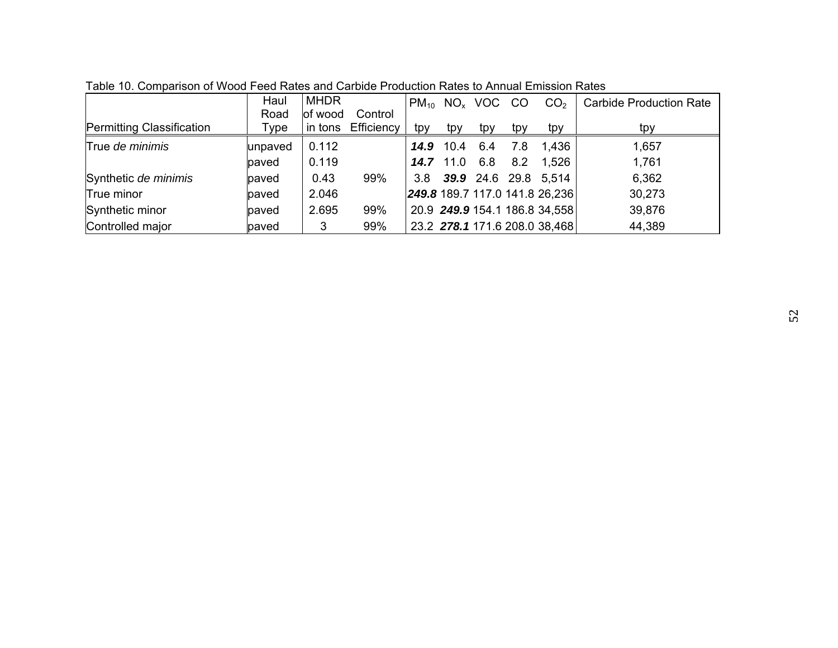|                                  | Haul    | <b>MHDR</b> |            | $PM_{10}$ |                  | $NOx$ VOC CO |     | CO <sub>2</sub>                | <b>Carbide Production Rate</b> |
|----------------------------------|---------|-------------|------------|-----------|------------------|--------------|-----|--------------------------------|--------------------------------|
|                                  | Road    | of wood     | Control    |           |                  |              |     |                                |                                |
| <b>Permitting Classification</b> | Type    | in tons     | Efficiency | tpy       | tpy              | tpy          | tpy | tpy                            | tpy                            |
| True de minimis                  | unpaved | 0.112       |            |           | <b>14.9</b> 10.4 | 6.4          | 7.8 | 1,436                          | 1,657                          |
|                                  | paved   | 0.119       |            |           | <b>14.7</b> 11.0 | 6.8          | 8.2 | 1,526                          | 1,761                          |
| Synthetic de minimis             | paved   | 0.43        | 99%        | 3.8       |                  |              |     | 39.9 24.6 29.8 5,514           | 6,362                          |
| True minor                       | paved   | 2.046       |            |           |                  |              |     | 249.8 189.7 117.0 141.8 26,236 | 30,273                         |
| Synthetic minor                  | paved   | 2.695       | 99%        |           |                  |              |     | 20.9 249.9 154.1 186.8 34,558  | 39,876                         |
| Controlled major                 | paved   | 3           | 99%        |           |                  |              |     | 23.2 278.1 171.6 208.0 38,468  | 44,389                         |

Table 10. Comparison of Wood Feed Rates and Carbide Production Rates to Annual Emission Rates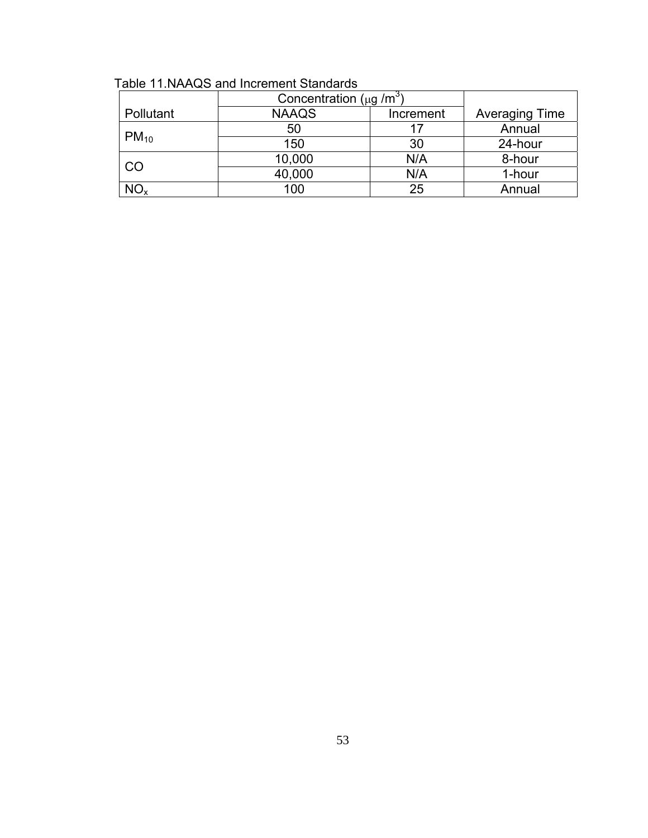|                 | Concentration ( $\mu$ g /m <sup>3</sup> ) |     |         |  |
|-----------------|-------------------------------------------|-----|---------|--|
| Pollutant       | <b>NAAQS</b><br>Increment                 |     |         |  |
|                 | 50                                        | 17  | Annual  |  |
| $PM_{10}$       | 150                                       | 30  | 24-hour |  |
| CO              | 10,000                                    | N/A | 8-hour  |  |
|                 | 40,000                                    | N/A | 1-hour  |  |
| NO <sub>x</sub> | 100                                       | 25  | Annual  |  |

Table 11.NAAQS and Increment Standards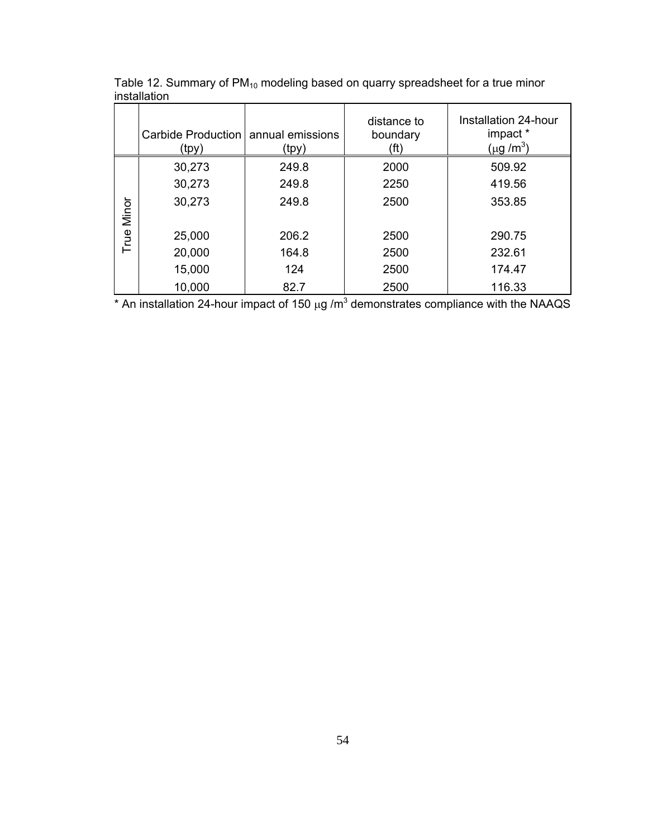|       | Carbide Production   annual emissions<br>(tpy) | (tpy) | distance to<br>boundary<br>(ft) | Installation 24-hour<br>impact *<br>$(\mu g/m^3)$ |
|-------|------------------------------------------------|-------|---------------------------------|---------------------------------------------------|
|       | 30,273                                         | 249.8 | 2000                            | 509.92                                            |
|       | 30,273                                         | 249.8 | 2250                            | 419.56                                            |
| Minor | 30,273                                         | 249.8 | 2500                            | 353.85                                            |
| True  | 25,000                                         | 206.2 | 2500                            | 290.75                                            |
|       | 20,000                                         | 164.8 | 2500                            | 232.61                                            |
|       | 15,000                                         | 124   | 2500                            | 174.47                                            |
|       | 10,000                                         | 82.7  | 2500                            | 116.33                                            |

Table 12. Summary of  $PM_{10}$  modeling based on quarry spreadsheet for a true minor installation

\* An installation 24-hour impact of 150  $\mu$ g /m<sup>3</sup> demonstrates compliance with the NAAQS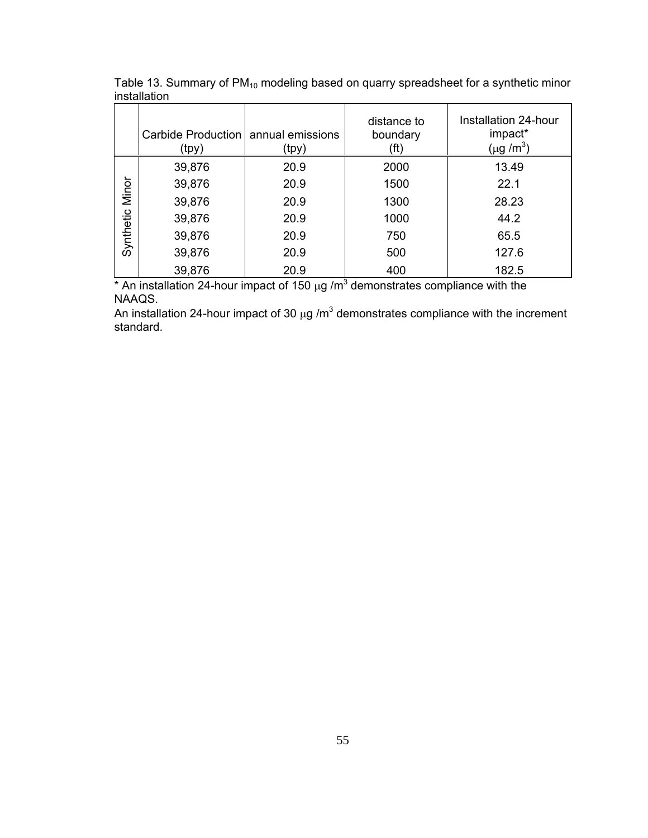|                    | Carbide Production   annual emissions<br>(tpy) | (tpy) | distance to<br>boundary<br>(ft | Installation 24-hour<br>impact*<br>$(\mu g/m^3)$ |
|--------------------|------------------------------------------------|-------|--------------------------------|--------------------------------------------------|
|                    | 39,876                                         | 20.9  | 2000                           | 13.49                                            |
| Minor<br>Synthetic | 39,876                                         | 20.9  | 1500                           | 22.1                                             |
|                    | 39,876                                         | 20.9  | 1300                           | 28.23                                            |
|                    | 39,876                                         | 20.9  | 1000                           | 44.2                                             |
|                    | 39,876                                         | 20.9  | 750                            | 65.5                                             |
|                    | 39,876                                         | 20.9  | 500                            | 127.6                                            |
|                    | 39,876                                         | 20.9  | 400<br>$\sim$                  | 182.5                                            |

Table 13. Summary of  $PM_{10}$  modeling based on quarry spreadsheet for a synthetic minor installation

\* An installation 24-hour impact of 150  $\mu$ g /m<sup>3</sup> demonstrates compliance with the NAAQS.

An installation 24-hour impact of 30  $\mu$ g /m<sup>3</sup> demonstrates compliance with the increment standard.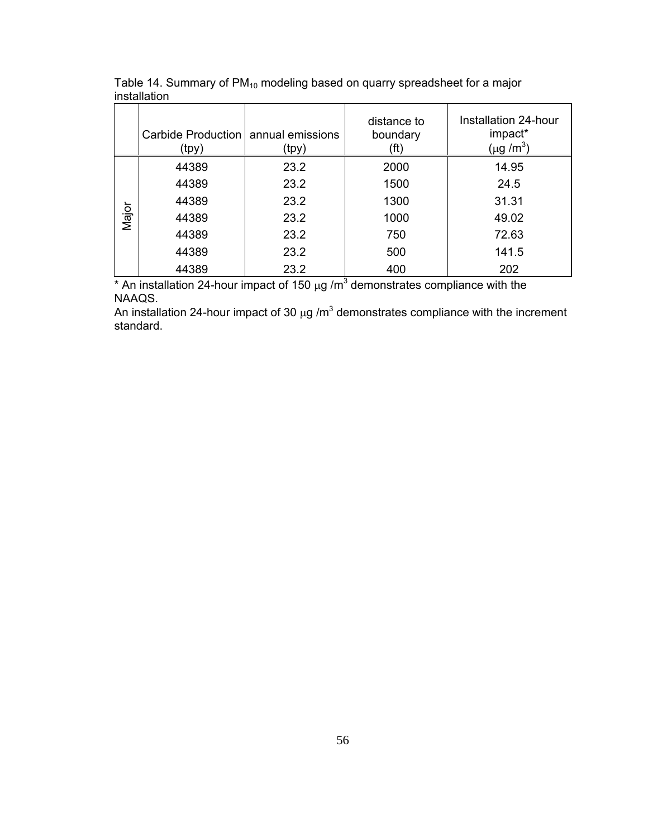|       | Carbide Production   annual emissions<br>(tpy) | (tpy) | distance to<br>boundary<br>(ft) | Installation 24-hour<br>impact*<br>$(\mu g/m^3)$ |  |
|-------|------------------------------------------------|-------|---------------------------------|--------------------------------------------------|--|
|       | 44389                                          | 23.2  | 2000                            | 14.95                                            |  |
|       | 44389                                          | 23.2  | 1500                            | 24.5                                             |  |
|       | 44389                                          | 23.2  | 1300                            | 31.31                                            |  |
| Major | 44389                                          | 23.2  | 1000                            | 49.02                                            |  |
|       | 44389                                          | 23.2  | 750                             | 72.63                                            |  |
|       | 44389                                          | 23.2  | 500                             | 141.5                                            |  |
|       | 44389                                          | 23.2  | 400<br>$\sim$                   | 202                                              |  |

Table 14. Summary of  $PM_{10}$  modeling based on quarry spreadsheet for a major installation

\* An installation 24-hour impact of 150  $\mu$ g /m<sup>3</sup> demonstrates compliance with the NAAQS.

An installation 24-hour impact of 30  $\mu$ g /m<sup>3</sup> demonstrates compliance with the increment standard.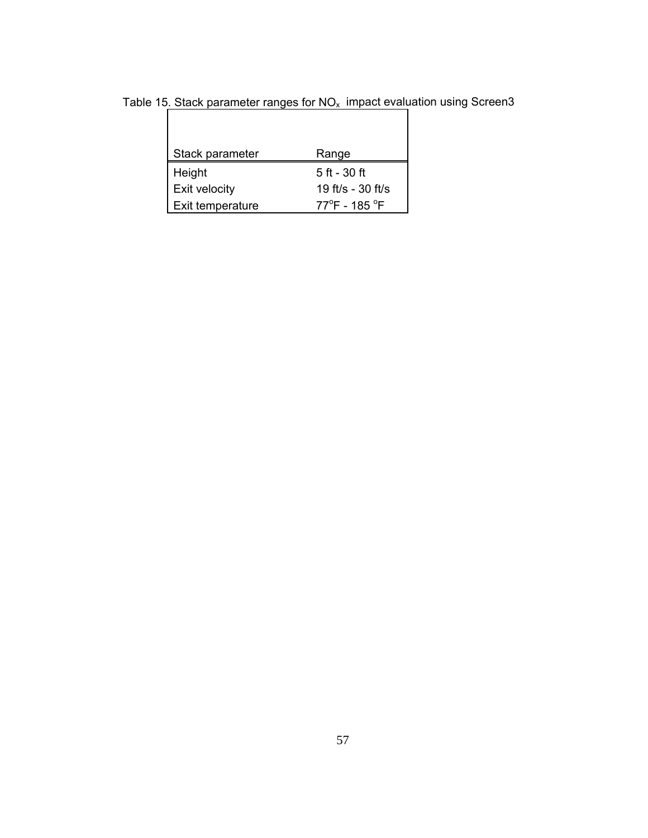| Range                             |
|-----------------------------------|
| 5 ft - 30 ft                      |
| 19 ft/s - 30 ft/s                 |
| $77^{\circ}$ F - 185 $^{\circ}$ F |
|                                   |

Table 15. Stack parameter ranges for  $NO_x$  impact evaluation using Screen3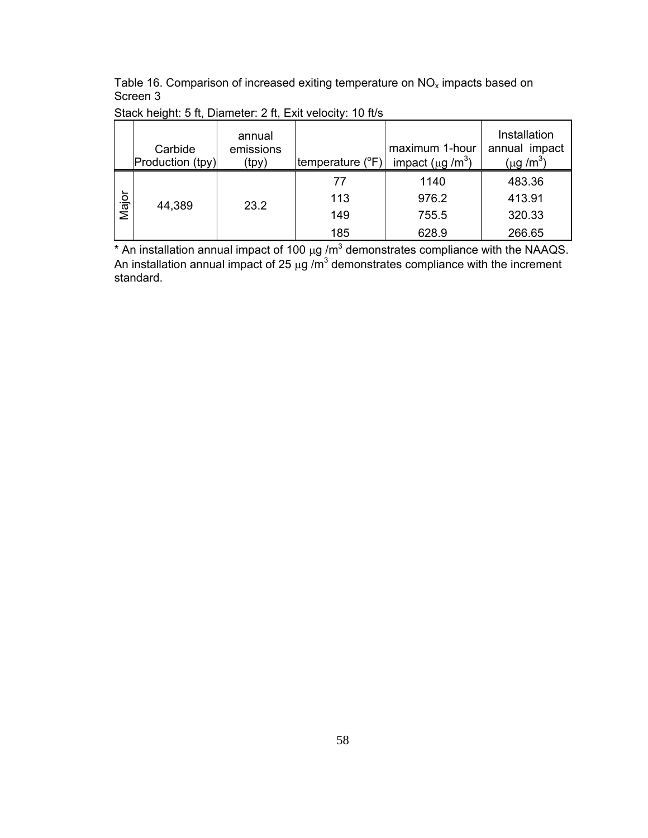Table 16. Comparison of increased exiting temperature on  $NO_x$  impacts based on Screen 3

|       | Carbide          | annual<br>emissions |                  | maximum 1-hour                     | Installation<br>annual impact |
|-------|------------------|---------------------|------------------|------------------------------------|-------------------------------|
|       | Production (tpy) | (tpy)               | temperature (°F) | impact ( $\mu$ g /m <sup>3</sup> ) | (µg /m $^3)$                  |
|       |                  |                     | 77               | 1140                               | 483.36                        |
| Major | 44,389           | 23.2                | 113              | 976.2                              | 413.91                        |
|       |                  |                     | 149              | 755.5                              | 320.33                        |
|       |                  |                     | 185              | 628.9                              | 266.65                        |

Stack height: 5 ft, Diameter: 2 ft, Exit velocity: 10 ft/s

\* An installation annual impact of 100  $\mu$ g /m<sup>3</sup> demonstrates compliance with the NAAQS. An installation annual impact of 25  $\mu$ g /m<sup>3</sup> demonstrates compliance with the increment standard.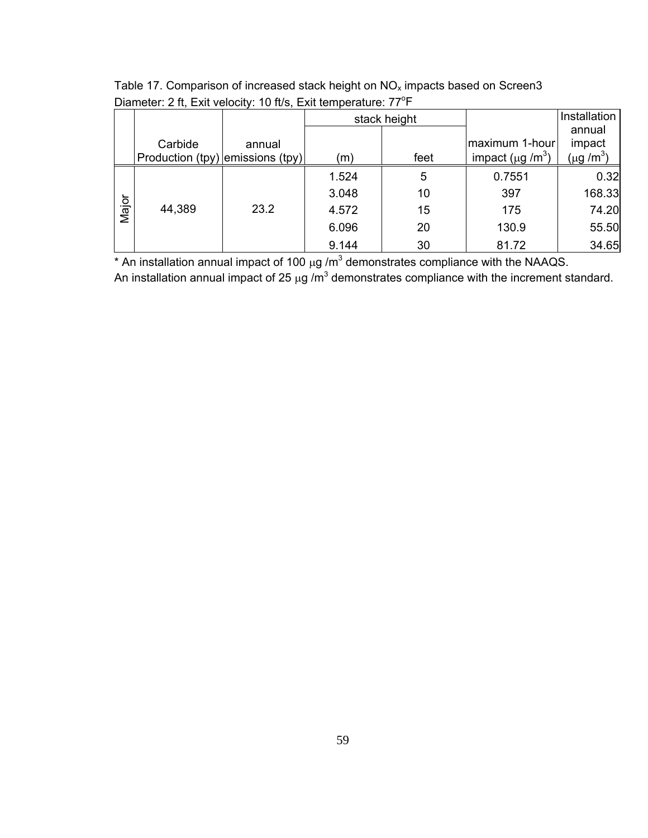|       |                                             |        |       | stack height |                                    | Installation     |
|-------|---------------------------------------------|--------|-------|--------------|------------------------------------|------------------|
|       |                                             |        |       |              | maximum 1-hour                     | annual<br>impact |
|       | Carbide<br>Production (tpy) emissions (tpy) | annual | (m)   | feet         | impact ( $\mu$ g /m <sup>3</sup> ) | (µg /m $^3)$     |
|       |                                             |        | 1.524 | 5            | 0.7551                             | 0.32             |
|       |                                             |        |       |              |                                    |                  |
|       |                                             |        | 3.048 | 10           | 397                                | 168.33           |
| Major | 44,389                                      | 23.2   | 4.572 | 15           | 175                                | 74.20            |
|       |                                             |        | 6.096 | 20           | 130.9                              | 55.50            |
|       |                                             |        | 9.144 | 30           | 81.72                              | 34.65            |

Table 17. Comparison of increased stack height on  $NO_x$  impacts based on Screen3 Diameter: 2 ft, Exit velocity: 10 ft/s, Exit temperature: 77<sup>o</sup>F

\* An installation annual impact of 100  $\mu$ g /m<sup>3</sup> demonstrates compliance with the NAAQS.

An installation annual impact of 25  $\mu$ g /m<sup>3</sup> demonstrates compliance with the increment standard.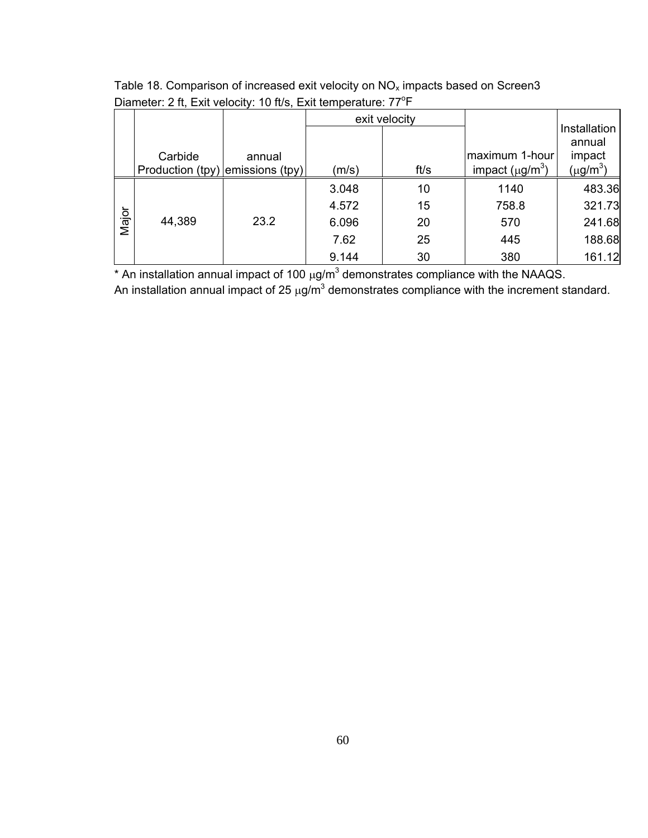|       |                                  |        |       | exit velocity |                      |                                  |
|-------|----------------------------------|--------|-------|---------------|----------------------|----------------------------------|
|       | Carbide                          | annual |       |               | maximum 1-hour       | Installation<br>annual<br>impact |
|       | Production (tpy) emissions (tpy) |        | (m/s) | ft/s          | impact $(\mu g/m^3)$ | (µg/m $^3)$                      |
|       |                                  |        | 3.048 | 10            | 1140                 | 483.36                           |
|       |                                  |        | 4.572 | 15            | 758.8                | 321.73                           |
| Major | 44,389                           | 23.2   | 6.096 | 20            | 570                  | 241.68                           |
|       |                                  |        | 7.62  | 25            | 445                  | 188.68                           |
|       |                                  |        | 9.144 | 30            | 380                  | 161.12                           |

Table 18. Comparison of increased exit velocity on  $NO_x$  impacts based on Screen3 Diameter: 2 ft, Exit velocity: 10 ft/s, Exit temperature: 77<sup>o</sup>F

\* An installation annual impact of 100  $\mu$ g/m<sup>3</sup> demonstrates compliance with the NAAQS.

An installation annual impact of 25  $\mu$ g/m<sup>3</sup> demonstrates compliance with the increment standard.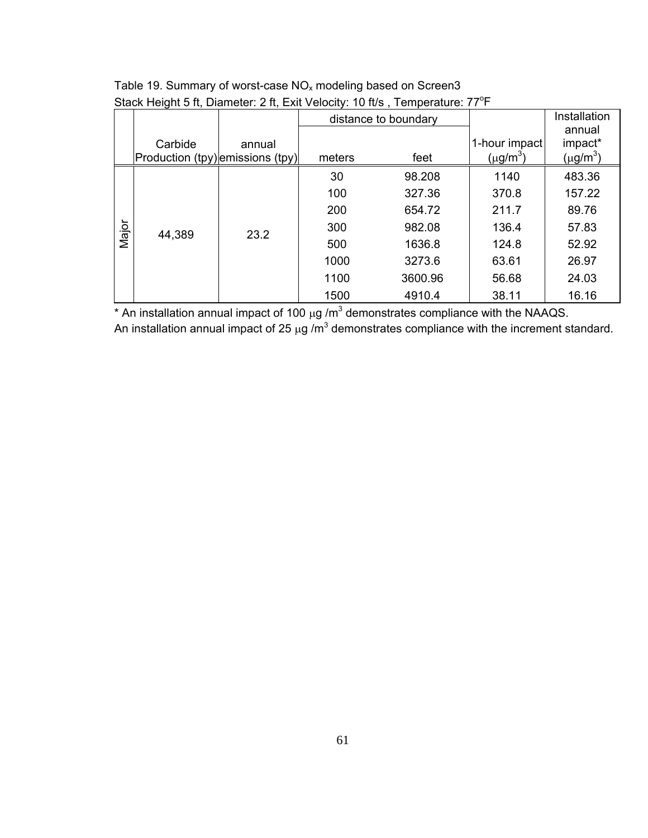|       |                                             |        | distance to boundary |         |                              | Installation                                   |
|-------|---------------------------------------------|--------|----------------------|---------|------------------------------|------------------------------------------------|
|       | Carbide<br>Production (tpy) emissions (tpy) | annual | meters               | feet    | 1-hour impact<br>(µg/m $^3)$ | annual<br>impact*<br>$(\mu$ g/m <sup>3</sup> ) |
|       |                                             |        | 30                   | 98.208  | 1140                         | 483.36                                         |
|       | 23.2<br>44,389                              |        | 100                  | 327.36  | 370.8                        | 157.22                                         |
|       |                                             |        | 200                  | 654.72  | 211.7                        | 89.76                                          |
| Major |                                             |        | 300                  | 982.08  | 136.4                        | 57.83                                          |
|       |                                             |        | 500                  | 1636.8  | 124.8                        | 52.92                                          |
|       |                                             |        | 1000                 | 3273.6  | 63.61                        | 26.97                                          |
|       |                                             |        | 1100                 | 3600.96 | 56.68                        | 24.03                                          |
|       |                                             |        | 1500                 | 4910.4  | 38.11                        | 16.16                                          |

## Table 19. Summary of worst-case  $NO_x$  modeling based on Screen3 Stack Height 5 ft, Diameter: 2 ft, Exit Velocity: 10 ft/s, Temperature: 77<sup>o</sup>F

\* An installation annual impact of 100  $\mu$ g /m<sup>3</sup> demonstrates compliance with the NAAQS.

An installation annual impact of 25  $\mu$ g /m<sup>3</sup> demonstrates compliance with the increment standard.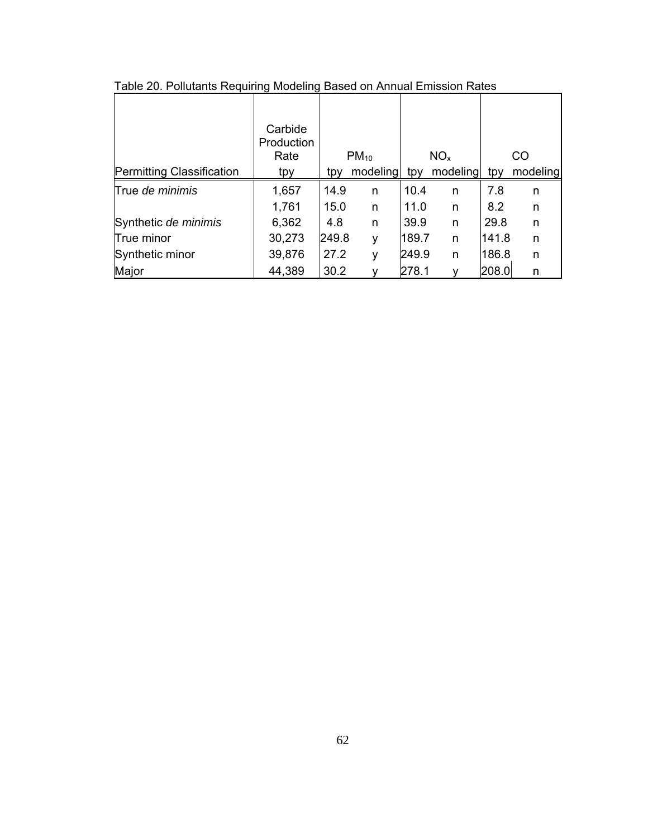|                                  | Carbide<br>Production |       |           |       |                 |       |          |
|----------------------------------|-----------------------|-------|-----------|-------|-----------------|-------|----------|
|                                  | Rate                  |       | $PM_{10}$ |       | NO <sub>x</sub> |       | CO       |
| <b>Permitting Classification</b> | tpy                   | tpy   | modeling  | tpy   | modeling        | tpy   | modeling |
| True de minimis                  | 1,657                 | 14.9  | n         | 10.4  | n               | 7.8   | n        |
|                                  | 1,761                 | 15.0  | n         | 11.0  | n               | 8.2   | n        |
| Synthetic de minimis             | 6,362                 | 4.8   | n         | 39.9  | n               | 29.8  | n        |
| True minor                       | 30,273                | 249.8 | ٧         | 189.7 | n               | 141.8 | n        |
| Synthetic minor                  | 39,876                | 27.2  | ۷         | 249.9 | n               | 186.8 | n        |
| Major                            | 44,389                | 30.2  |           | 278.1 |                 | 208.0 | n        |

Table 20. Pollutants Requiring Modeling Based on Annual Emission Rates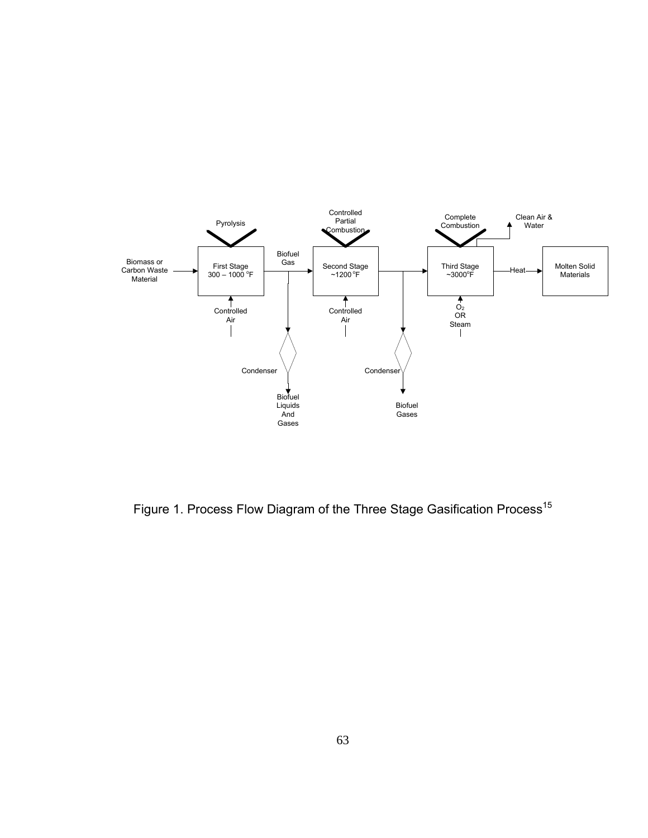

Figure 1. Process Flow Diagram of the Three Stage Gasification Process<sup>15</sup>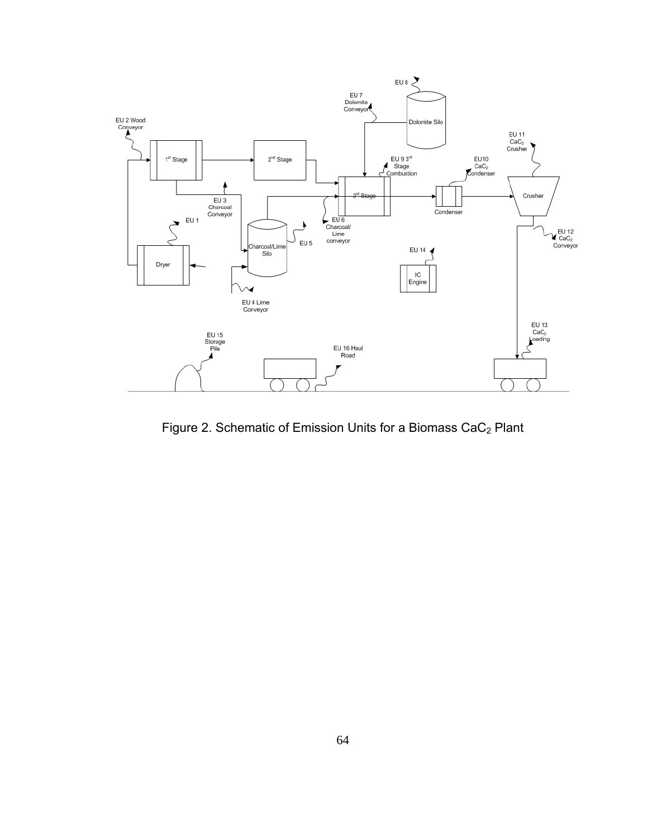

Figure 2. Schematic of Emission Units for a Biomass CaC<sub>2</sub> Plant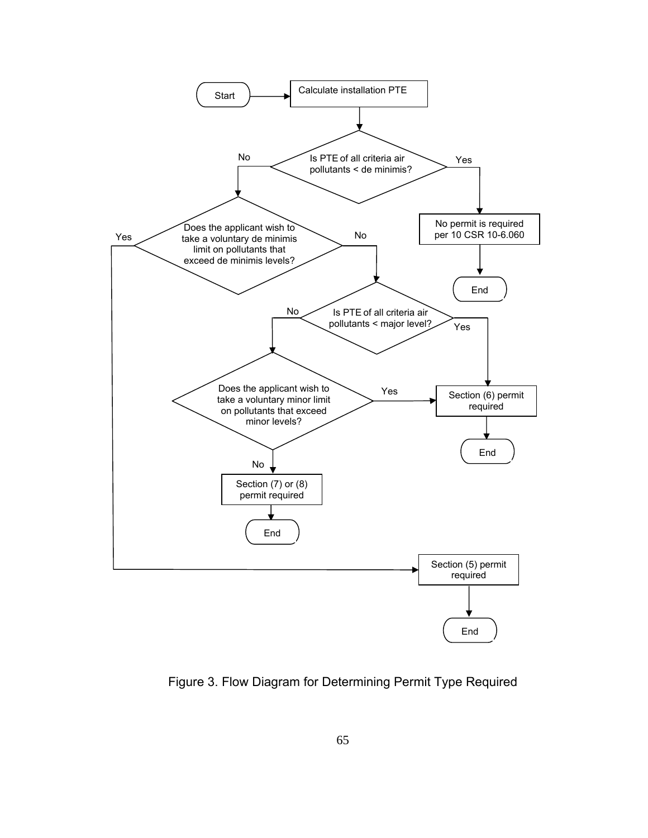

Figure 3. Flow Diagram for Determining Permit Type Required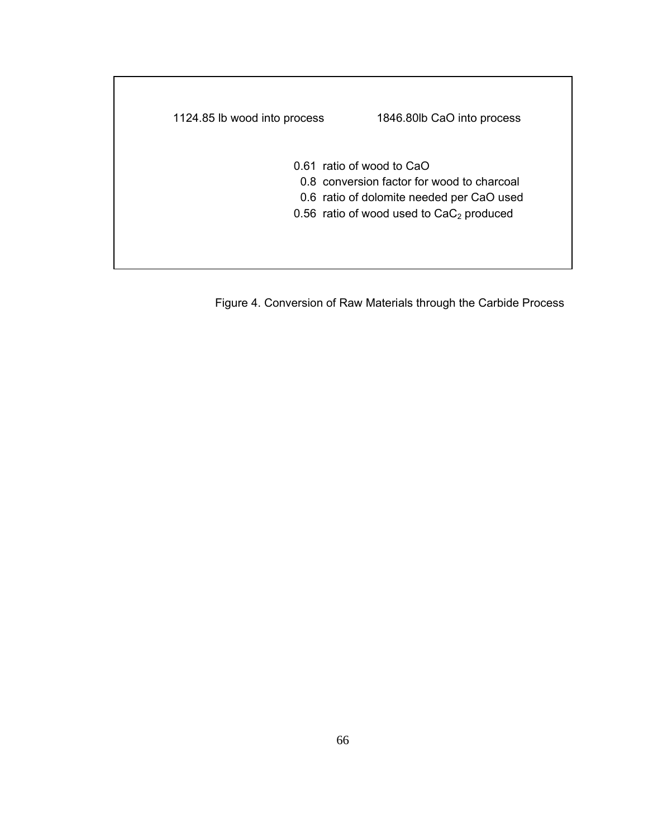| 1124.85 lb wood into process | 1846.80lb CaO into process                                                                                           |
|------------------------------|----------------------------------------------------------------------------------------------------------------------|
|                              | 0.61 ratio of wood to CaO<br>0.8 conversion factor for wood to charcoal<br>0.6 ratio of dolomite needed per CaO used |
|                              | 0.56 ratio of wood used to $CaC2$ produced                                                                           |

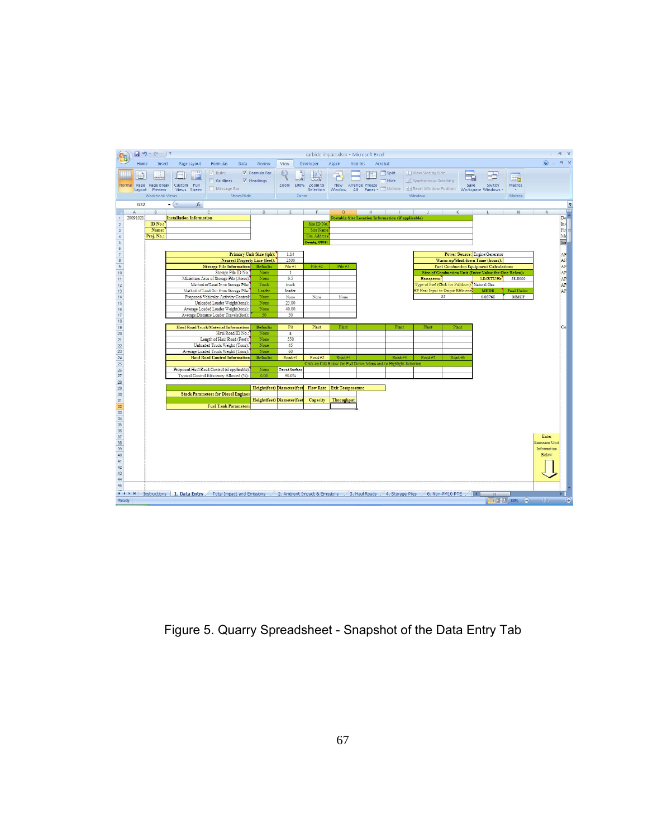

Figure 5. Quarry Spreadsheet - Snapshot of the Data Entry Tab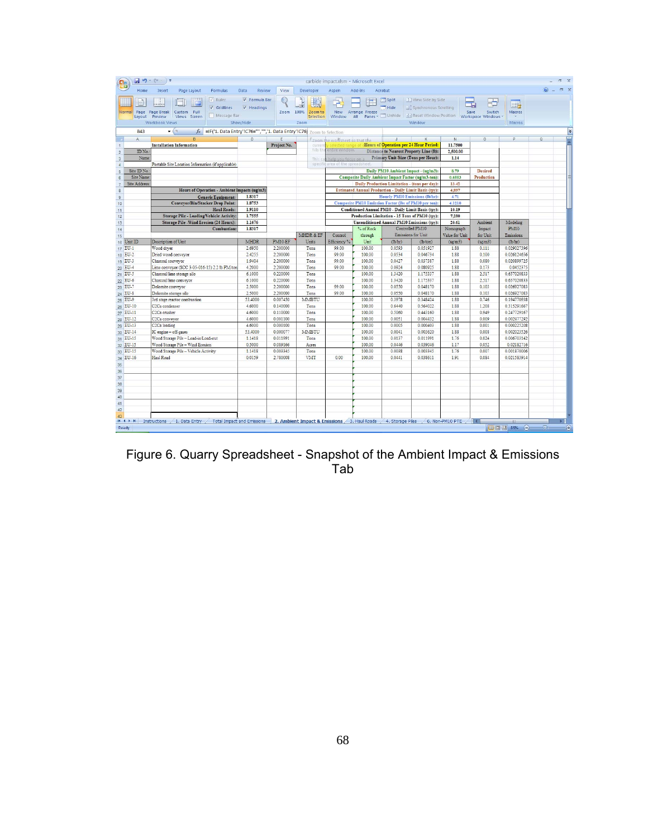|                            |                           | $\frac{1}{2} \mathbf{1} \mathbf{1} \mathbf{0} - (\mathbf{1} \cdot \mathbf{1}) \mathbf{1}$        |                            |                      |                                             |                                   | carbide impact.xlsm - Microsoft Excel |                  |                                                                                                     |                 |                              |                            |                    | m x        |
|----------------------------|---------------------------|--------------------------------------------------------------------------------------------------|----------------------------|----------------------|---------------------------------------------|-----------------------------------|---------------------------------------|------------------|-----------------------------------------------------------------------------------------------------|-----------------|------------------------------|----------------------------|--------------------|------------|
|                            | Home                      | Insert<br>Page Layout<br><b>Formulas</b>                                                         | Data<br>Review             | View                 | Developer                                   | Aspen                             | Add-Ins                               | Acrobat          |                                                                                                     |                 |                              |                            | $\circledcirc$ $-$ | <b>同 X</b> |
|                            |                           | V Rufer                                                                                          | <b>V</b> Formula Bar       |                      |                                             |                                   |                                       |                  | 1   View Side by Side                                                                               |                 |                              |                            |                    |            |
|                            |                           |                                                                                                  |                            |                      |                                             | Þ                                 |                                       | Split            |                                                                                                     |                 |                              | I.,                        |                    |            |
|                            | Page<br>Normal            | V Gridlines<br>Page Break<br>Custom<br>Full                                                      | V Headings                 | Zoom                 | 100%<br>Zoom to                             | <b>New</b>                        | Arrange Freeze                        | Hide             | <b>1 Synchronous Scrolling</b>                                                                      |                 | Save<br>Switch               | Macros                     |                    |            |
|                            | Layout                    | Message Bar<br>Preview<br>Views Screen                                                           |                            |                      | Selection                                   | Window                            | All                                   | Panes v Unhide   | Ad Reset Window Position   Workspace Windows                                                        |                 |                              | $\mathbf{v}$               |                    |            |
|                            |                           | Workbook Views                                                                                   | Show/Hide                  |                      | Zoom                                        |                                   |                                       |                  | Window                                                                                              |                 |                              | Macros                     |                    |            |
|                            | <b>B43</b>                | =IF('1. Data Entry'!C76="","",'1. Data Entry'!C76) Zoom to Selection<br>$\mathbf{r}$ (n<br>$f_x$ |                            |                      |                                             |                                   |                                       |                  |                                                                                                     |                 |                              |                            |                    | ¥          |
|                            | A                         | Ŕ                                                                                                | D                          | F                    |                                             | Ezoom the worksheet so that the   |                                       |                  |                                                                                                     | N               | $\Omega$                     | p                          | $\alpha$           | $=$        |
| $\mathbf{1}$               |                           | <b>Installation Information</b>                                                                  |                            | Project No.          | current                                     |                                   |                                       |                  | y selected range of <b>Hours of Operation per 24 Hour Period:</b>                                   | 11.7500         |                              |                            |                    |            |
| $\overline{c}$             | ID No.                    |                                                                                                  |                            |                      | fills the                                   | entire window.                    |                                       |                  | Distance to Nearest Property Line (ft):                                                             | 2,500.00        |                              |                            |                    |            |
| $\overline{3}$             | Name:                     |                                                                                                  |                            |                      | This ca                                     | h help you focus on:              |                                       |                  | Primary Unit Size (Tons per Hour):                                                                  | 1.14            |                              |                            |                    |            |
| $\overline{4}$             |                           | Portable Site Location Information (if applicable)                                               |                            |                      |                                             | specific area of the spreadsheet. |                                       |                  |                                                                                                     |                 |                              |                            |                    |            |
| $\mathsf S$                | Site ID No.:<br>Site Name |                                                                                                  |                            |                      |                                             |                                   |                                       |                  | Daily PM10 Ambient Impact - (ug/m3):                                                                | 8.79<br>0.6553  | <b>Desired</b><br>Production |                            |                    |            |
| $6\phantom{1}$             | Site Address:             |                                                                                                  |                            |                      |                                             |                                   |                                       |                  | Composite Daily Ambient Impact Factor (ug/m3-ton):<br>Daily Production Limitation - (tons per day): | 13.42           |                              |                            |                    |            |
| $\overline{7}$<br>$\rm ^8$ |                           | Hours of Operation - Ambient Impacts (ug/m3)                                                     |                            |                      |                                             |                                   |                                       |                  | <b>Estimated Annual Production - Daily Limit Basis (tpv):</b>                                       | 4.897           |                              |                            |                    |            |
| $\,9$                      |                           | <b>Generic Equipment:</b>                                                                        | 1.8317                     |                      |                                             |                                   |                                       |                  | Hourly PM10 Emissions (lb/hr):                                                                      | 4.71            |                              |                            |                    |            |
| 10                         |                           | <b>Conveyor/Bin/Stacker Drop Point:</b>                                                          | 1.8753                     |                      |                                             |                                   |                                       |                  | Composite PM10 Emission Factor (lbs of PM10 per ton):                                               | 4.1210          |                              |                            |                    |            |
| 11                         |                           | <b>Haul Roads:</b>                                                                               | 1.9110                     |                      |                                             |                                   |                                       |                  | Conditioned Annual PM10 - Daily Limit Basis (tpy):                                                  | 10.19           |                              |                            |                    |            |
| 12                         |                           | Storage Pile - Loading/Vehicle Activity:                                                         | 1.7555                     |                      |                                             |                                   |                                       |                  | Production Limitation - 15 Tons of PM10 (tpy):                                                      | 7,280           |                              |                            |                    |            |
| 13                         |                           | <b>Storage Pile -Wind Erosion (24 Hours):</b>                                                    | 1,1676                     |                      |                                             |                                   |                                       |                  | Unconditioned Annual PM10 Emissions (tpv):                                                          | 20.61           | Ambient                      | Modeling                   |                    |            |
| 14                         |                           | Combustion:                                                                                      | 1.8317                     |                      |                                             |                                   | % of Rock                             |                  | Controlled PM10                                                                                     | Nomograph       | Impact                       | <b>PM10</b>                |                    |            |
| 15                         |                           |                                                                                                  |                            |                      | MHDR & EF                                   | Control                           | through                               |                  | Emissions for Unit                                                                                  | Value for Unit  | for Unit                     | Emissions                  |                    |            |
|                            | 16 Unit ID                | Description of Unit                                                                              | <b>MHDR</b>                | PM10-EF              | Units                                       | Efficiency %                      | Unit                                  | (lb/hr)          | (lb/ton)                                                                                            | (ug/m3)         | (ug/m3)                      | (lb/hr)                    |                    |            |
|                            | 17 EU-1                   | Wood dryer                                                                                       | 2.6950                     | 2.200000             | Tons                                        | 99.00                             | 100.00                                | 0.0593           | 0.051927                                                                                            | 1.88            | 0.111                        | 0.029027396                |                    |            |
|                            | 18 EU-2                   | Dried wood conveyor                                                                              | 2.4255                     | 2,200000             | Tons                                        | 99.00                             | 100.00                                | 0.0534           | 0.046734                                                                                            | 1.88            | 0.100                        | 0.026124656                |                    |            |
|                            | 19 EU-3                   | Charcoal conveyor                                                                                | 1.9404                     | 2.200000             | Tons                                        | 99.00                             | 100.00                                | 0.0427           | 0.037387                                                                                            | 1.88            | 0.080                        | 0.020899725                |                    |            |
|                            | 20 EU-4                   | Lime conveyor (SCC 3-05-016-15) 2.2 lb PM/ton                                                    | 4.2000                     | 2.200000             | Tons                                        | 99.00                             | 100.00                                | 0.0924           | 0.080925                                                                                            | 1.88            | 0.173                        | 0.0452375                  |                    |            |
|                            | 21 EU-5                   | Charcoal lime storage silo                                                                       | 6.1000                     | 0.220000             | Tons                                        |                                   | 100.00                                | 1.3420           | 1.175337                                                                                            | 1.88            | 2.517                        | 0.657020833                |                    |            |
|                            | 22 EU-6                   | Charcoal lime conveyor                                                                           | 6.1000                     | 0.220000             | Tons                                        |                                   | 100.00                                | 1.3420           | 1.175337                                                                                            | 1.88            | 2.517                        | 0.657020833                |                    |            |
|                            | 23 EU-7                   | Dolomite conveyor                                                                                | 2,5000                     | 2.200000<br>2.200000 | Tons                                        | 99.00<br>99.00                    | 100.00<br>100.00                      | 0.0550<br>0.0550 | 0.048170<br>0.048170                                                                                | 1.88<br>1.88    | 0.103<br>0.103               | 0.026927083                |                    |            |
|                            | 24 EU-8<br>25 EU-9        | Dolomite storage silo<br>3rd stage reactor combustion                                            | 2.5000<br>53,4000          | 0.007450             | Tons<br>MMBTU                               |                                   | 100.00                                | 0.3978           | 0.348424                                                                                            | 1.88            | 0.746                        | 0.026927083<br>0.194770938 |                    |            |
|                            | 26 EU-10                  | C <sub>2</sub> Ca condenser                                                                      | 4.6000                     | 0.140000             | Tons                                        |                                   | 100.00                                | 0.6440           | 0.564022                                                                                            | 1.88            | 1.208                        | 0.315291667                |                    |            |
|                            | 27 EU-11                  | C <sub>2</sub> Ca crusher                                                                        | 4.6000                     | 0.110000             | Tons                                        |                                   | 100.00                                | 0.5060           | 0.443160                                                                                            | 1.88            | 0.949                        | 0.247729167                |                    |            |
|                            | 28 EU-12                  | C2Ca conveyor                                                                                    | 4.6000                     | 0.001100             | Tons                                        |                                   | 100.00                                | 0.0051           | 0.004432                                                                                            | 1.88            | 0.009                        | 0.002477292                |                    |            |
|                            | 29 EU-13                  | C <sub>2</sub> Ca loading                                                                        | 4.6000                     | 0.000100             | Tons                                        |                                   | 100.00                                | 0.0005           | 0.000403                                                                                            | 1.88            | 0.001                        | 0.000225208                |                    |            |
|                            | 30 EU-14                  | IC engine - off-gases                                                                            | 53,4000                    | 0.000077             | MMBTU                                       |                                   | 100.00                                | 0.0041           | 0.003620                                                                                            | 1.88            | 0.008                        | 0.002023526                |                    |            |
|                            | 31 EU-15                  | Wood Storage Pile - Load-in/Load-out                                                             | 1.1418                     | 0.011991             | Tons                                        |                                   | 100.00                                | 0.0137           | 0.011991                                                                                            | 1.76            | 0.024                        | 0.006703142                |                    |            |
|                            | 32 EU-15                  | Wood Storage Pile - Wind Erosion                                                                 | 0.5000                     | 0.089166             | Acres                                       |                                   | 100.00                                | 0.0446           | 0.039046                                                                                            | 1.17            | 0.052                        | 0.02182716                 |                    |            |
|                            | 33 EU-15                  | Wood Storage Pile - Vehicle Activity                                                             | 1.1418                     | 0.003345             | Tons                                        |                                   | 100.00                                | 0.0038           | 0.003345                                                                                            | 1.76            | 0.007                        | 0.001870006                |                    |            |
|                            | 34 EU-16                  | Haul Road                                                                                        | 0.0159                     | 2.780008             | VMT                                         | 0.00                              | 100.00                                | 0.0441           | 0.038611                                                                                            | 1.91            | 0.084                        | 0.021583914                |                    |            |
| 35                         |                           |                                                                                                  |                            |                      |                                             |                                   |                                       |                  |                                                                                                     |                 |                              |                            |                    |            |
| 36                         |                           |                                                                                                  |                            |                      |                                             |                                   |                                       |                  |                                                                                                     |                 |                              |                            |                    |            |
| 37                         |                           |                                                                                                  |                            |                      |                                             |                                   |                                       |                  |                                                                                                     |                 |                              |                            |                    |            |
| 38                         |                           |                                                                                                  |                            |                      |                                             |                                   |                                       |                  |                                                                                                     |                 |                              |                            |                    |            |
| 39                         |                           |                                                                                                  |                            |                      |                                             |                                   |                                       |                  |                                                                                                     |                 |                              |                            |                    |            |
| 40                         |                           |                                                                                                  |                            |                      |                                             |                                   |                                       |                  |                                                                                                     |                 |                              |                            |                    |            |
| 41                         |                           |                                                                                                  |                            |                      |                                             |                                   |                                       |                  |                                                                                                     |                 |                              |                            |                    |            |
| 42                         |                           |                                                                                                  |                            |                      |                                             |                                   |                                       |                  |                                                                                                     |                 |                              |                            |                    |            |
| 43                         | $H \rightarrow H$         | Instructions / 1. Data Entry                                                                     | Total Impact and Emissions |                      | 2. Ambient Impact & Emissions 3. Haul Roads |                                   |                                       | 4. Storage Piles |                                                                                                     | 6. Non-PM10 PTE |                              | Ш                          |                    |            |
| Ready                      |                           |                                                                                                  |                            |                      |                                             |                                   |                                       |                  |                                                                                                     |                 |                              | 田口凹 85%<br>$\Theta$        | 切布                 | Œ          |
|                            |                           |                                                                                                  |                            |                      |                                             |                                   |                                       |                  |                                                                                                     |                 |                              |                            |                    |            |

Figure 6. Quarry Spreadsheet - Snapshot of the Ambient Impact & Emissions Tab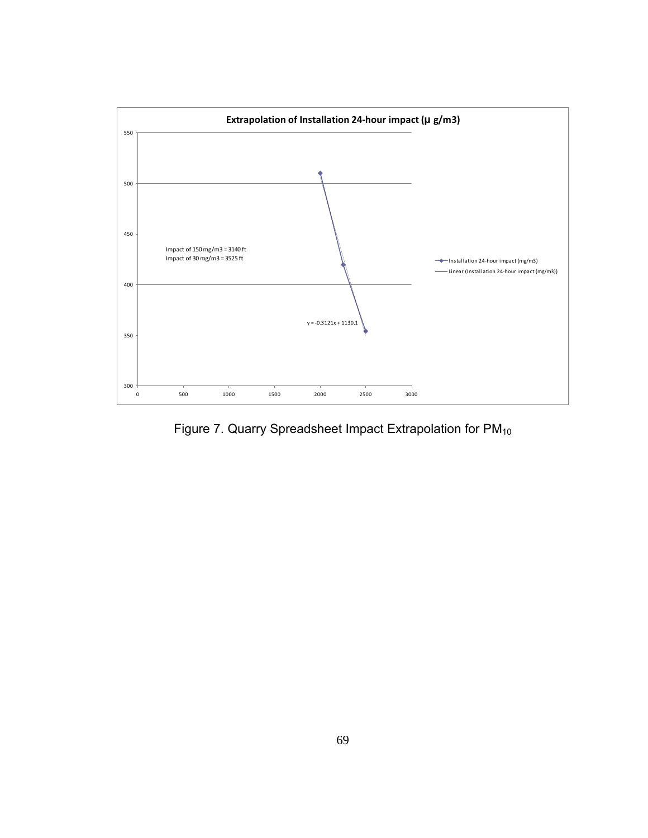

Figure 7. Quarry Spreadsheet Impact Extrapolation for PM<sub>10</sub>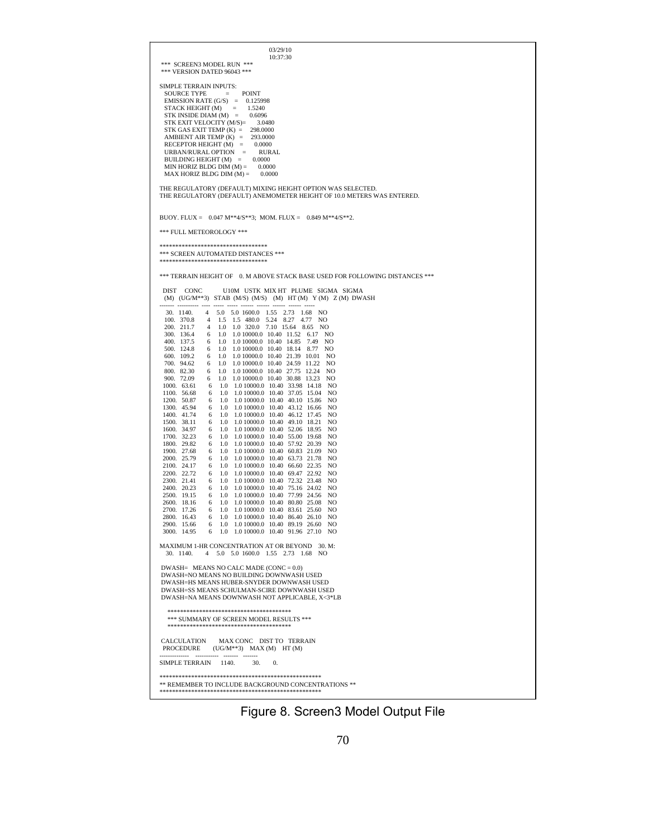

Figure 8. Screen3 Model Output File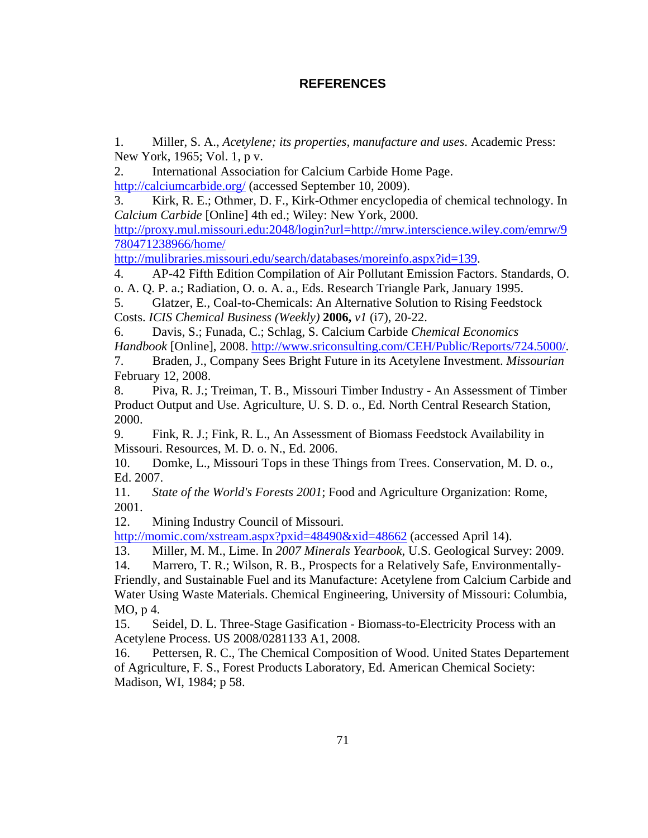# **REFERENCES**

1. Miller, S. A., *Acetylene; its properties, manufacture and uses*. Academic Press: New York, 1965; Vol. 1, p v.

2. International Association for Calcium Carbide Home Page.

http://calciumcarbide.org/ (accessed September 10, 2009).

3. Kirk, R. E.; Othmer, D. F., Kirk-Othmer encyclopedia of chemical technology. In *Calcium Carbide* [Online] 4th ed.; Wiley: New York, 2000.

http://proxy.mul.missouri.edu:2048/login?url=http://mrw.interscience.wiley.com/emrw/9 780471238966/home/

http://mulibraries.missouri.edu/search/databases/moreinfo.aspx?id=139.

4. AP-42 Fifth Edition Compilation of Air Pollutant Emission Factors. Standards, O. o. A. Q. P. a.; Radiation, O. o. A. a., Eds. Research Triangle Park, January 1995.

5. Glatzer, E., Coal-to-Chemicals: An Alternative Solution to Rising Feedstock Costs. *ICIS Chemical Business (Weekly)* **2006,** *v1* (i7), 20-22.

6. Davis, S.; Funada, C.; Schlag, S. Calcium Carbide *Chemical Economics Handbook* [Online], 2008. http://www.sriconsulting.com/CEH/Public/Reports/724.5000/.

7. Braden, J., Company Sees Bright Future in its Acetylene Investment. *Missourian*  February 12, 2008.

8. Piva, R. J.; Treiman, T. B., Missouri Timber Industry - An Assessment of Timber Product Output and Use. Agriculture, U. S. D. o., Ed. North Central Research Station, 2000.

9. Fink, R. J.; Fink, R. L., An Assessment of Biomass Feedstock Availability in Missouri. Resources, M. D. o. N., Ed. 2006.

10. Domke, L., Missouri Tops in these Things from Trees. Conservation, M. D. o., Ed. 2007.

11. *State of the World's Forests 2001*; Food and Agriculture Organization: Rome, 2001.

12. Mining Industry Council of Missouri.

http://momic.com/xstream.aspx?pxid=48490&xid=48662 (accessed April 14).

13. Miller, M. M., Lime. In *2007 Minerals Yearbook*, U.S. Geological Survey: 2009.

14. Marrero, T. R.; Wilson, R. B., Prospects for a Relatively Safe, Environmentally-Friendly, and Sustainable Fuel and its Manufacture: Acetylene from Calcium Carbide and Water Using Waste Materials. Chemical Engineering, University of Missouri: Columbia, MO, p 4.

15. Seidel, D. L. Three-Stage Gasification - Biomass-to-Electricity Process with an Acetylene Process. US 2008/0281133 A1, 2008.

16. Pettersen, R. C., The Chemical Composition of Wood. United States Departement of Agriculture, F. S., Forest Products Laboratory, Ed. American Chemical Society: Madison, WI, 1984; p 58.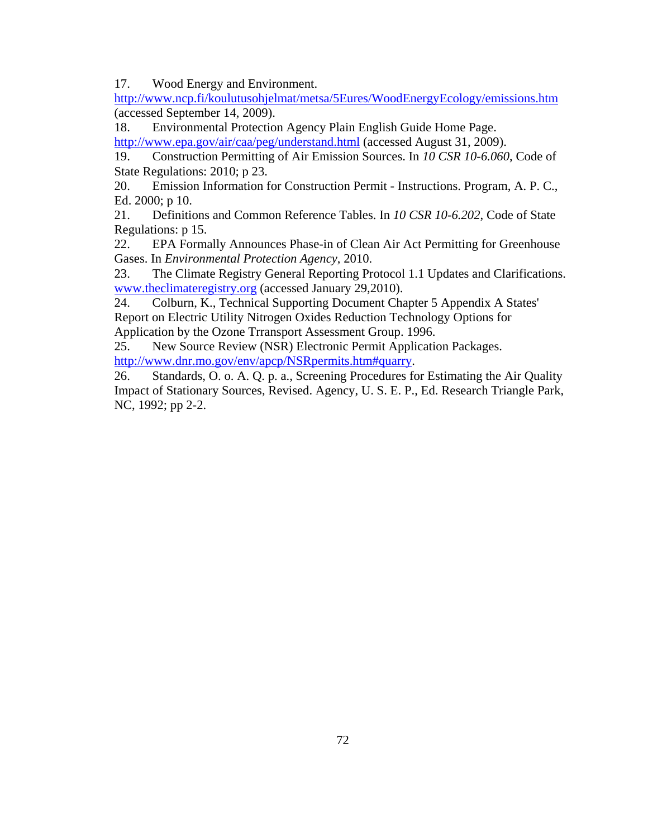17. Wood Energy and Environment.

http://www.ncp.fi/koulutusohjelmat/metsa/5Eures/WoodEnergyEcology/emissions.htm (accessed September 14, 2009).

18. Environmental Protection Agency Plain English Guide Home Page.

http://www.epa.gov/air/caa/peg/understand.html (accessed August 31, 2009).

19. Construction Permitting of Air Emission Sources. In *10 CSR 10-6.060*, Code of State Regulations: 2010; p 23.

20. Emission Information for Construction Permit - Instructions. Program, A. P. C., Ed. 2000; p 10.

21. Definitions and Common Reference Tables. In *10 CSR 10-6.202*, Code of State Regulations: p 15.

22. EPA Formally Announces Phase-in of Clean Air Act Permitting for Greenhouse Gases. In *Environmental Protection Agency*, 2010.

23. The Climate Registry General Reporting Protocol 1.1 Updates and Clarifications. www.theclimateregistry.org (accessed January 29,2010).

24. Colburn, K., Technical Supporting Document Chapter 5 Appendix A States' Report on Electric Utility Nitrogen Oxides Reduction Technology Options for Application by the Ozone Trransport Assessment Group. 1996.

25. New Source Review (NSR) Electronic Permit Application Packages. http://www.dnr.mo.gov/env/apcp/NSRpermits.htm#quarry.

26. Standards, O. o. A. Q. p. a., Screening Procedures for Estimating the Air Quality Impact of Stationary Sources, Revised. Agency, U. S. E. P., Ed. Research Triangle Park, NC, 1992; pp 2-2.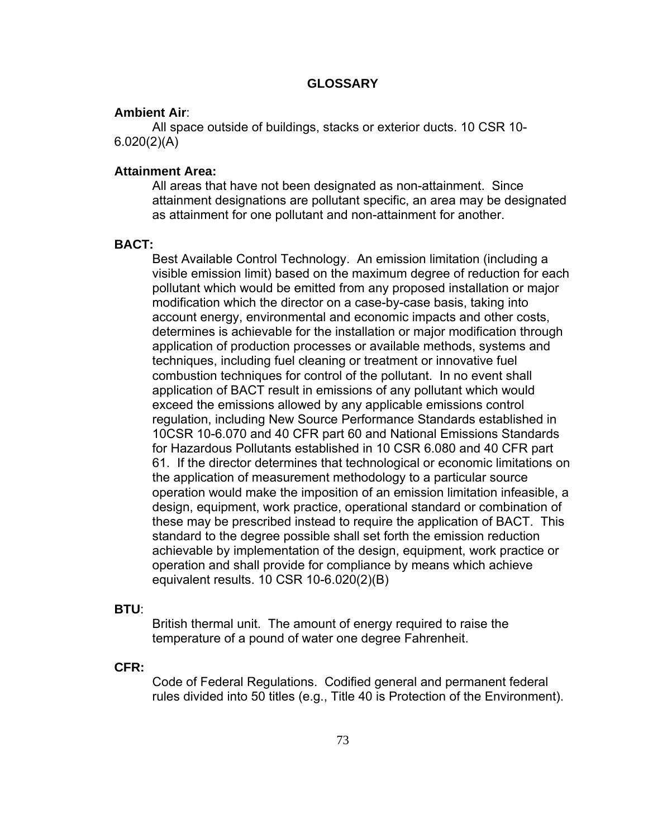## **GLOSSARY**

## **Ambient Air**:

 All space outside of buildings, stacks or exterior ducts. 10 CSR 10- 6.020(2)(A)

## **Attainment Area:**

All areas that have not been designated as non-attainment. Since attainment designations are pollutant specific, an area may be designated as attainment for one pollutant and non-attainment for another.

## **BACT:**

 Best Available Control Technology. An emission limitation (including a visible emission limit) based on the maximum degree of reduction for each pollutant which would be emitted from any proposed installation or major modification which the director on a case-by-case basis, taking into account energy, environmental and economic impacts and other costs, determines is achievable for the installation or major modification through application of production processes or available methods, systems and techniques, including fuel cleaning or treatment or innovative fuel combustion techniques for control of the pollutant. In no event shall application of BACT result in emissions of any pollutant which would exceed the emissions allowed by any applicable emissions control regulation, including New Source Performance Standards established in 10CSR 10-6.070 and 40 CFR part 60 and National Emissions Standards for Hazardous Pollutants established in 10 CSR 6.080 and 40 CFR part 61. If the director determines that technological or economic limitations on the application of measurement methodology to a particular source operation would make the imposition of an emission limitation infeasible, a design, equipment, work practice, operational standard or combination of these may be prescribed instead to require the application of BACT. This standard to the degree possible shall set forth the emission reduction achievable by implementation of the design, equipment, work practice or operation and shall provide for compliance by means which achieve equivalent results. 10 CSR 10-6.020(2)(B)

#### **BTU**:

 British thermal unit. The amount of energy required to raise the temperature of a pound of water one degree Fahrenheit.

#### **CFR:**

 Code of Federal Regulations. Codified general and permanent federal rules divided into 50 titles (e.g., Title 40 is Protection of the Environment).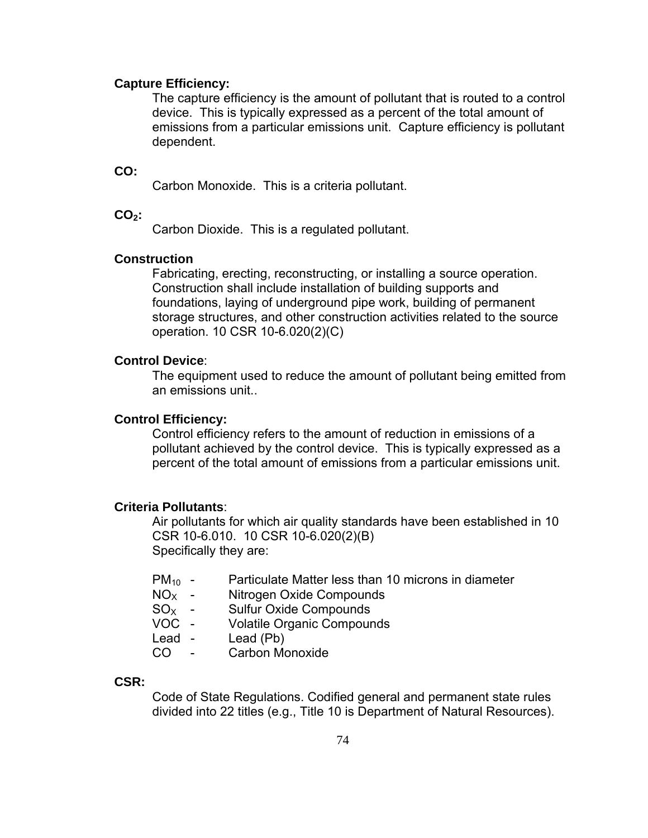## **Capture Efficiency:**

 The capture efficiency is the amount of pollutant that is routed to a control device. This is typically expressed as a percent of the total amount of emissions from a particular emissions unit. Capture efficiency is pollutant dependent.

#### **CO:**

Carbon Monoxide. This is a criteria pollutant.

## CO<sub>2</sub>:

Carbon Dioxide. This is a regulated pollutant.

# **Construction**

Fabricating, erecting, reconstructing, or installing a source operation. Construction shall include installation of building supports and foundations, laying of underground pipe work, building of permanent storage structures, and other construction activities related to the source operation. 10 CSR 10-6.020(2)(C)

## **Control Device**:

 The equipment used to reduce the amount of pollutant being emitted from an emissions unit..

## **Control Efficiency:**

 Control efficiency refers to the amount of reduction in emissions of a pollutant achieved by the control device. This is typically expressed as a percent of the total amount of emissions from a particular emissions unit.

## **Criteria Pollutants**:

 Air pollutants for which air quality standards have been established in 10 CSR 10-6.010. 10 CSR 10-6.020(2)(B) Specifically they are:

| $PM_{10}$ - | Particulate Matter less than 10 microns in diameter |  |  |
|-------------|-----------------------------------------------------|--|--|
|-------------|-----------------------------------------------------|--|--|

- $NO<sub>x</sub>$  Nitrogen Oxide Compounds
- $SO<sub>X</sub>$  Sulfur Oxide Compounds
- VOC Volatile Organic Compounds
- Lead Lead (Pb)
- CO Carbon Monoxide

#### **CSR:**

 Code of State Regulations. Codified general and permanent state rules divided into 22 titles (e.g., Title 10 is Department of Natural Resources).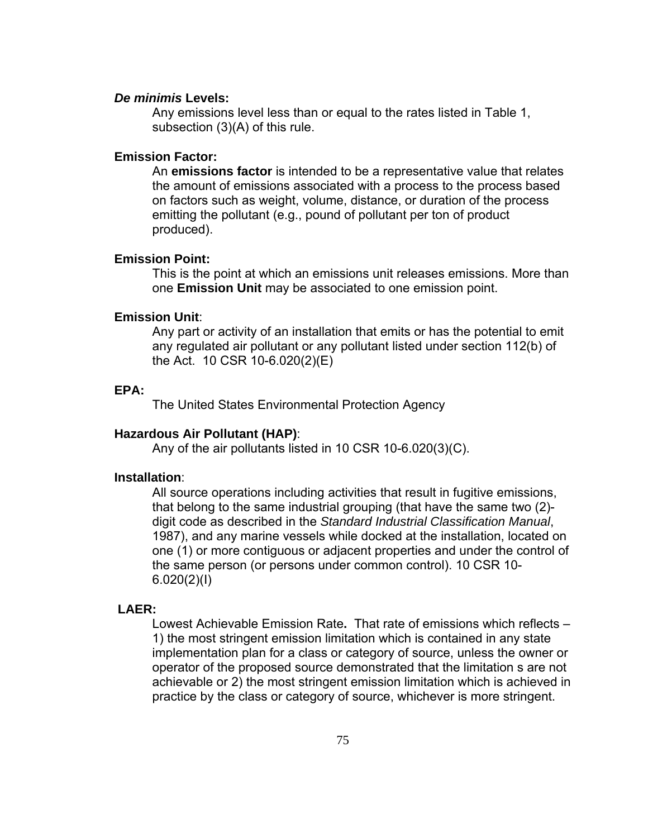#### *De minimis* **Levels:**

 Any emissions level less than or equal to the rates listed in Table 1, subsection (3)(A) of this rule.

## **Emission Factor:**

 An **emissions factor** is intended to be a representative value that relates the amount of emissions associated with a process to the process based on factors such as weight, volume, distance, or duration of the process emitting the pollutant (e.g., pound of pollutant per ton of product produced).

#### **Emission Point:**

 This is the point at which an emissions unit releases emissions. More than one **Emission Unit** may be associated to one emission point.

## **Emission Unit**:

 Any part or activity of an installation that emits or has the potential to emit any regulated air pollutant or any pollutant listed under section 112(b) of the Act. 10 CSR 10-6.020(2)(E)

# **EPA:**

The United States Environmental Protection Agency

#### **Hazardous Air Pollutant (HAP)**:

Any of the air pollutants listed in 10 CSR 10-6.020(3)(C).

#### **Installation**:

All source operations including activities that result in fugitive emissions, that belong to the same industrial grouping (that have the same two (2) digit code as described in the *Standard Industrial Classification Manual*, 1987), and any marine vessels while docked at the installation, located on one (1) or more contiguous or adjacent properties and under the control of the same person (or persons under common control). 10 CSR 10-  $6.020(2)(I)$ 

#### **LAER:**

 Lowest Achievable Emission Rate**.** That rate of emissions which reflects – 1) the most stringent emission limitation which is contained in any state implementation plan for a class or category of source, unless the owner or operator of the proposed source demonstrated that the limitation s are not achievable or 2) the most stringent emission limitation which is achieved in practice by the class or category of source, whichever is more stringent.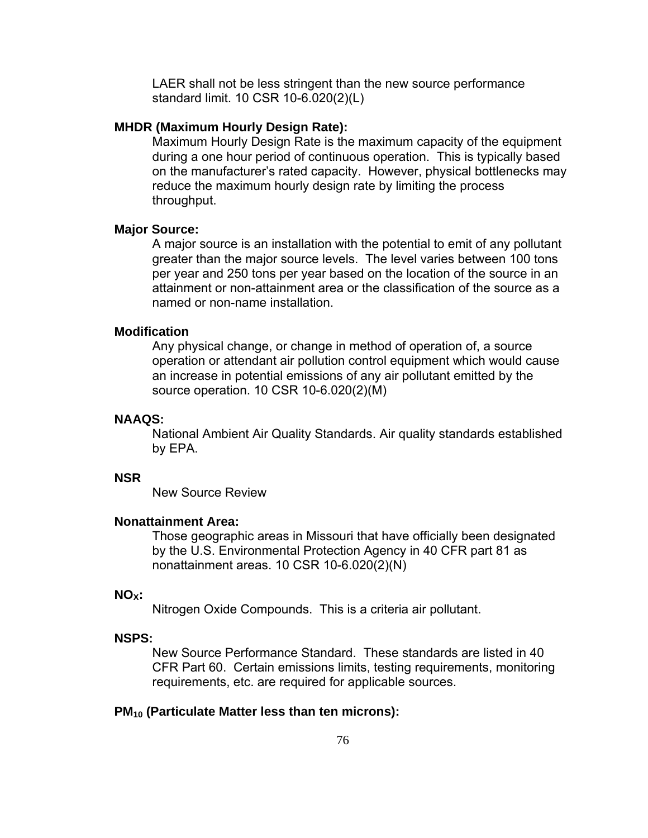LAER shall not be less stringent than the new source performance standard limit. 10 CSR 10-6.020(2)(L)

### **MHDR (Maximum Hourly Design Rate):**

 Maximum Hourly Design Rate is the maximum capacity of the equipment during a one hour period of continuous operation. This is typically based on the manufacturer's rated capacity. However, physical bottlenecks may reduce the maximum hourly design rate by limiting the process throughput.

### **Major Source:**

 A major source is an installation with the potential to emit of any pollutant greater than the major source levels. The level varies between 100 tons per year and 250 tons per year based on the location of the source in an attainment or non-attainment area or the classification of the source as a named or non-name installation.

## **Modification**

Any physical change, or change in method of operation of, a source operation or attendant air pollution control equipment which would cause an increase in potential emissions of any air pollutant emitted by the source operation. 10 CSR 10-6.020(2)(M)

#### **NAAQS:**

National Ambient Air Quality Standards. Air quality standards established by EPA.

## **NSR**

New Source Review

## **Nonattainment Area:**

Those geographic areas in Missouri that have officially been designated by the U.S. Environmental Protection Agency in 40 CFR part 81 as nonattainment areas. 10 CSR 10-6.020(2)(N)

## **NOX:**

Nitrogen Oxide Compounds. This is a criteria air pollutant.

#### **NSPS:**

New Source Performance Standard. These standards are listed in 40 CFR Part 60. Certain emissions limits, testing requirements, monitoring requirements, etc. are required for applicable sources.

## **PM10 (Particulate Matter less than ten microns):**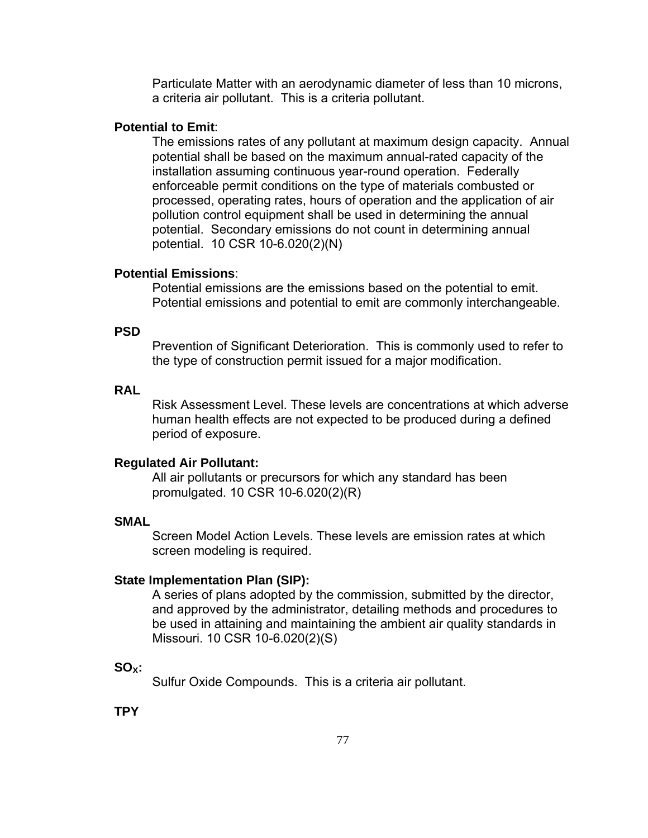Particulate Matter with an aerodynamic diameter of less than 10 microns, a criteria air pollutant. This is a criteria pollutant.

## **Potential to Emit**:

 The emissions rates of any pollutant at maximum design capacity. Annual potential shall be based on the maximum annual-rated capacity of the installation assuming continuous year-round operation. Federally enforceable permit conditions on the type of materials combusted or processed, operating rates, hours of operation and the application of air pollution control equipment shall be used in determining the annual potential. Secondary emissions do not count in determining annual potential. 10 CSR 10-6.020(2)(N)

## **Potential Emissions**:

 Potential emissions are the emissions based on the potential to emit. Potential emissions and potential to emit are commonly interchangeable.

## **PSD**

Prevention of Significant Deterioration. This is commonly used to refer to the type of construction permit issued for a major modification.

## **RAL**

Risk Assessment Level. These levels are concentrations at which adverse human health effects are not expected to be produced during a defined period of exposure.

#### **Regulated Air Pollutant:**

 All air pollutants or precursors for which any standard has been promulgated. 10 CSR 10-6.020(2)(R)

## **SMAL**

Screen Model Action Levels. These levels are emission rates at which screen modeling is required.

#### **State Implementation Plan (SIP):**

A series of plans adopted by the commission, submitted by the director, and approved by the administrator, detailing methods and procedures to be used in attaining and maintaining the ambient air quality standards in Missouri. 10 CSR 10-6.020(2)(S)

## **SOX:**

Sulfur Oxide Compounds. This is a criteria air pollutant.

**TPY**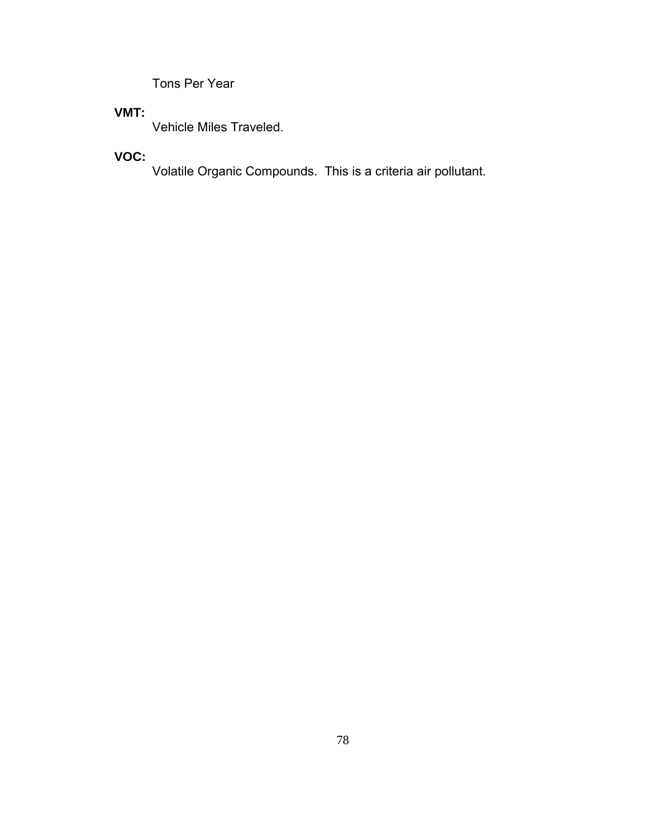Tons Per Year

# **VMT:**

Vehicle Miles Traveled.

# **VOC:**

Volatile Organic Compounds. This is a criteria air pollutant.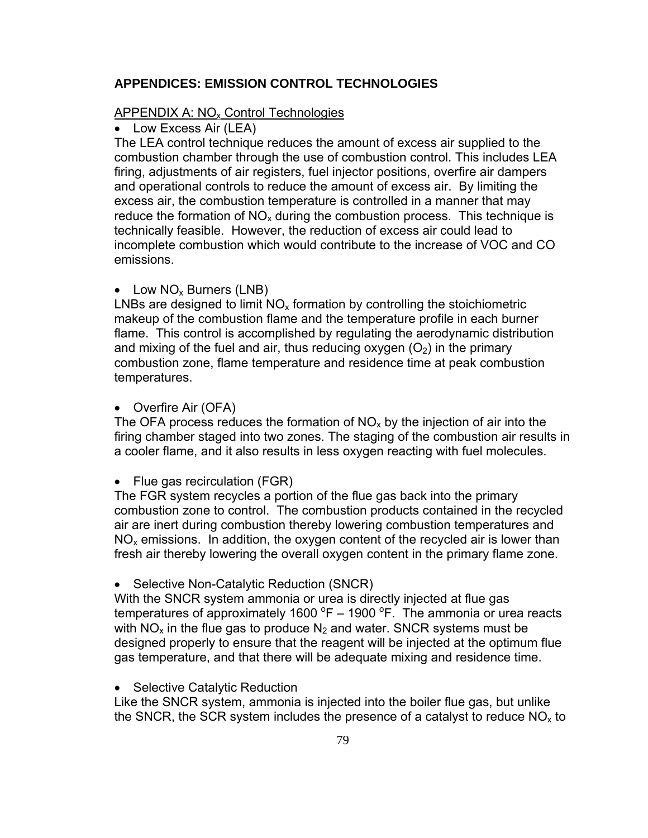## **APPENDICES: EMISSION CONTROL TECHNOLOGIES**

## APPENDIX A:  $NO<sub>x</sub>$  Control Technologies

• Low Excess Air (LEA)

The LEA control technique reduces the amount of excess air supplied to the combustion chamber through the use of combustion control. This includes LEA firing, adjustments of air registers, fuel injector positions, overfire air dampers and operational controls to reduce the amount of excess air. By limiting the excess air, the combustion temperature is controlled in a manner that may reduce the formation of  $NO<sub>x</sub>$  during the combustion process. This technique is technically feasible. However, the reduction of excess air could lead to incomplete combustion which would contribute to the increase of VOC and CO emissions.

## • Low  $NO_x$  Burners (LNB)

LNBs are designed to limit  $NO<sub>x</sub>$  formation by controlling the stoichiometric makeup of the combustion flame and the temperature profile in each burner flame. This control is accomplished by regulating the aerodynamic distribution and mixing of the fuel and air, thus reducing oxygen  $(O<sub>2</sub>)$  in the primary combustion zone, flame temperature and residence time at peak combustion temperatures.

#### • Overfire Air (OFA)

The OFA process reduces the formation of  $NO<sub>x</sub>$  by the injection of air into the firing chamber staged into two zones. The staging of the combustion air results in a cooler flame, and it also results in less oxygen reacting with fuel molecules.

• Flue gas recirculation (FGR)

The FGR system recycles a portion of the flue gas back into the primary combustion zone to control. The combustion products contained in the recycled air are inert during combustion thereby lowering combustion temperatures and  $NO<sub>x</sub>$  emissions. In addition, the oxygen content of the recycled air is lower than fresh air thereby lowering the overall oxygen content in the primary flame zone.

• Selective Non-Catalytic Reduction (SNCR)

With the SNCR system ammonia or urea is directly injected at flue gas temperatures of approximately 1600  $^{\circ}$ F – 1900  $^{\circ}$ F. The ammonia or urea reacts with  $NO<sub>x</sub>$  in the flue gas to produce  $N<sub>2</sub>$  and water. SNCR systems must be designed properly to ensure that the reagent will be injected at the optimum flue gas temperature, and that there will be adequate mixing and residence time.

#### • Selective Catalytic Reduction

Like the SNCR system, ammonia is injected into the boiler flue gas, but unlike the SNCR, the SCR system includes the presence of a catalyst to reduce  $NO<sub>x</sub>$  to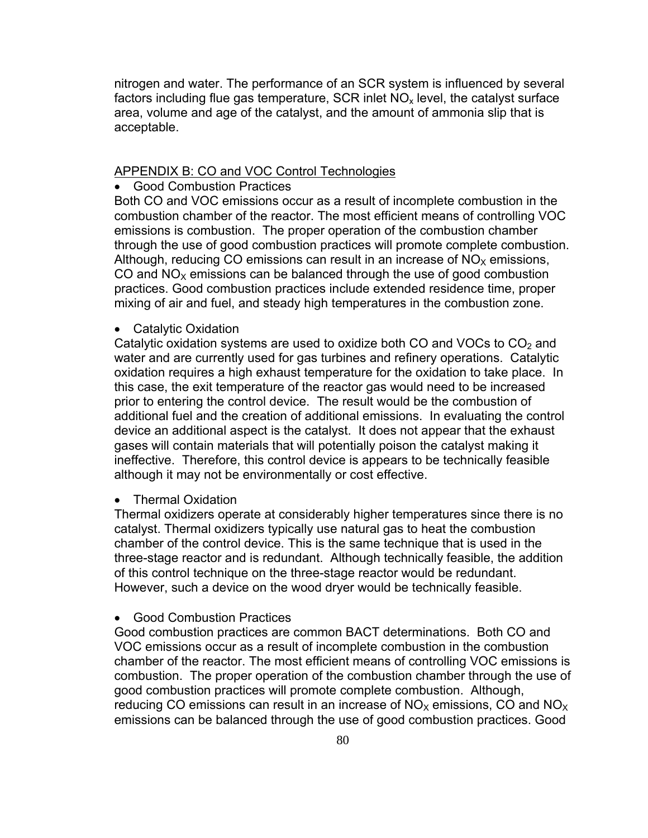nitrogen and water. The performance of an SCR system is influenced by several factors including flue gas temperature, SCR inlet  $NO<sub>x</sub>$  level, the catalyst surface area, volume and age of the catalyst, and the amount of ammonia slip that is acceptable.

## APPENDIX B: CO and VOC Control Technologies

• Good Combustion Practices

Both CO and VOC emissions occur as a result of incomplete combustion in the combustion chamber of the reactor. The most efficient means of controlling VOC emissions is combustion. The proper operation of the combustion chamber through the use of good combustion practices will promote complete combustion. Although, reducing CO emissions can result in an increase of  $NO<sub>x</sub>$  emissions, CO and  $NO<sub>x</sub>$  emissions can be balanced through the use of good combustion practices. Good combustion practices include extended residence time, proper mixing of air and fuel, and steady high temperatures in the combustion zone.

• Catalytic Oxidation

Catalytic oxidation systems are used to oxidize both CO and VOCs to  $CO<sub>2</sub>$  and water and are currently used for gas turbines and refinery operations. Catalytic oxidation requires a high exhaust temperature for the oxidation to take place. In this case, the exit temperature of the reactor gas would need to be increased prior to entering the control device. The result would be the combustion of additional fuel and the creation of additional emissions. In evaluating the control device an additional aspect is the catalyst. It does not appear that the exhaust gases will contain materials that will potentially poison the catalyst making it ineffective. Therefore, this control device is appears to be technically feasible although it may not be environmentally or cost effective.

#### • Thermal Oxidation

Thermal oxidizers operate at considerably higher temperatures since there is no catalyst. Thermal oxidizers typically use natural gas to heat the combustion chamber of the control device. This is the same technique that is used in the three-stage reactor and is redundant. Although technically feasible, the addition of this control technique on the three-stage reactor would be redundant. However, such a device on the wood dryer would be technically feasible.

## • Good Combustion Practices

Good combustion practices are common BACT determinations. Both CO and VOC emissions occur as a result of incomplete combustion in the combustion chamber of the reactor. The most efficient means of controlling VOC emissions is combustion. The proper operation of the combustion chamber through the use of good combustion practices will promote complete combustion. Although, reducing CO emissions can result in an increase of  $NO<sub>x</sub>$  emissions, CO and  $NO<sub>x</sub>$ emissions can be balanced through the use of good combustion practices. Good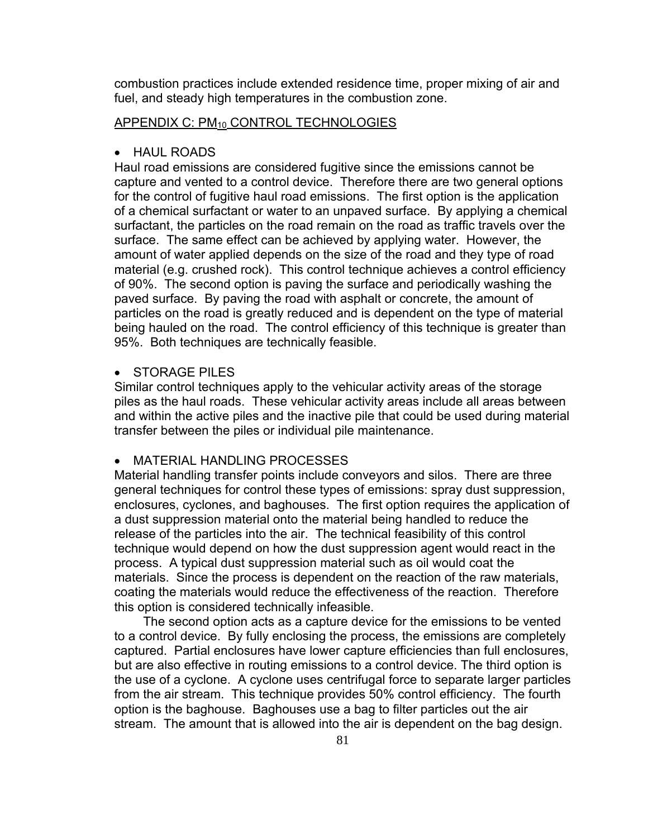combustion practices include extended residence time, proper mixing of air and fuel, and steady high temperatures in the combustion zone.

## APPENDIX C: PM<sub>10</sub> CONTROL TECHNOLOGIES

#### • HAUL ROADS

Haul road emissions are considered fugitive since the emissions cannot be capture and vented to a control device. Therefore there are two general options for the control of fugitive haul road emissions. The first option is the application of a chemical surfactant or water to an unpaved surface. By applying a chemical surfactant, the particles on the road remain on the road as traffic travels over the surface. The same effect can be achieved by applying water. However, the amount of water applied depends on the size of the road and they type of road material (e.g. crushed rock). This control technique achieves a control efficiency of 90%. The second option is paving the surface and periodically washing the paved surface. By paving the road with asphalt or concrete, the amount of particles on the road is greatly reduced and is dependent on the type of material being hauled on the road. The control efficiency of this technique is greater than 95%. Both techniques are technically feasible.

## **STORAGE PILES**

Similar control techniques apply to the vehicular activity areas of the storage piles as the haul roads. These vehicular activity areas include all areas between and within the active piles and the inactive pile that could be used during material transfer between the piles or individual pile maintenance.

## MATERIAL HANDLING PROCESSES

Material handling transfer points include conveyors and silos. There are three general techniques for control these types of emissions: spray dust suppression, enclosures, cyclones, and baghouses. The first option requires the application of a dust suppression material onto the material being handled to reduce the release of the particles into the air. The technical feasibility of this control technique would depend on how the dust suppression agent would react in the process. A typical dust suppression material such as oil would coat the materials. Since the process is dependent on the reaction of the raw materials, coating the materials would reduce the effectiveness of the reaction. Therefore this option is considered technically infeasible.

 The second option acts as a capture device for the emissions to be vented to a control device. By fully enclosing the process, the emissions are completely captured. Partial enclosures have lower capture efficiencies than full enclosures, but are also effective in routing emissions to a control device. The third option is the use of a cyclone. A cyclone uses centrifugal force to separate larger particles from the air stream. This technique provides 50% control efficiency. The fourth option is the baghouse. Baghouses use a bag to filter particles out the air stream. The amount that is allowed into the air is dependent on the bag design.